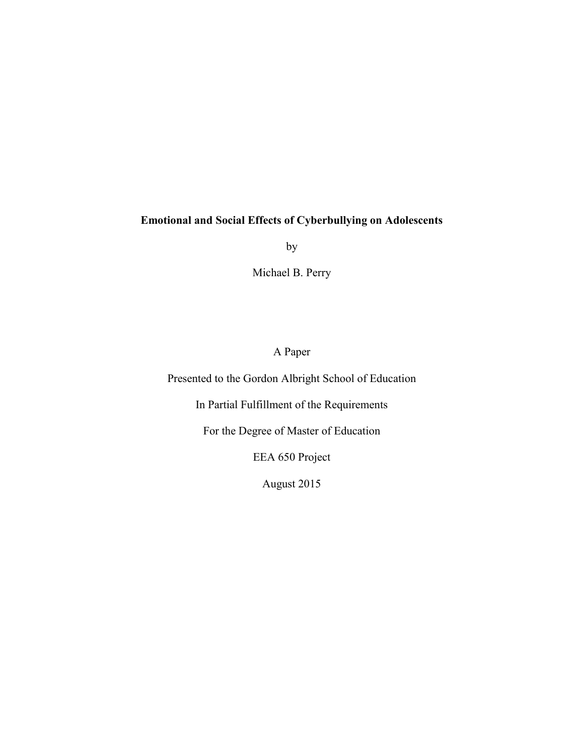by

Michael B. Perry

A Paper

<span id="page-0-0"></span>Presented to the Gordon Albright School of Education

In Partial Fulfillment of the Requirements

For the Degree of Master of Education

EEA 650 Project

August 2015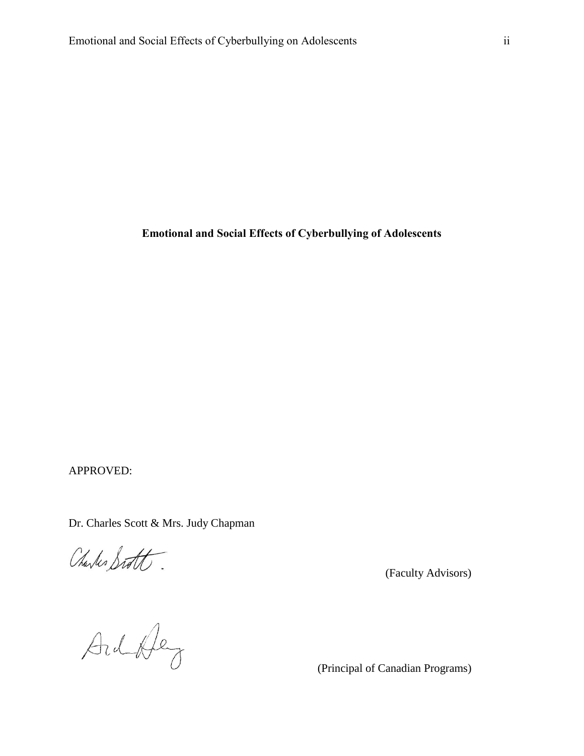APPROVED:

Dr. Charles Scott & Mrs. Judy Chapman

Charles Sitt

(Faculty Advisors)<br>
(Faculty Advisors)<br>
(Principal of Canadian Programs)

(Principal of Canadian Programs)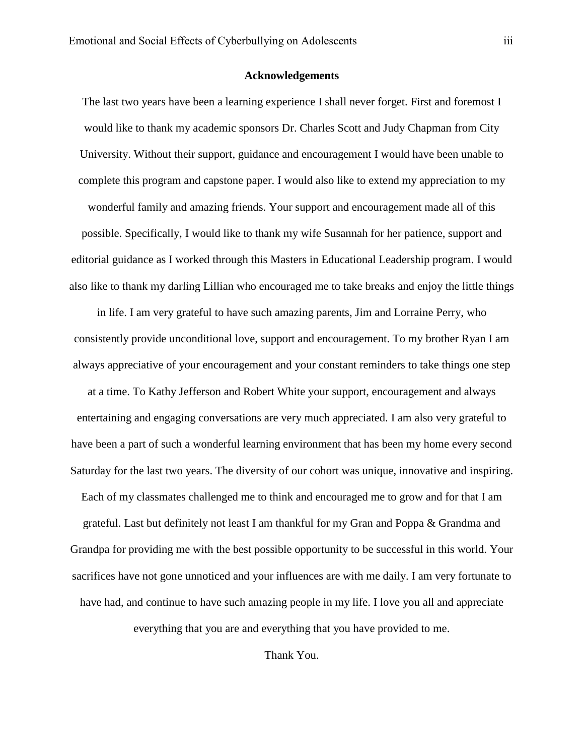### **Acknowledgements**

<span id="page-2-0"></span>The last two years have been a learning experience I shall never forget. First and foremost I would like to thank my academic sponsors Dr. Charles Scott and Judy Chapman from City University. Without their support, guidance and encouragement I would have been unable to complete this program and capstone paper. I would also like to extend my appreciation to my wonderful family and amazing friends. Your support and encouragement made all of this possible. Specifically, I would like to thank my wife Susannah for her patience, support and editorial guidance as I worked through this Masters in Educational Leadership program. I would also like to thank my darling Lillian who encouraged me to take breaks and enjoy the little things

in life. I am very grateful to have such amazing parents, Jim and Lorraine Perry, who consistently provide unconditional love, support and encouragement. To my brother Ryan I am always appreciative of your encouragement and your constant reminders to take things one step at a time. To Kathy Jefferson and Robert White your support, encouragement and always entertaining and engaging conversations are very much appreciated. I am also very grateful to have been a part of such a wonderful learning environment that has been my home every second Saturday for the last two years. The diversity of our cohort was unique, innovative and inspiring. Each of my classmates challenged me to think and encouraged me to grow and for that I am grateful. Last but definitely not least I am thankful for my Gran and Poppa & Grandma and Grandpa for providing me with the best possible opportunity to be successful in this world. Your sacrifices have not gone unnoticed and your influences are with me daily. I am very fortunate to have had, and continue to have such amazing people in my life. I love you all and appreciate

everything that you are and everything that you have provided to me.

Thank You.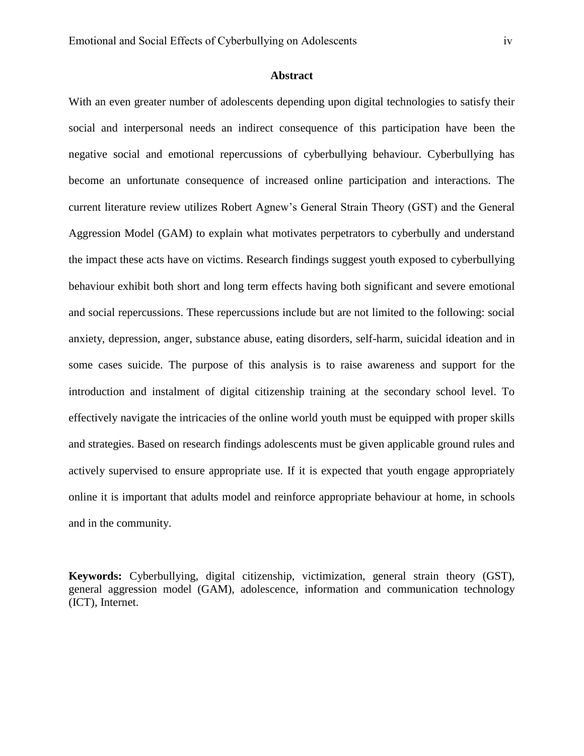# **Abstract**

<span id="page-3-0"></span>With an even greater number of adolescents depending upon digital technologies to satisfy their social and interpersonal needs an indirect consequence of this participation have been the negative social and emotional repercussions of cyberbullying behaviour. Cyberbullying has become an unfortunate consequence of increased online participation and interactions. The current literature review utilizes Robert Agnew's General Strain Theory (GST) and the General Aggression Model (GAM) to explain what motivates perpetrators to cyberbully and understand the impact these acts have on victims. Research findings suggest youth exposed to cyberbullying behaviour exhibit both short and long term effects having both significant and severe emotional and social repercussions. These repercussions include but are not limited to the following: social anxiety, depression, anger, substance abuse, eating disorders, self-harm, suicidal ideation and in some cases suicide. The purpose of this analysis is to raise awareness and support for the introduction and instalment of digital citizenship training at the secondary school level. To effectively navigate the intricacies of the online world youth must be equipped with proper skills and strategies. Based on research findings adolescents must be given applicable ground rules and actively supervised to ensure appropriate use. If it is expected that youth engage appropriately online it is important that adults model and reinforce appropriate behaviour at home, in schools and in the community.

**Keywords:** Cyberbullying, digital citizenship, victimization, general strain theory (GST), general aggression model (GAM), adolescence, information and communication technology (ICT), Internet.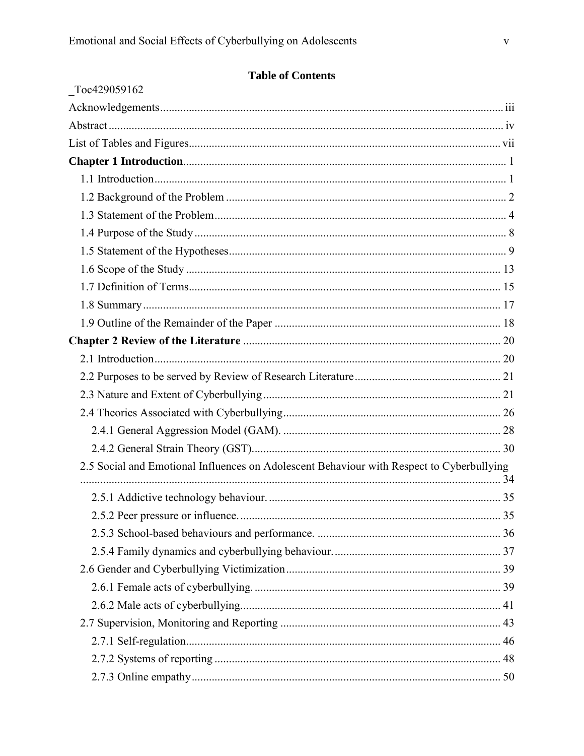| Toc429059162                                                                              |  |
|-------------------------------------------------------------------------------------------|--|
|                                                                                           |  |
|                                                                                           |  |
|                                                                                           |  |
|                                                                                           |  |
|                                                                                           |  |
|                                                                                           |  |
|                                                                                           |  |
|                                                                                           |  |
|                                                                                           |  |
|                                                                                           |  |
|                                                                                           |  |
|                                                                                           |  |
|                                                                                           |  |
|                                                                                           |  |
|                                                                                           |  |
|                                                                                           |  |
|                                                                                           |  |
|                                                                                           |  |
|                                                                                           |  |
|                                                                                           |  |
| 2.5 Social and Emotional Influences on Adolescent Behaviour with Respect to Cyberbullying |  |
|                                                                                           |  |
|                                                                                           |  |
|                                                                                           |  |
|                                                                                           |  |
|                                                                                           |  |
|                                                                                           |  |
|                                                                                           |  |
|                                                                                           |  |
|                                                                                           |  |
|                                                                                           |  |
|                                                                                           |  |
|                                                                                           |  |

# **Table of Contents**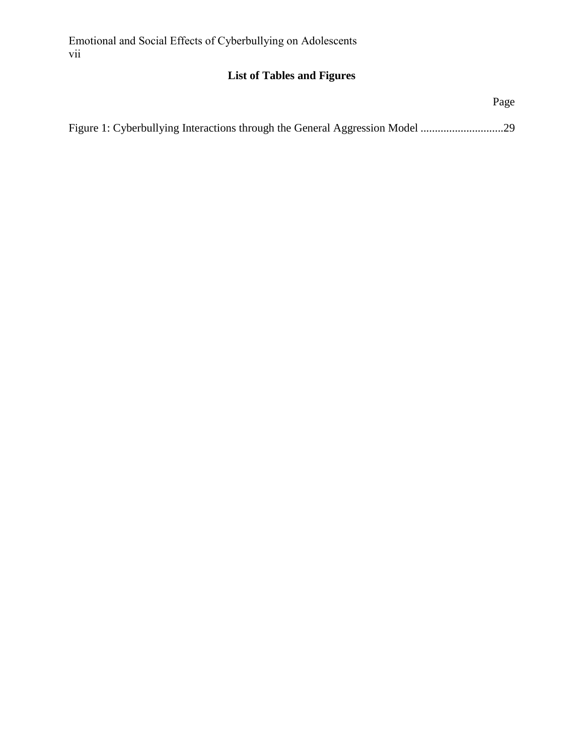# **List of Tables and Figures**

<span id="page-6-0"></span>

| Page |
|------|
|      |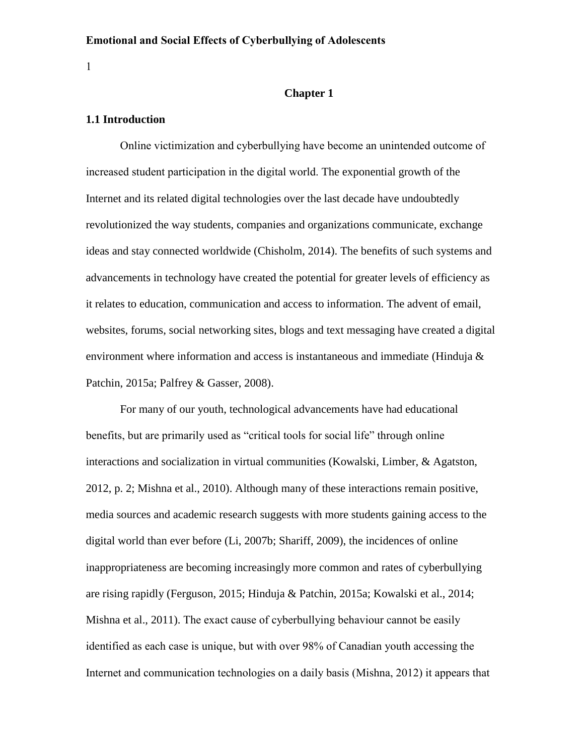1

# <span id="page-7-0"></span>**Chapter 1**

### <span id="page-7-1"></span>**1.1 Introduction**

Online victimization and cyberbullying have become an unintended outcome of increased student participation in the digital world. The exponential growth of the Internet and its related digital technologies over the last decade have undoubtedly revolutionized the way students, companies and organizations communicate, exchange ideas and stay connected worldwide (Chisholm, 2014). The benefits of such systems and advancements in technology have created the potential for greater levels of efficiency as it relates to education, communication and access to information. The advent of email, websites, forums, social networking sites, blogs and text messaging have created a digital environment where information and access is instantaneous and immediate (Hinduja & Patchin, 2015a; Palfrey & Gasser, 2008).

For many of our youth, technological advancements have had educational benefits, but are primarily used as "critical tools for social life" through online interactions and socialization in virtual communities (Kowalski, Limber, & Agatston, 2012, p. 2; Mishna et al., 2010). Although many of these interactions remain positive, media sources and academic research suggests with more students gaining access to the digital world than ever before (Li, 2007b; Shariff, 2009), the incidences of online inappropriateness are becoming increasingly more common and rates of cyberbullying are rising rapidly (Ferguson, 2015; Hinduja & Patchin, 2015a; Kowalski et al., 2014; Mishna et al., 2011). The exact cause of cyberbullying behaviour cannot be easily identified as each case is unique, but with over 98% of Canadian youth accessing the Internet and communication technologies on a daily basis (Mishna, 2012) it appears that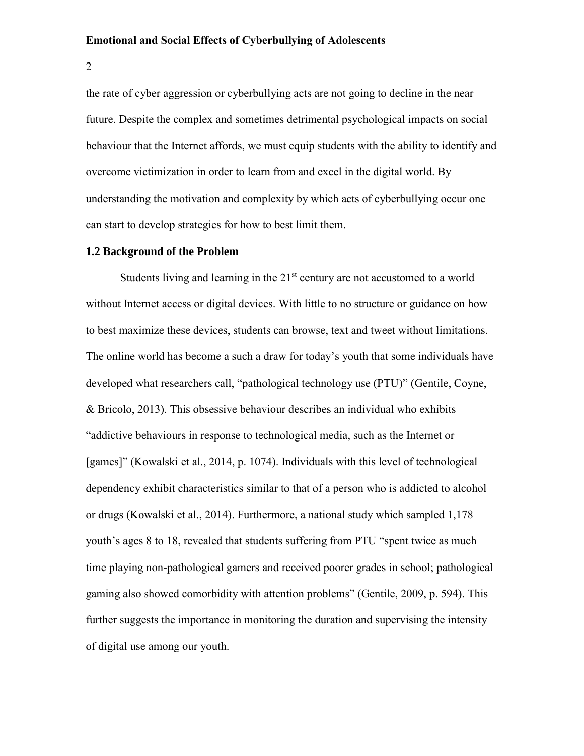2

the rate of cyber aggression or cyberbullying acts are not going to decline in the near future. Despite the complex and sometimes detrimental psychological impacts on social behaviour that the Internet affords, we must equip students with the ability to identify and overcome victimization in order to learn from and excel in the digital world. By understanding the motivation and complexity by which acts of cyberbullying occur one can start to develop strategies for how to best limit them.

### <span id="page-8-0"></span>**1.2 Background of the Problem**

Students living and learning in the  $21<sup>st</sup>$  century are not accustomed to a world without Internet access or digital devices. With little to no structure or guidance on how to best maximize these devices, students can browse, text and tweet without limitations. The online world has become a such a draw for today's youth that some individuals have developed what researchers call, "pathological technology use (PTU)" (Gentile, Coyne, & Bricolo, 2013). This obsessive behaviour describes an individual who exhibits "addictive behaviours in response to technological media, such as the Internet or [games]" (Kowalski et al., 2014, p. 1074). Individuals with this level of technological dependency exhibit characteristics similar to that of a person who is addicted to alcohol or drugs (Kowalski et al., 2014). Furthermore, a national study which sampled 1,178 youth's ages 8 to 18, revealed that students suffering from PTU "spent twice as much time playing non-pathological gamers and received poorer grades in school; pathological gaming also showed comorbidity with attention problems" (Gentile, 2009, p. 594). This further suggests the importance in monitoring the duration and supervising the intensity of digital use among our youth.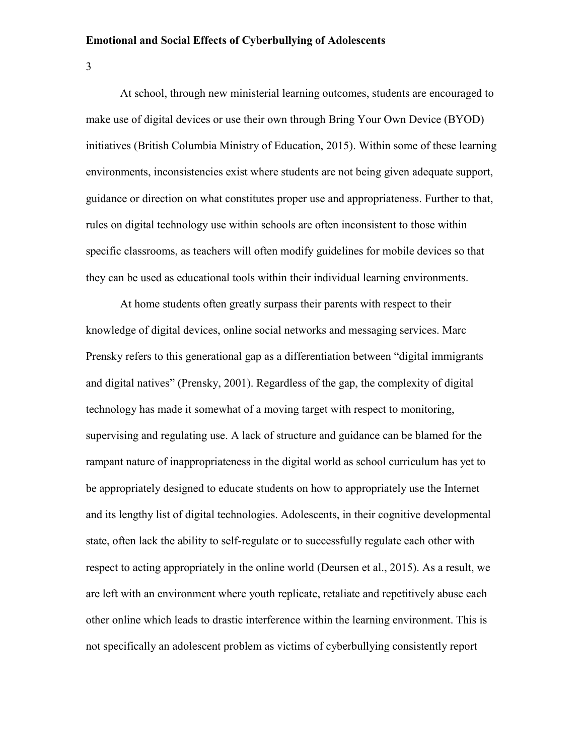3

At school, through new ministerial learning outcomes, students are encouraged to make use of digital devices or use their own through Bring Your Own Device (BYOD) initiatives (British Columbia Ministry of Education, 2015). Within some of these learning environments, inconsistencies exist where students are not being given adequate support, guidance or direction on what constitutes proper use and appropriateness. Further to that, rules on digital technology use within schools are often inconsistent to those within specific classrooms, as teachers will often modify guidelines for mobile devices so that they can be used as educational tools within their individual learning environments.

At home students often greatly surpass their parents with respect to their knowledge of digital devices, online social networks and messaging services. Marc Prensky refers to this generational gap as a differentiation between "digital immigrants and digital natives" (Prensky, 2001). Regardless of the gap, the complexity of digital technology has made it somewhat of a moving target with respect to monitoring, supervising and regulating use. A lack of structure and guidance can be blamed for the rampant nature of inappropriateness in the digital world as school curriculum has yet to be appropriately designed to educate students on how to appropriately use the Internet and its lengthy list of digital technologies. Adolescents, in their cognitive developmental state, often lack the ability to self-regulate or to successfully regulate each other with respect to acting appropriately in the online world (Deursen et al., 2015). As a result, we are left with an environment where youth replicate, retaliate and repetitively abuse each other online which leads to drastic interference within the learning environment. This is not specifically an adolescent problem as victims of cyberbullying consistently report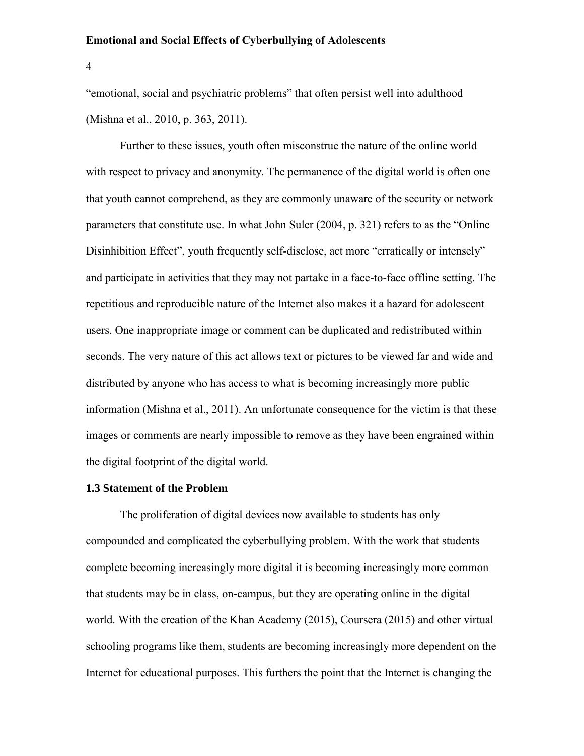4

"emotional, social and psychiatric problems" that often persist well into adulthood (Mishna et al., 2010, p. 363, 2011).

Further to these issues, youth often misconstrue the nature of the online world with respect to privacy and anonymity. The permanence of the digital world is often one that youth cannot comprehend, as they are commonly unaware of the security or network parameters that constitute use. In what John Suler (2004, p. 321) refers to as the "Online Disinhibition Effect", youth frequently self-disclose, act more "erratically or intensely" and participate in activities that they may not partake in a face-to-face offline setting. The repetitious and reproducible nature of the Internet also makes it a hazard for adolescent users. One inappropriate image or comment can be duplicated and redistributed within seconds. The very nature of this act allows text or pictures to be viewed far and wide and distributed by anyone who has access to what is becoming increasingly more public information (Mishna et al., 2011). An unfortunate consequence for the victim is that these images or comments are nearly impossible to remove as they have been engrained within the digital footprint of the digital world.

# <span id="page-10-0"></span>**1.3 Statement of the Problem**

The proliferation of digital devices now available to students has only compounded and complicated the cyberbullying problem. With the work that students complete becoming increasingly more digital it is becoming increasingly more common that students may be in class, on-campus, but they are operating online in the digital world. With the creation of the Khan Academy (2015), Coursera (2015) and other virtual schooling programs like them, students are becoming increasingly more dependent on the Internet for educational purposes. This furthers the point that the Internet is changing the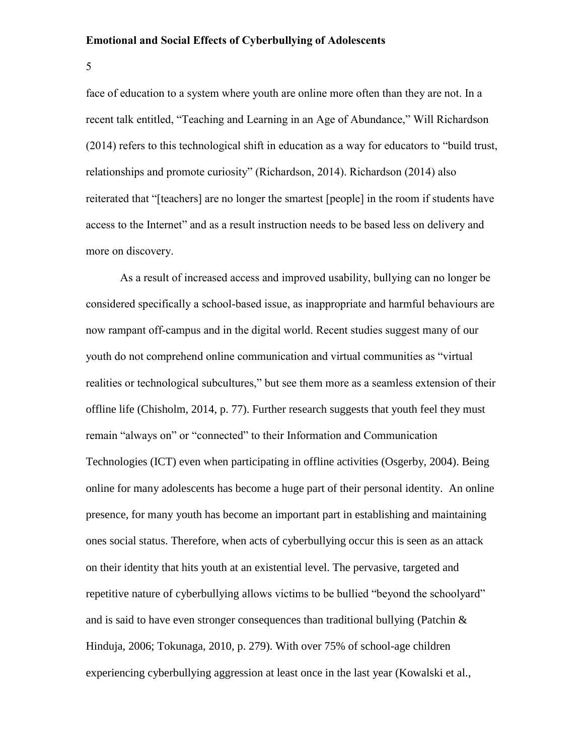5

face of education to a system where youth are online more often than they are not. In a recent talk entitled, "Teaching and Learning in an Age of Abundance," Will Richardson (2014) refers to this technological shift in education as a way for educators to "build trust, relationships and promote curiosity" (Richardson, 2014). Richardson (2014) also reiterated that "[teachers] are no longer the smartest [people] in the room if students have access to the Internet" and as a result instruction needs to be based less on delivery and more on discovery.

As a result of increased access and improved usability, bullying can no longer be considered specifically a school-based issue, as inappropriate and harmful behaviours are now rampant off-campus and in the digital world. Recent studies suggest many of our youth do not comprehend online communication and virtual communities as "virtual realities or technological subcultures," but see them more as a seamless extension of their offline life (Chisholm, 2014, p. 77). Further research suggests that youth feel they must remain "always on" or "connected" to their Information and Communication Technologies (ICT) even when participating in offline activities (Osgerby, 2004). Being online for many adolescents has become a huge part of their personal identity. An online presence, for many youth has become an important part in establishing and maintaining ones social status. Therefore, when acts of cyberbullying occur this is seen as an attack on their identity that hits youth at an existential level. The pervasive, targeted and repetitive nature of cyberbullying allows victims to be bullied "beyond the schoolyard" and is said to have even stronger consequences than traditional bullying (Patchin  $\&$ Hinduja, 2006; Tokunaga, 2010, p. 279). With over 75% of school-age children experiencing cyberbullying aggression at least once in the last year (Kowalski et al.,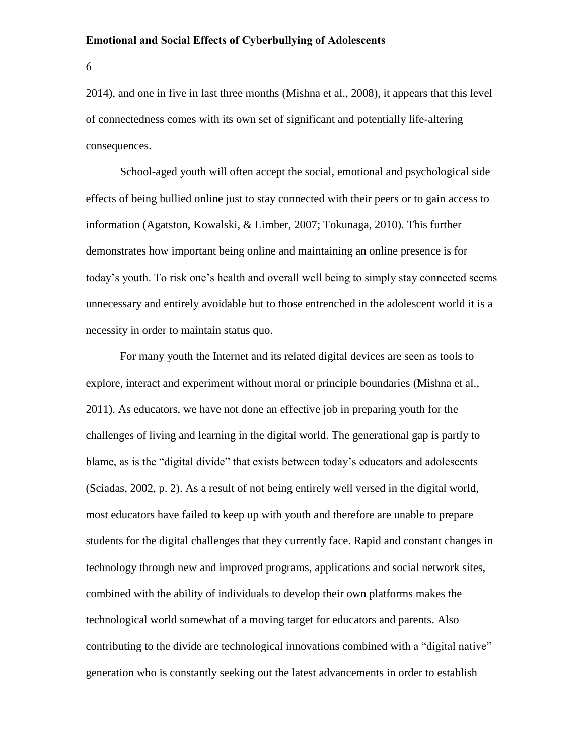6

2014), and one in five in last three months (Mishna et al., 2008), it appears that this level of connectedness comes with its own set of significant and potentially life-altering consequences.

School-aged youth will often accept the social, emotional and psychological side effects of being bullied online just to stay connected with their peers or to gain access to information (Agatston, Kowalski, & Limber, 2007; Tokunaga, 2010). This further demonstrates how important being online and maintaining an online presence is for today's youth. To risk one's health and overall well being to simply stay connected seems unnecessary and entirely avoidable but to those entrenched in the adolescent world it is a necessity in order to maintain status quo.

For many youth the Internet and its related digital devices are seen as tools to explore, interact and experiment without moral or principle boundaries (Mishna et al., 2011). As educators, we have not done an effective job in preparing youth for the challenges of living and learning in the digital world. The generational gap is partly to blame, as is the "digital divide" that exists between today's educators and adolescents (Sciadas, 2002, p. 2). As a result of not being entirely well versed in the digital world, most educators have failed to keep up with youth and therefore are unable to prepare students for the digital challenges that they currently face. Rapid and constant changes in technology through new and improved programs, applications and social network sites, combined with the ability of individuals to develop their own platforms makes the technological world somewhat of a moving target for educators and parents. Also contributing to the divide are technological innovations combined with a "digital native" generation who is constantly seeking out the latest advancements in order to establish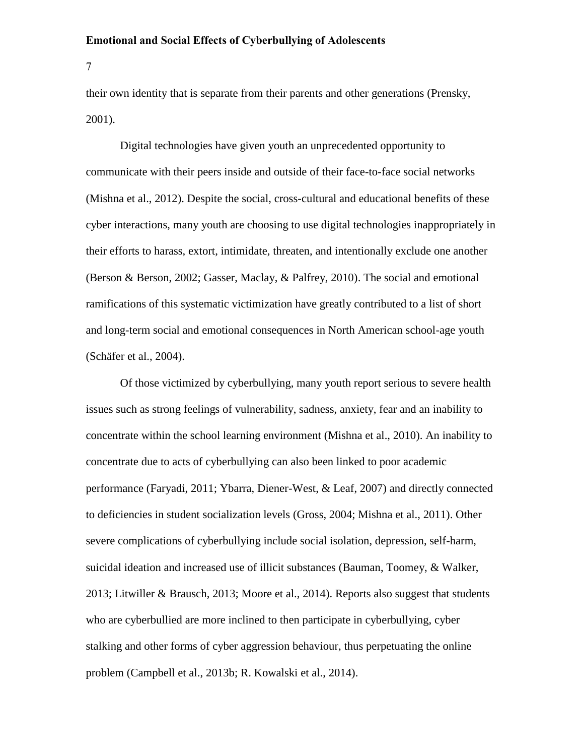7

their own identity that is separate from their parents and other generations (Prensky, 2001).

Digital technologies have given youth an unprecedented opportunity to communicate with their peers inside and outside of their face-to-face social networks (Mishna et al., 2012). Despite the social, cross-cultural and educational benefits of these cyber interactions, many youth are choosing to use digital technologies inappropriately in their efforts to harass, extort, intimidate, threaten, and intentionally exclude one another (Berson & Berson, 2002; Gasser, Maclay, & Palfrey, 2010). The social and emotional ramifications of this systematic victimization have greatly contributed to a list of short and long-term social and emotional consequences in North American school-age youth (Schäfer et al., 2004).

Of those victimized by cyberbullying, many youth report serious to severe health issues such as strong feelings of vulnerability, sadness, anxiety, fear and an inability to concentrate within the school learning environment (Mishna et al., 2010). An inability to concentrate due to acts of cyberbullying can also been linked to poor academic performance (Faryadi, 2011; Ybarra, Diener-West, & Leaf, 2007) and directly connected to deficiencies in student socialization levels (Gross, 2004; Mishna et al., 2011). Other severe complications of cyberbullying include social isolation, depression, self-harm, suicidal ideation and increased use of illicit substances (Bauman, Toomey, & Walker, 2013; Litwiller & Brausch, 2013; Moore et al., 2014). Reports also suggest that students who are cyberbullied are more inclined to then participate in cyberbullying, cyber stalking and other forms of cyber aggression behaviour, thus perpetuating the online problem (Campbell et al., 2013b; R. Kowalski et al., 2014).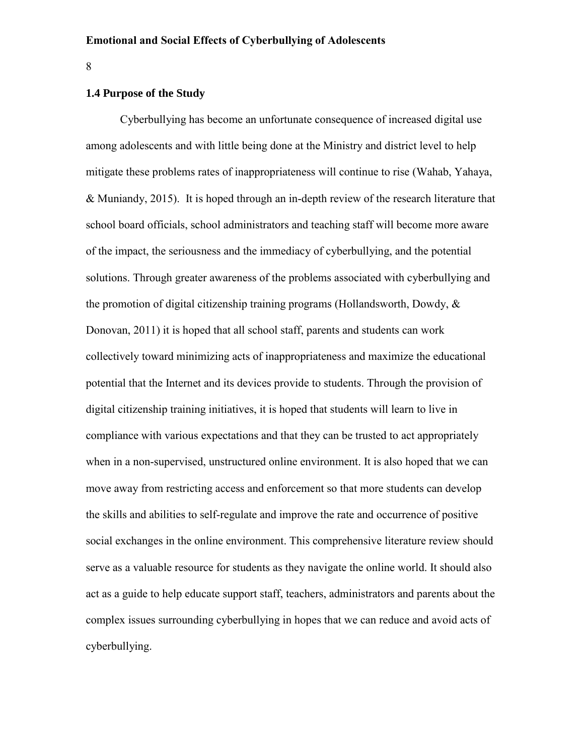8

# <span id="page-14-0"></span>**1.4 Purpose of the Study**

Cyberbullying has become an unfortunate consequence of increased digital use among adolescents and with little being done at the Ministry and district level to help mitigate these problems rates of inappropriateness will continue to rise (Wahab, Yahaya, & Muniandy, 2015). It is hoped through an in-depth review of the research literature that school board officials, school administrators and teaching staff will become more aware of the impact, the seriousness and the immediacy of cyberbullying, and the potential solutions. Through greater awareness of the problems associated with cyberbullying and the promotion of digital citizenship training programs (Hollandsworth, Dowdy, & Donovan, 2011) it is hoped that all school staff, parents and students can work collectively toward minimizing acts of inappropriateness and maximize the educational potential that the Internet and its devices provide to students. Through the provision of digital citizenship training initiatives, it is hoped that students will learn to live in compliance with various expectations and that they can be trusted to act appropriately when in a non-supervised, unstructured online environment. It is also hoped that we can move away from restricting access and enforcement so that more students can develop the skills and abilities to self-regulate and improve the rate and occurrence of positive social exchanges in the online environment. This comprehensive literature review should serve as a valuable resource for students as they navigate the online world. It should also act as a guide to help educate support staff, teachers, administrators and parents about the complex issues surrounding cyberbullying in hopes that we can reduce and avoid acts of cyberbullying.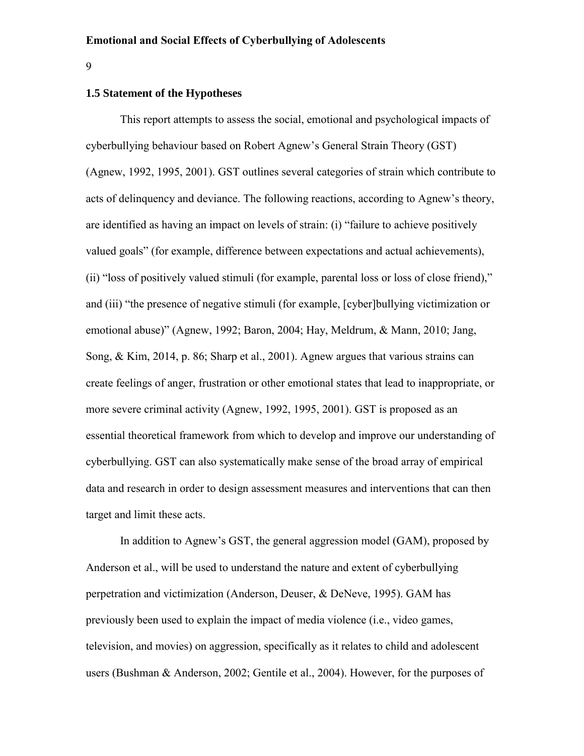9

# <span id="page-15-0"></span>**1.5 Statement of the Hypotheses**

This report attempts to assess the social, emotional and psychological impacts of cyberbullying behaviour based on Robert Agnew's General Strain Theory (GST) (Agnew, 1992, 1995, 2001). GST outlines several categories of strain which contribute to acts of delinquency and deviance. The following reactions, according to Agnew's theory, are identified as having an impact on levels of strain: (i) "failure to achieve positively valued goals" (for example, difference between expectations and actual achievements), (ii) "loss of positively valued stimuli (for example, parental loss or loss of close friend)," and (iii) "the presence of negative stimuli (for example, [cyber]bullying victimization or emotional abuse)" (Agnew, 1992; Baron, 2004; Hay, Meldrum, & Mann, 2010; Jang, Song, & Kim, 2014, p. 86; Sharp et al., 2001). Agnew argues that various strains can create feelings of anger, frustration or other emotional states that lead to inappropriate, or more severe criminal activity (Agnew, 1992, 1995, 2001). GST is proposed as an essential theoretical framework from which to develop and improve our understanding of cyberbullying. GST can also systematically make sense of the broad array of empirical data and research in order to design assessment measures and interventions that can then target and limit these acts.

In addition to Agnew's GST, the general aggression model (GAM), proposed by Anderson et al., will be used to understand the nature and extent of cyberbullying perpetration and victimization (Anderson, Deuser, & DeNeve, 1995). GAM has previously been used to explain the impact of media violence (i.e., video games, television, and movies) on aggression, specifically as it relates to child and adolescent users (Bushman & Anderson, 2002; Gentile et al., 2004). However, for the purposes of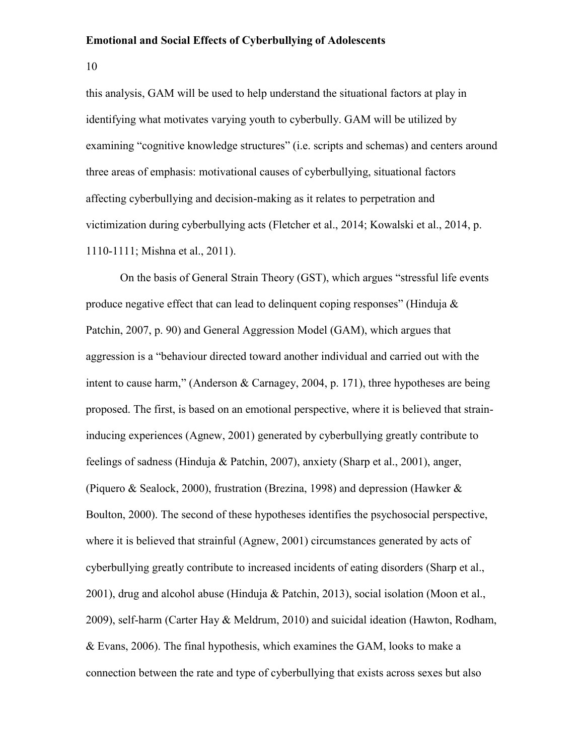10

this analysis, GAM will be used to help understand the situational factors at play in identifying what motivates varying youth to cyberbully. GAM will be utilized by examining "cognitive knowledge structures" (i.e. scripts and schemas) and centers around three areas of emphasis: motivational causes of cyberbullying, situational factors affecting cyberbullying and decision-making as it relates to perpetration and victimization during cyberbullying acts (Fletcher et al., 2014; Kowalski et al., 2014, p. 1110-1111; Mishna et al., 2011).

On the basis of General Strain Theory (GST), which argues "stressful life events produce negative effect that can lead to delinquent coping responses" (Hinduja  $\&$ Patchin, 2007, p. 90) and General Aggression Model (GAM), which argues that aggression is a "behaviour directed toward another individual and carried out with the intent to cause harm," (Anderson & Carnagey, 2004, p. 171), three hypotheses are being proposed. The first, is based on an emotional perspective, where it is believed that straininducing experiences (Agnew, 2001) generated by cyberbullying greatly contribute to feelings of sadness (Hinduja & Patchin, 2007), anxiety (Sharp et al., 2001), anger, (Piquero & Sealock, 2000), frustration (Brezina, 1998) and depression (Hawker & Boulton, 2000). The second of these hypotheses identifies the psychosocial perspective, where it is believed that strainful (Agnew, 2001) circumstances generated by acts of cyberbullying greatly contribute to increased incidents of eating disorders (Sharp et al., 2001), drug and alcohol abuse (Hinduja & Patchin, 2013), social isolation (Moon et al., 2009), self-harm (Carter Hay & Meldrum, 2010) and suicidal ideation (Hawton, Rodham, & Evans, 2006). The final hypothesis, which examines the GAM, looks to make a connection between the rate and type of cyberbullying that exists across sexes but also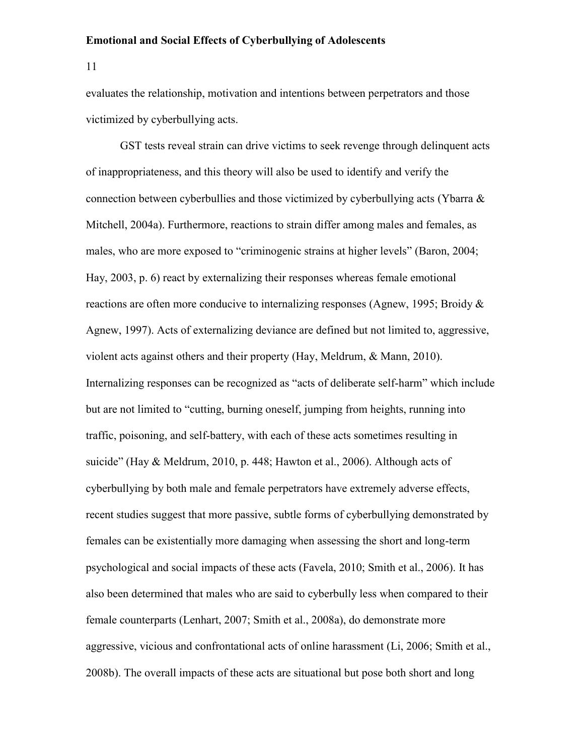11

evaluates the relationship, motivation and intentions between perpetrators and those victimized by cyberbullying acts.

GST tests reveal strain can drive victims to seek revenge through delinquent acts of inappropriateness, and this theory will also be used to identify and verify the connection between cyberbullies and those victimized by cyberbullying acts (Ybarra & Mitchell, 2004a). Furthermore, reactions to strain differ among males and females, as males, who are more exposed to "criminogenic strains at higher levels" (Baron, 2004; Hay, 2003, p. 6) react by externalizing their responses whereas female emotional reactions are often more conducive to internalizing responses (Agnew, 1995; Broidy & Agnew, 1997). Acts of externalizing deviance are defined but not limited to, aggressive, violent acts against others and their property (Hay, Meldrum, & Mann, 2010). Internalizing responses can be recognized as "acts of deliberate self-harm" which include but are not limited to "cutting, burning oneself, jumping from heights, running into traffic, poisoning, and self-battery, with each of these acts sometimes resulting in suicide" (Hay & Meldrum, 2010, p. 448; Hawton et al., 2006). Although acts of cyberbullying by both male and female perpetrators have extremely adverse effects, recent studies suggest that more passive, subtle forms of cyberbullying demonstrated by females can be existentially more damaging when assessing the short and long-term psychological and social impacts of these acts (Favela, 2010; Smith et al., 2006). It has also been determined that males who are said to cyberbully less when compared to their female counterparts (Lenhart, 2007; Smith et al., 2008a), do demonstrate more aggressive, vicious and confrontational acts of online harassment (Li, 2006; Smith et al., 2008b). The overall impacts of these acts are situational but pose both short and long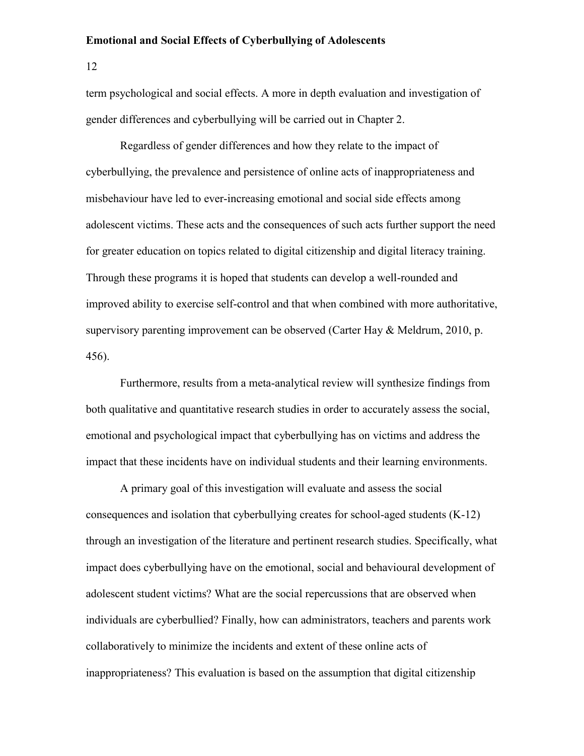12

term psychological and social effects. A more in depth evaluation and investigation of gender differences and cyberbullying will be carried out in Chapter 2.

Regardless of gender differences and how they relate to the impact of cyberbullying, the prevalence and persistence of online acts of inappropriateness and misbehaviour have led to ever-increasing emotional and social side effects among adolescent victims. These acts and the consequences of such acts further support the need for greater education on topics related to digital citizenship and digital literacy training. Through these programs it is hoped that students can develop a well-rounded and improved ability to exercise self-control and that when combined with more authoritative, supervisory parenting improvement can be observed (Carter Hay & Meldrum, 2010, p. 456).

Furthermore, results from a meta-analytical review will synthesize findings from both qualitative and quantitative research studies in order to accurately assess the social, emotional and psychological impact that cyberbullying has on victims and address the impact that these incidents have on individual students and their learning environments.

A primary goal of this investigation will evaluate and assess the social consequences and isolation that cyberbullying creates for school-aged students (K-12) through an investigation of the literature and pertinent research studies. Specifically, what impact does cyberbullying have on the emotional, social and behavioural development of adolescent student victims? What are the social repercussions that are observed when individuals are cyberbullied? Finally, how can administrators, teachers and parents work collaboratively to minimize the incidents and extent of these online acts of inappropriateness? This evaluation is based on the assumption that digital citizenship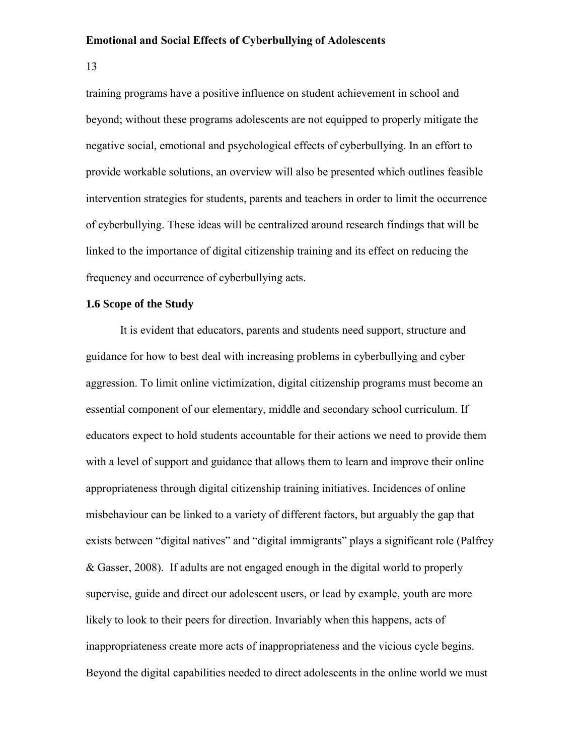13

training programs have a positive influence on student achievement in school and beyond; without these programs adolescents are not equipped to properly mitigate the negative social, emotional and psychological effects of cyberbullying. In an effort to provide workable solutions, an overview will also be presented which outlines feasible intervention strategies for students, parents and teachers in order to limit the occurrence of cyberbullying. These ideas will be centralized around research findings that will be linked to the importance of digital citizenship training and its effect on reducing the frequency and occurrence of cyberbullying acts.

### <span id="page-19-0"></span>**1.6 Scope of the Study**

It is evident that educators, parents and students need support, structure and guidance for how to best deal with increasing problems in cyberbullying and cyber aggression. To limit online victimization, digital citizenship programs must become an essential component of our elementary, middle and secondary school curriculum. If educators expect to hold students accountable for their actions we need to provide them with a level of support and guidance that allows them to learn and improve their online appropriateness through digital citizenship training initiatives. Incidences of online misbehaviour can be linked to a variety of different factors, but arguably the gap that exists between "digital natives" and "digital immigrants" plays a significant role (Palfrey & Gasser, 2008). If adults are not engaged enough in the digital world to properly supervise, guide and direct our adolescent users, or lead by example, youth are more likely to look to their peers for direction. Invariably when this happens, acts of inappropriateness create more acts of inappropriateness and the vicious cycle begins. Beyond the digital capabilities needed to direct adolescents in the online world we must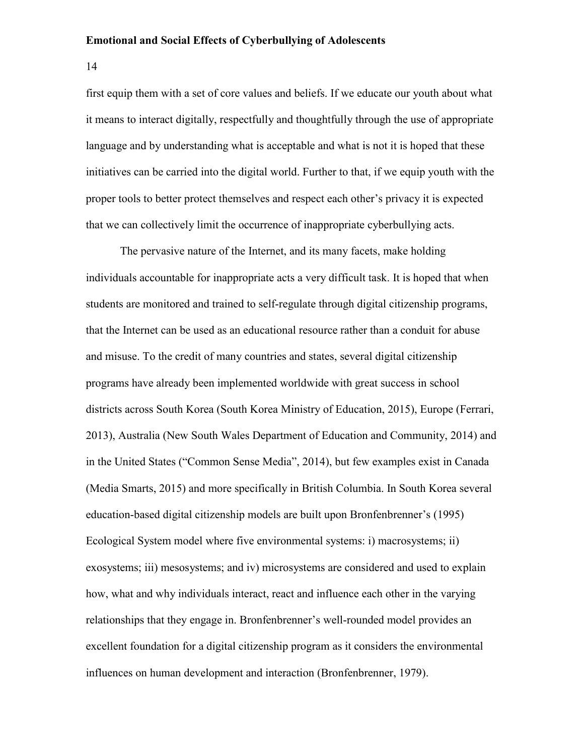14

first equip them with a set of core values and beliefs. If we educate our youth about what it means to interact digitally, respectfully and thoughtfully through the use of appropriate language and by understanding what is acceptable and what is not it is hoped that these initiatives can be carried into the digital world. Further to that, if we equip youth with the proper tools to better protect themselves and respect each other's privacy it is expected that we can collectively limit the occurrence of inappropriate cyberbullying acts.

The pervasive nature of the Internet, and its many facets, make holding individuals accountable for inappropriate acts a very difficult task. It is hoped that when students are monitored and trained to self-regulate through digital citizenship programs, that the Internet can be used as an educational resource rather than a conduit for abuse and misuse. To the credit of many countries and states, several digital citizenship programs have already been implemented worldwide with great success in school districts across South Korea (South Korea Ministry of Education, 2015), Europe (Ferrari, 2013), Australia (New South Wales Department of Education and Community, 2014) and in the United States ("Common Sense Media", 2014), but few examples exist in Canada (Media Smarts, 2015) and more specifically in British Columbia. In South Korea several education-based digital citizenship models are built upon Bronfenbrenner's (1995) Ecological System model where five environmental systems: i) macrosystems; ii) exosystems; iii) mesosystems; and iv) microsystems are considered and used to explain how, what and why individuals interact, react and influence each other in the varying relationships that they engage in. Bronfenbrenner's well-rounded model provides an excellent foundation for a digital citizenship program as it considers the environmental influences on human development and interaction (Bronfenbrenner, 1979).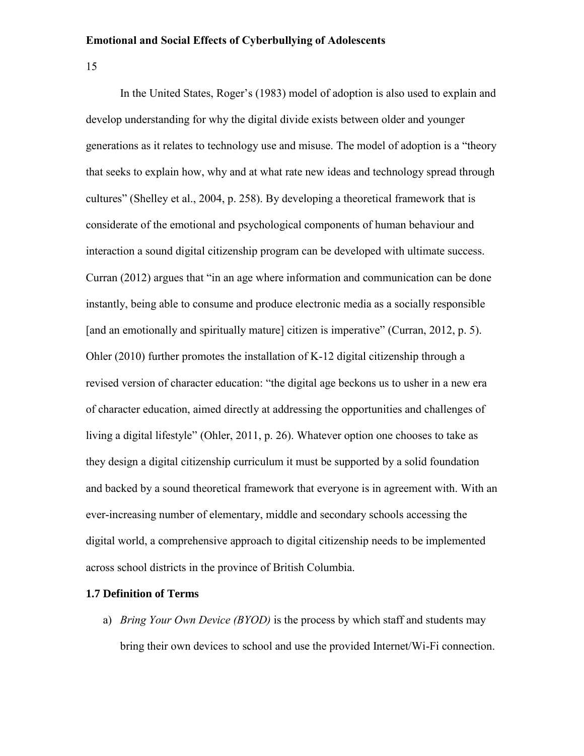15

In the United States, Roger's (1983) model of adoption is also used to explain and develop understanding for why the digital divide exists between older and younger generations as it relates to technology use and misuse. The model of adoption is a "theory that seeks to explain how, why and at what rate new ideas and technology spread through cultures" (Shelley et al., 2004, p. 258). By developing a theoretical framework that is considerate of the emotional and psychological components of human behaviour and interaction a sound digital citizenship program can be developed with ultimate success. Curran (2012) argues that "in an age where information and communication can be done instantly, being able to consume and produce electronic media as a socially responsible [and an emotionally and spiritually mature] citizen is imperative" (Curran, 2012, p. 5). Ohler (2010) further promotes the installation of K-12 digital citizenship through a revised version of character education: "the digital age beckons us to usher in a new era of character education, aimed directly at addressing the opportunities and challenges of living a digital lifestyle" (Ohler, 2011, p. 26). Whatever option one chooses to take as they design a digital citizenship curriculum it must be supported by a solid foundation and backed by a sound theoretical framework that everyone is in agreement with. With an ever-increasing number of elementary, middle and secondary schools accessing the digital world, a comprehensive approach to digital citizenship needs to be implemented across school districts in the province of British Columbia.

### <span id="page-21-0"></span>**1.7 Definition of Terms**

a) *Bring Your Own Device (BYOD)* is the process by which staff and students may bring their own devices to school and use the provided Internet/Wi-Fi connection.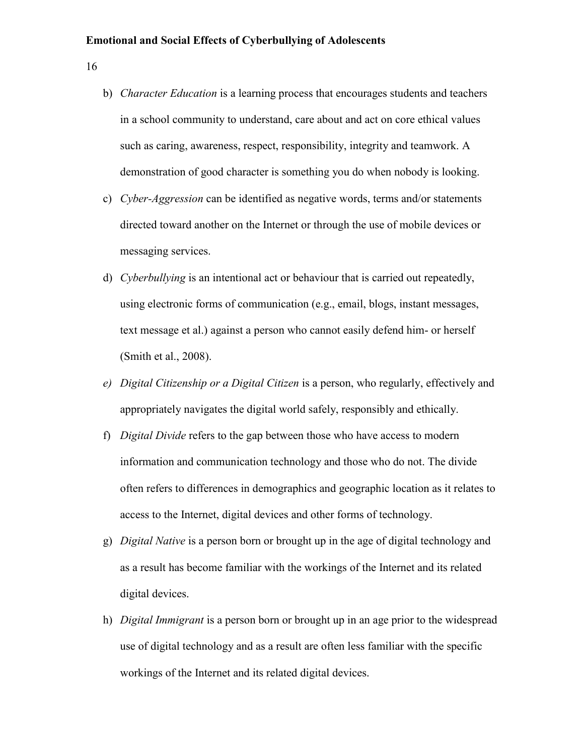16

- b) *Character Education* is a learning process that encourages students and teachers in a school community to understand, care about and act on core ethical values such as caring, awareness, respect, responsibility, integrity and teamwork. A demonstration of good character is something you do when nobody is looking.
- c) *Cyber-Aggression* can be identified as negative words, terms and/or statements directed toward another on the Internet or through the use of mobile devices or messaging services.
- d) *Cyberbullying* is an intentional act or behaviour that is carried out repeatedly, using electronic forms of communication (e.g., email, blogs, instant messages, text message et al.) against a person who cannot easily defend him- or herself (Smith et al., 2008).
- *e) Digital Citizenship or a Digital Citizen* is a person, who regularly, effectively and appropriately navigates the digital world safely, responsibly and ethically.
- f) *Digital Divide* refers to the gap between those who have access to modern information and communication technology and those who do not. The divide often refers to differences in demographics and geographic location as it relates to access to the Internet, digital devices and other forms of technology.
- g) *Digital Native* is a person born or brought up in the age of digital technology and as a result has become familiar with the workings of the Internet and its related digital devices.
- h) *Digital Immigrant* is a person born or brought up in an age prior to the widespread use of digital technology and as a result are often less familiar with the specific workings of the Internet and its related digital devices.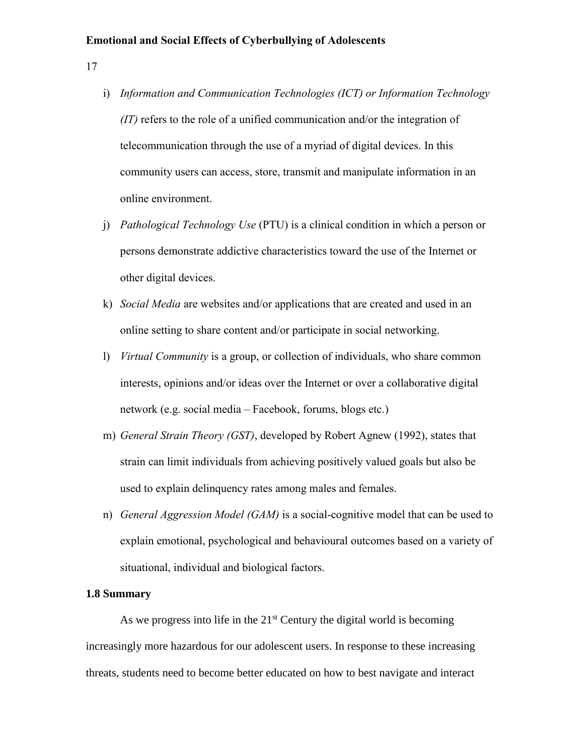17

- i) *Information and Communication Technologies (ICT) or Information Technology (IT)* refers to the role of a unified communication and/or the integration of telecommunication through the use of a myriad of digital devices. In this community users can access, store, transmit and manipulate information in an online environment.
- j) *Pathological Technology Use* (PTU) is a clinical condition in which a person or persons demonstrate addictive characteristics toward the use of the Internet or other digital devices.
- k) *Social Media* are websites and/or applications that are created and used in an online setting to share content and/or participate in social networking.
- l) *Virtual Community* is a group, or collection of individuals, who share common interests, opinions and/or ideas over the Internet or over a collaborative digital network (e.g. social media – Facebook, forums, blogs etc.)
- m) *General Strain Theory (GST)*, developed by Robert Agnew (1992), states that strain can limit individuals from achieving positively valued goals but also be used to explain delinquency rates among males and females.
- n) *General Aggression Model (GAM)* is a social-cognitive model that can be used to explain emotional, psychological and behavioural outcomes based on a variety of situational, individual and biological factors.

# <span id="page-23-0"></span>**1.8 Summary**

As we progress into life in the  $21<sup>st</sup>$  Century the digital world is becoming increasingly more hazardous for our adolescent users. In response to these increasing threats, students need to become better educated on how to best navigate and interact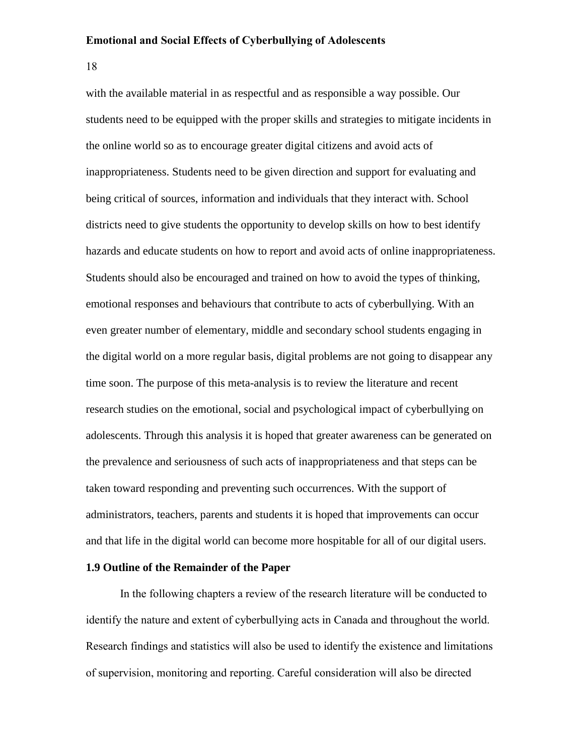18

with the available material in as respectful and as responsible a way possible. Our students need to be equipped with the proper skills and strategies to mitigate incidents in the online world so as to encourage greater digital citizens and avoid acts of inappropriateness. Students need to be given direction and support for evaluating and being critical of sources, information and individuals that they interact with. School districts need to give students the opportunity to develop skills on how to best identify hazards and educate students on how to report and avoid acts of online inappropriateness. Students should also be encouraged and trained on how to avoid the types of thinking, emotional responses and behaviours that contribute to acts of cyberbullying. With an even greater number of elementary, middle and secondary school students engaging in the digital world on a more regular basis, digital problems are not going to disappear any time soon. The purpose of this meta-analysis is to review the literature and recent research studies on the emotional, social and psychological impact of cyberbullying on adolescents. Through this analysis it is hoped that greater awareness can be generated on the prevalence and seriousness of such acts of inappropriateness and that steps can be taken toward responding and preventing such occurrences. With the support of administrators, teachers, parents and students it is hoped that improvements can occur and that life in the digital world can become more hospitable for all of our digital users.

# <span id="page-24-0"></span>**1.9 Outline of the Remainder of the Paper**

In the following chapters a review of the research literature will be conducted to identify the nature and extent of cyberbullying acts in Canada and throughout the world. Research findings and statistics will also be used to identify the existence and limitations of supervision, monitoring and reporting. Careful consideration will also be directed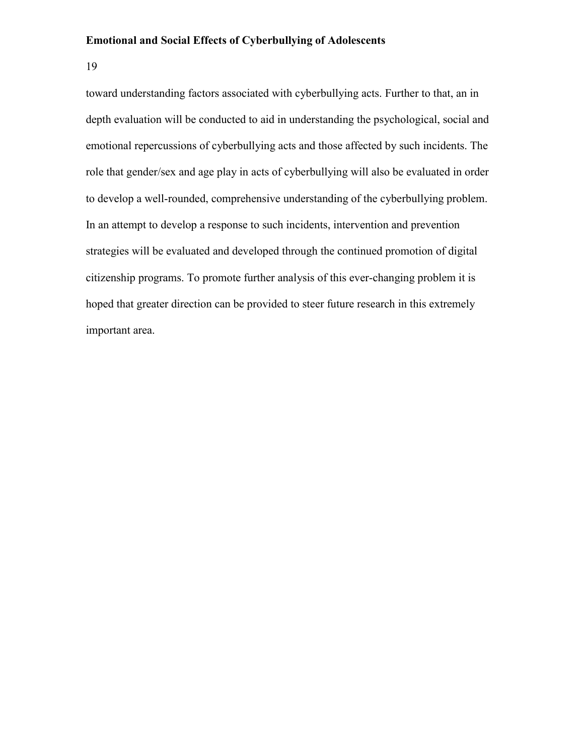19

toward understanding factors associated with cyberbullying acts. Further to that, an in depth evaluation will be conducted to aid in understanding the psychological, social and emotional repercussions of cyberbullying acts and those affected by such incidents. The role that gender/sex and age play in acts of cyberbullying will also be evaluated in order to develop a well-rounded, comprehensive understanding of the cyberbullying problem. In an attempt to develop a response to such incidents, intervention and prevention strategies will be evaluated and developed through the continued promotion of digital citizenship programs. To promote further analysis of this ever-changing problem it is hoped that greater direction can be provided to steer future research in this extremely important area.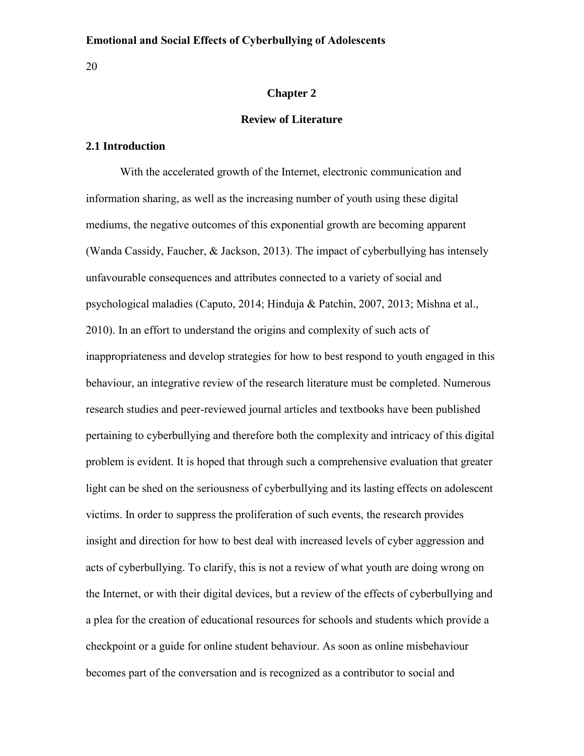<span id="page-26-0"></span>20

# **Chapter 2**

### **Review of Literature**

# <span id="page-26-1"></span>**2.1 Introduction**

With the accelerated growth of the Internet, electronic communication and information sharing, as well as the increasing number of youth using these digital mediums, the negative outcomes of this exponential growth are becoming apparent (Wanda Cassidy, Faucher, & Jackson, 2013). The impact of cyberbullying has intensely unfavourable consequences and attributes connected to a variety of social and psychological maladies (Caputo, 2014; Hinduja & Patchin, 2007, 2013; Mishna et al., 2010). In an effort to understand the origins and complexity of such acts of inappropriateness and develop strategies for how to best respond to youth engaged in this behaviour, an integrative review of the research literature must be completed. Numerous research studies and peer-reviewed journal articles and textbooks have been published pertaining to cyberbullying and therefore both the complexity and intricacy of this digital problem is evident. It is hoped that through such a comprehensive evaluation that greater light can be shed on the seriousness of cyberbullying and its lasting effects on adolescent victims. In order to suppress the proliferation of such events, the research provides insight and direction for how to best deal with increased levels of cyber aggression and acts of cyberbullying. To clarify, this is not a review of what youth are doing wrong on the Internet, or with their digital devices, but a review of the effects of cyberbullying and a plea for the creation of educational resources for schools and students which provide a checkpoint or a guide for online student behaviour. As soon as online misbehaviour becomes part of the conversation and is recognized as a contributor to social and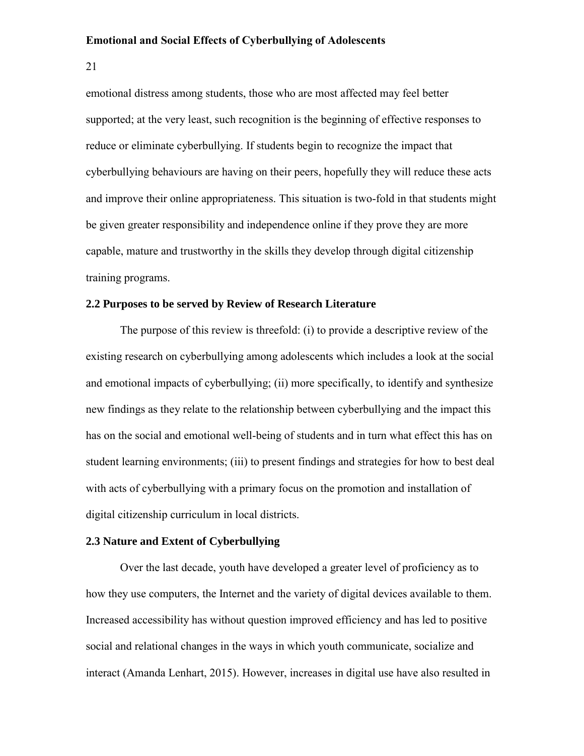21

emotional distress among students, those who are most affected may feel better supported; at the very least, such recognition is the beginning of effective responses to reduce or eliminate cyberbullying. If students begin to recognize the impact that cyberbullying behaviours are having on their peers, hopefully they will reduce these acts and improve their online appropriateness. This situation is two-fold in that students might be given greater responsibility and independence online if they prove they are more capable, mature and trustworthy in the skills they develop through digital citizenship training programs.

# <span id="page-27-0"></span>**2.2 Purposes to be served by Review of Research Literature**

The purpose of this review is threefold: (i) to provide a descriptive review of the existing research on cyberbullying among adolescents which includes a look at the social and emotional impacts of cyberbullying; (ii) more specifically, to identify and synthesize new findings as they relate to the relationship between cyberbullying and the impact this has on the social and emotional well-being of students and in turn what effect this has on student learning environments; (iii) to present findings and strategies for how to best deal with acts of cyberbullying with a primary focus on the promotion and installation of digital citizenship curriculum in local districts.

# <span id="page-27-1"></span>**2.3 Nature and Extent of Cyberbullying**

Over the last decade, youth have developed a greater level of proficiency as to how they use computers, the Internet and the variety of digital devices available to them. Increased accessibility has without question improved efficiency and has led to positive social and relational changes in the ways in which youth communicate, socialize and interact (Amanda Lenhart, 2015). However, increases in digital use have also resulted in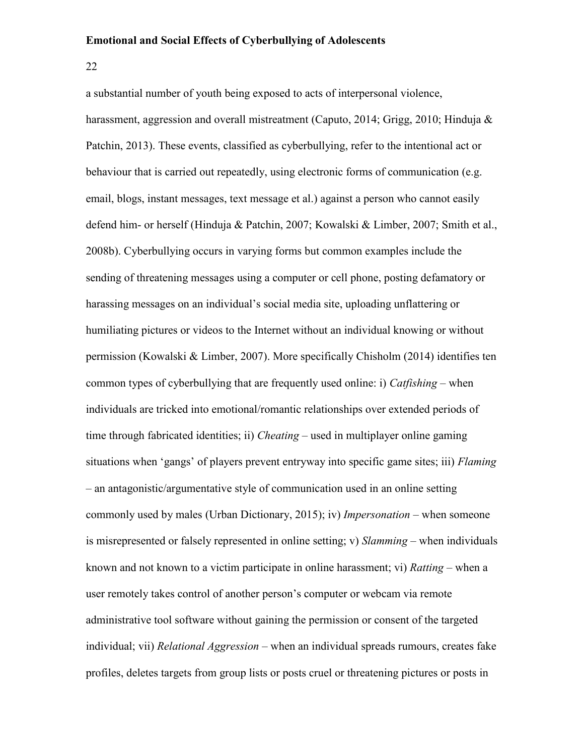22

a substantial number of youth being exposed to acts of interpersonal violence, harassment, aggression and overall mistreatment (Caputo, 2014; Grigg, 2010; Hinduja  $\&$ Patchin, 2013). These events, classified as cyberbullying, refer to the intentional act or behaviour that is carried out repeatedly, using electronic forms of communication (e.g. email, blogs, instant messages, text message et al.) against a person who cannot easily defend him- or herself (Hinduja & Patchin, 2007; Kowalski & Limber, 2007; Smith et al., 2008b). Cyberbullying occurs in varying forms but common examples include the sending of threatening messages using a computer or cell phone, posting defamatory or harassing messages on an individual's social media site, uploading unflattering or humiliating pictures or videos to the Internet without an individual knowing or without permission (Kowalski & Limber, 2007). More specifically Chisholm (2014) identifies ten common types of cyberbullying that are frequently used online: i) *Catfishing* – when individuals are tricked into emotional/romantic relationships over extended periods of time through fabricated identities; ii) *Cheating* – used in multiplayer online gaming situations when 'gangs' of players prevent entryway into specific game sites; iii) *Flaming* – an antagonistic/argumentative style of communication used in an online setting commonly used by males (Urban Dictionary, 2015); iv) *Impersonation* – when someone is misrepresented or falsely represented in online setting; v) *Slamming* – when individuals known and not known to a victim participate in online harassment; vi) *Ratting* – when a user remotely takes control of another person's computer or webcam via remote administrative tool software without gaining the permission or consent of the targeted individual; vii) *Relational Aggression* – when an individual spreads rumours, creates fake profiles, deletes targets from group lists or posts cruel or threatening pictures or posts in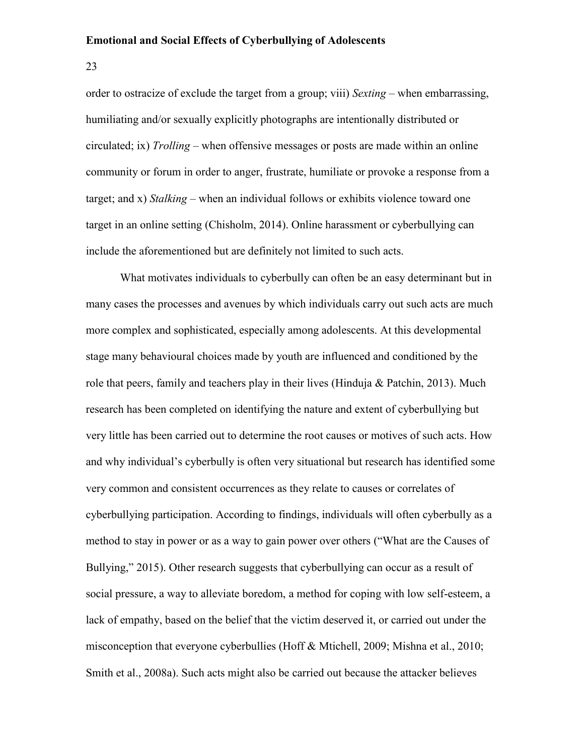23

order to ostracize of exclude the target from a group; viii) *Sexting* – when embarrassing, humiliating and/or sexually explicitly photographs are intentionally distributed or circulated; ix) *Trolling* – when offensive messages or posts are made within an online community or forum in order to anger, frustrate, humiliate or provoke a response from a target; and x) *Stalking* – when an individual follows or exhibits violence toward one target in an online setting (Chisholm, 2014). Online harassment or cyberbullying can include the aforementioned but are definitely not limited to such acts.

What motivates individuals to cyberbully can often be an easy determinant but in many cases the processes and avenues by which individuals carry out such acts are much more complex and sophisticated, especially among adolescents. At this developmental stage many behavioural choices made by youth are influenced and conditioned by the role that peers, family and teachers play in their lives (Hinduja & Patchin, 2013). Much research has been completed on identifying the nature and extent of cyberbullying but very little has been carried out to determine the root causes or motives of such acts. How and why individual's cyberbully is often very situational but research has identified some very common and consistent occurrences as they relate to causes or correlates of cyberbullying participation. According to findings, individuals will often cyberbully as a method to stay in power or as a way to gain power over others ("What are the Causes of Bullying," 2015). Other research suggests that cyberbullying can occur as a result of social pressure, a way to alleviate boredom, a method for coping with low self-esteem, a lack of empathy, based on the belief that the victim deserved it, or carried out under the misconception that everyone cyberbullies (Hoff & Mtichell, 2009; Mishna et al., 2010; Smith et al., 2008a). Such acts might also be carried out because the attacker believes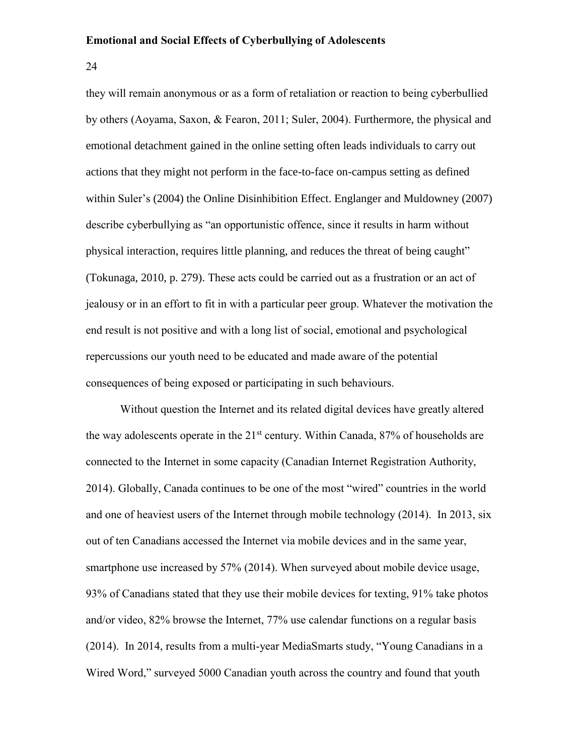24

they will remain anonymous or as a form of retaliation or reaction to being cyberbullied by others (Aoyama, Saxon, & Fearon, 2011; Suler, 2004). Furthermore, the physical and emotional detachment gained in the online setting often leads individuals to carry out actions that they might not perform in the face-to-face on-campus setting as defined within Suler's (2004) the Online Disinhibition Effect. Englanger and Muldowney (2007) describe cyberbullying as "an opportunistic offence, since it results in harm without physical interaction, requires little planning, and reduces the threat of being caught" (Tokunaga, 2010, p. 279). These acts could be carried out as a frustration or an act of jealousy or in an effort to fit in with a particular peer group. Whatever the motivation the end result is not positive and with a long list of social, emotional and psychological repercussions our youth need to be educated and made aware of the potential consequences of being exposed or participating in such behaviours.

Without question the Internet and its related digital devices have greatly altered the way adolescents operate in the  $21<sup>st</sup>$  century. Within Canada, 87% of households are connected to the Internet in some capacity (Canadian Internet Registration Authority, 2014). Globally, Canada continues to be one of the most "wired" countries in the world and one of heaviest users of the Internet through mobile technology (2014). In 2013, six out of ten Canadians accessed the Internet via mobile devices and in the same year, smartphone use increased by 57% (2014). When surveyed about mobile device usage, 93% of Canadians stated that they use their mobile devices for texting, 91% take photos and/or video, 82% browse the Internet, 77% use calendar functions on a regular basis (2014). In 2014, results from a multi-year MediaSmarts study, "Young Canadians in a Wired Word," surveyed 5000 Canadian youth across the country and found that youth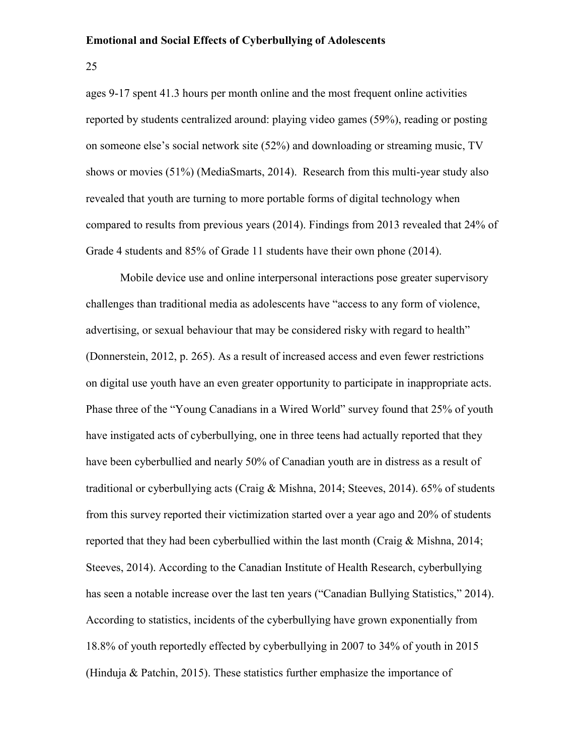25

ages 9-17 spent 41.3 hours per month online and the most frequent online activities reported by students centralized around: playing video games (59%), reading or posting on someone else's social network site (52%) and downloading or streaming music, TV shows or movies (51%) (MediaSmarts, 2014). Research from this multi-year study also revealed that youth are turning to more portable forms of digital technology when compared to results from previous years (2014). Findings from 2013 revealed that 24% of Grade 4 students and 85% of Grade 11 students have their own phone (2014).

Mobile device use and online interpersonal interactions pose greater supervisory challenges than traditional media as adolescents have "access to any form of violence, advertising, or sexual behaviour that may be considered risky with regard to health" (Donnerstein, 2012, p. 265). As a result of increased access and even fewer restrictions on digital use youth have an even greater opportunity to participate in inappropriate acts. Phase three of the "Young Canadians in a Wired World" survey found that 25% of youth have instigated acts of cyberbullying, one in three teens had actually reported that they have been cyberbullied and nearly 50% of Canadian youth are in distress as a result of traditional or cyberbullying acts (Craig & Mishna, 2014; Steeves, 2014). 65% of students from this survey reported their victimization started over a year ago and 20% of students reported that they had been cyberbullied within the last month (Craig & Mishna, 2014; Steeves, 2014). According to the Canadian Institute of Health Research, cyberbullying has seen a notable increase over the last ten years ("Canadian Bullying Statistics," 2014). According to statistics, incidents of the cyberbullying have grown exponentially from 18.8% of youth reportedly effected by cyberbullying in 2007 to 34% of youth in 2015 (Hinduja & Patchin, 2015). These statistics further emphasize the importance of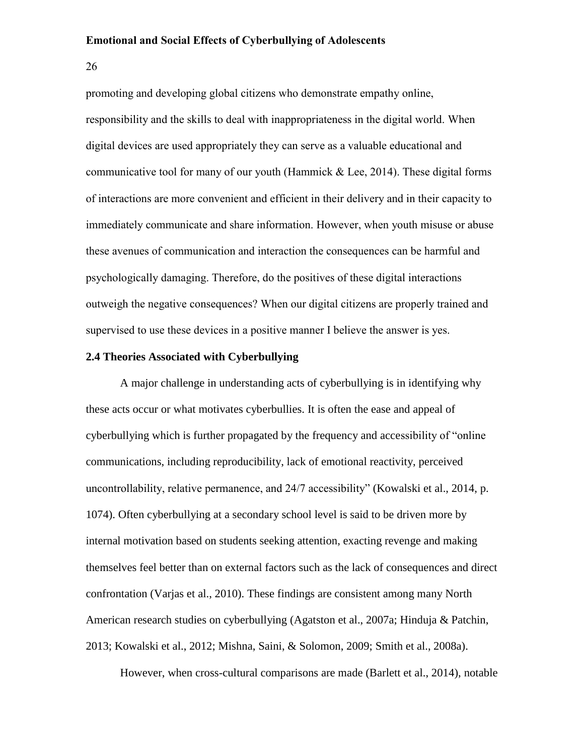26

promoting and developing global citizens who demonstrate empathy online, responsibility and the skills to deal with inappropriateness in the digital world. When digital devices are used appropriately they can serve as a valuable educational and communicative tool for many of our youth (Hammick & Lee, 2014). These digital forms of interactions are more convenient and efficient in their delivery and in their capacity to immediately communicate and share information. However, when youth misuse or abuse these avenues of communication and interaction the consequences can be harmful and psychologically damaging. Therefore, do the positives of these digital interactions outweigh the negative consequences? When our digital citizens are properly trained and supervised to use these devices in a positive manner I believe the answer is yes.

# <span id="page-32-0"></span>**2.4 Theories Associated with Cyberbullying**

A major challenge in understanding acts of cyberbullying is in identifying why these acts occur or what motivates cyberbullies. It is often the ease and appeal of cyberbullying which is further propagated by the frequency and accessibility of "online communications, including reproducibility, lack of emotional reactivity, perceived uncontrollability, relative permanence, and 24/7 accessibility" (Kowalski et al., 2014, p. 1074). Often cyberbullying at a secondary school level is said to be driven more by internal motivation based on students seeking attention, exacting revenge and making themselves feel better than on external factors such as the lack of consequences and direct confrontation (Varjas et al., 2010). These findings are consistent among many North American research studies on cyberbullying (Agatston et al., 2007a; Hinduja & Patchin, 2013; Kowalski et al., 2012; Mishna, Saini, & Solomon, 2009; Smith et al., 2008a).

However, when cross-cultural comparisons are made (Barlett et al., 2014), notable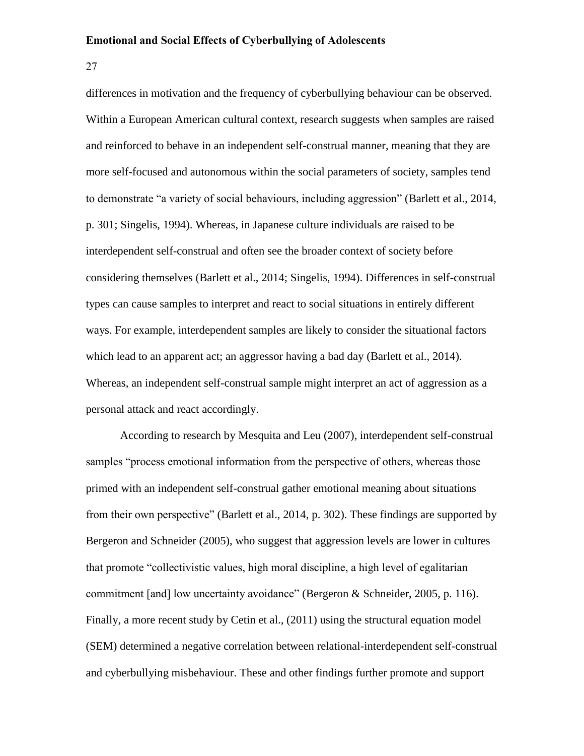27

differences in motivation and the frequency of cyberbullying behaviour can be observed. Within a European American cultural context, research suggests when samples are raised and reinforced to behave in an independent self-construal manner, meaning that they are more self-focused and autonomous within the social parameters of society, samples tend to demonstrate "a variety of social behaviours, including aggression" (Barlett et al., 2014, p. 301; Singelis, 1994). Whereas, in Japanese culture individuals are raised to be interdependent self-construal and often see the broader context of society before considering themselves (Barlett et al., 2014; Singelis, 1994). Differences in self-construal types can cause samples to interpret and react to social situations in entirely different ways. For example, interdependent samples are likely to consider the situational factors which lead to an apparent act; an aggressor having a bad day (Barlett et al., 2014). Whereas, an independent self-construal sample might interpret an act of aggression as a personal attack and react accordingly.

According to research by Mesquita and Leu (2007), interdependent self-construal samples "process emotional information from the perspective of others, whereas those primed with an independent self-construal gather emotional meaning about situations from their own perspective" (Barlett et al., 2014, p. 302). These findings are supported by Bergeron and Schneider (2005), who suggest that aggression levels are lower in cultures that promote "collectivistic values, high moral discipline, a high level of egalitarian commitment [and] low uncertainty avoidance" (Bergeron & Schneider, 2005, p. 116). Finally, a more recent study by Cetin et al., (2011) using the structural equation model (SEM) determined a negative correlation between relational-interdependent self-construal and cyberbullying misbehaviour. These and other findings further promote and support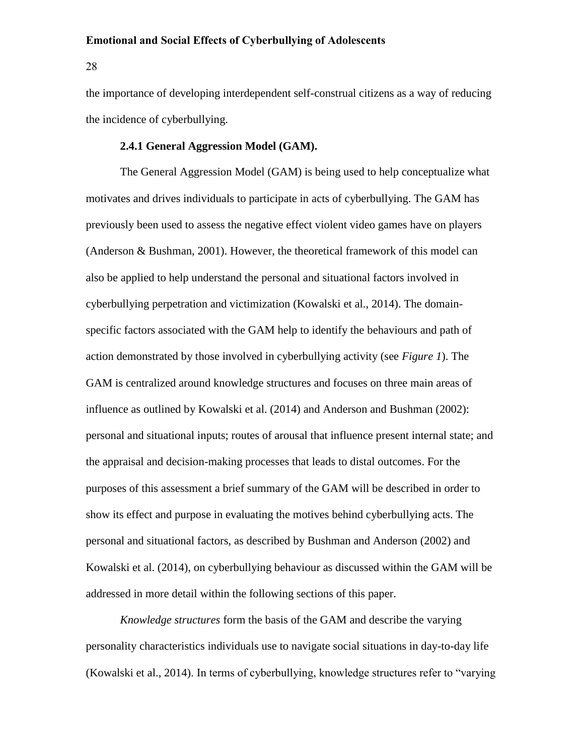28

the importance of developing interdependent self-construal citizens as a way of reducing the incidence of cyberbullying.

## **2.4.1 General Aggression Model (GAM).**

<span id="page-34-0"></span>The General Aggression Model (GAM) is being used to help conceptualize what motivates and drives individuals to participate in acts of cyberbullying. The GAM has previously been used to assess the negative effect violent video games have on players (Anderson & Bushman, 2001). However, the theoretical framework of this model can also be applied to help understand the personal and situational factors involved in cyberbullying perpetration and victimization (Kowalski et al., 2014). The domainspecific factors associated with the GAM help to identify the behaviours and path of action demonstrated by those involved in cyberbullying activity (see *Figure 1*). The GAM is centralized around knowledge structures and focuses on three main areas of influence as outlined by Kowalski et al. (2014) and Anderson and Bushman (2002): personal and situational inputs; routes of arousal that influence present internal state; and the appraisal and decision-making processes that leads to distal outcomes. For the purposes of this assessment a brief summary of the GAM will be described in order to show its effect and purpose in evaluating the motives behind cyberbullying acts. The personal and situational factors, as described by Bushman and Anderson (2002) and Kowalski et al. (2014), on cyberbullying behaviour as discussed within the GAM will be addressed in more detail within the following sections of this paper.

*Knowledge structures* form the basis of the GAM and describe the varying personality characteristics individuals use to navigate social situations in day-to-day life (Kowalski et al., 2014). In terms of cyberbullying, knowledge structures refer to "varying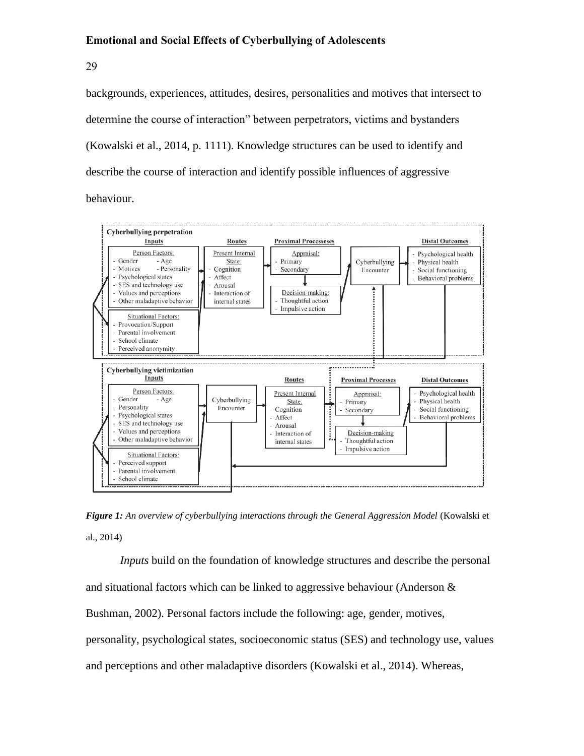29

backgrounds, experiences, attitudes, desires, personalities and motives that intersect to determine the course of interaction" between perpetrators, victims and bystanders (Kowalski et al., 2014, p. 1111). Knowledge structures can be used to identify and describe the course of interaction and identify possible influences of aggressive behaviour.



*Figure 1: An overview of cyberbullying interactions through the General Aggression Model* (Kowalski et al., 2014)

*Inputs* build on the foundation of knowledge structures and describe the personal and situational factors which can be linked to aggressive behaviour (Anderson  $\&$ Bushman, 2002). Personal factors include the following: age, gender, motives, personality, psychological states, socioeconomic status (SES) and technology use, values and perceptions and other maladaptive disorders (Kowalski et al., 2014). Whereas,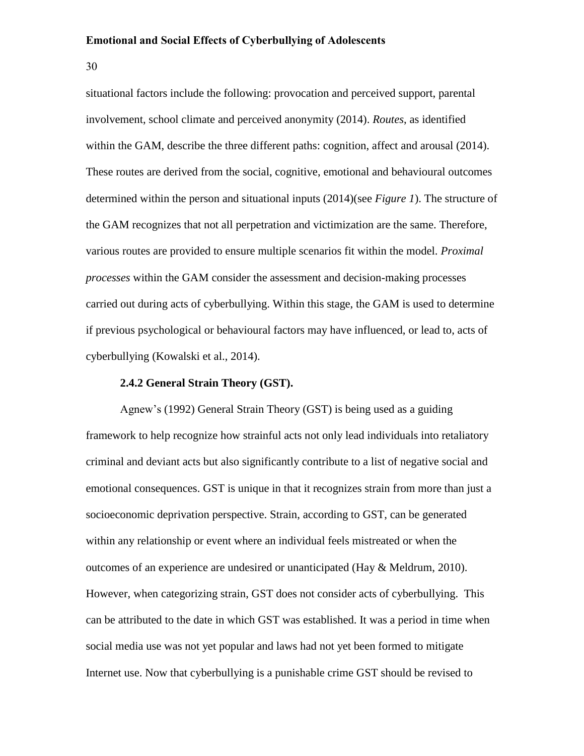30

situational factors include the following: provocation and perceived support, parental involvement, school climate and perceived anonymity (2014). *Routes*, as identified within the GAM, describe the three different paths: cognition, affect and arousal (2014). These routes are derived from the social, cognitive, emotional and behavioural outcomes determined within the person and situational inputs (2014)(see *Figure 1*). The structure of the GAM recognizes that not all perpetration and victimization are the same. Therefore, various routes are provided to ensure multiple scenarios fit within the model. *Proximal processes* within the GAM consider the assessment and decision-making processes carried out during acts of cyberbullying. Within this stage, the GAM is used to determine if previous psychological or behavioural factors may have influenced, or lead to, acts of cyberbullying (Kowalski et al., 2014).

# **2.4.2 General Strain Theory (GST).**

Agnew's (1992) General Strain Theory (GST) is being used as a guiding framework to help recognize how strainful acts not only lead individuals into retaliatory criminal and deviant acts but also significantly contribute to a list of negative social and emotional consequences. GST is unique in that it recognizes strain from more than just a socioeconomic deprivation perspective. Strain, according to GST, can be generated within any relationship or event where an individual feels mistreated or when the outcomes of an experience are undesired or unanticipated (Hay & Meldrum, 2010). However, when categorizing strain, GST does not consider acts of cyberbullying. This can be attributed to the date in which GST was established. It was a period in time when social media use was not yet popular and laws had not yet been formed to mitigate Internet use. Now that cyberbullying is a punishable crime GST should be revised to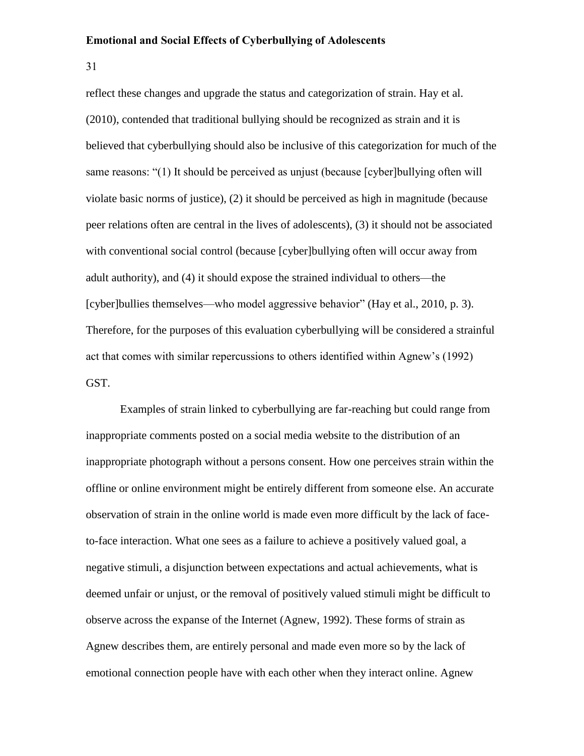31

reflect these changes and upgrade the status and categorization of strain. Hay et al. (2010), contended that traditional bullying should be recognized as strain and it is believed that cyberbullying should also be inclusive of this categorization for much of the same reasons: "(1) It should be perceived as unjust (because [cyber]bullying often will violate basic norms of justice), (2) it should be perceived as high in magnitude (because peer relations often are central in the lives of adolescents), (3) it should not be associated with conventional social control (because [cyber]bullying often will occur away from adult authority), and (4) it should expose the strained individual to others—the [cyber]bullies themselves—who model aggressive behavior" (Hay et al., 2010, p. 3). Therefore, for the purposes of this evaluation cyberbullying will be considered a strainful act that comes with similar repercussions to others identified within Agnew's (1992) GST.

Examples of strain linked to cyberbullying are far-reaching but could range from inappropriate comments posted on a social media website to the distribution of an inappropriate photograph without a persons consent. How one perceives strain within the offline or online environment might be entirely different from someone else. An accurate observation of strain in the online world is made even more difficult by the lack of faceto-face interaction. What one sees as a failure to achieve a positively valued goal, a negative stimuli, a disjunction between expectations and actual achievements, what is deemed unfair or unjust, or the removal of positively valued stimuli might be difficult to observe across the expanse of the Internet (Agnew, 1992). These forms of strain as Agnew describes them, are entirely personal and made even more so by the lack of emotional connection people have with each other when they interact online. Agnew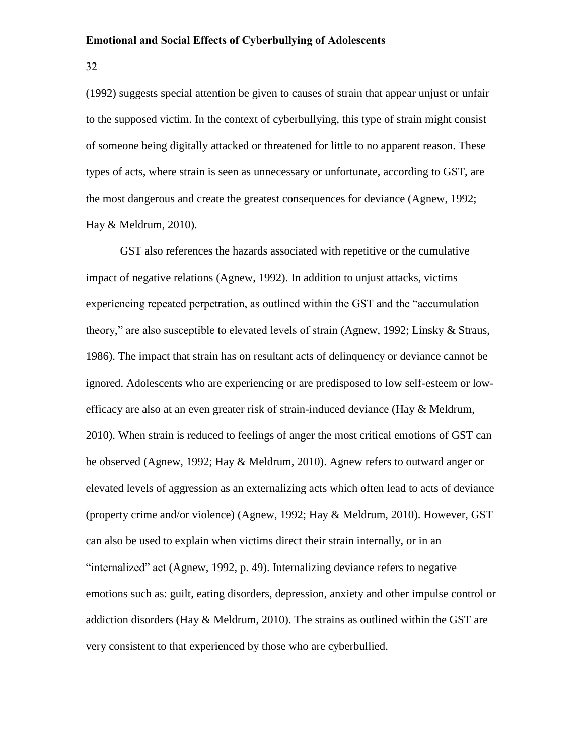32

(1992) suggests special attention be given to causes of strain that appear unjust or unfair to the supposed victim. In the context of cyberbullying, this type of strain might consist of someone being digitally attacked or threatened for little to no apparent reason. These types of acts, where strain is seen as unnecessary or unfortunate, according to GST, are the most dangerous and create the greatest consequences for deviance (Agnew, 1992; Hay & Meldrum, 2010).

GST also references the hazards associated with repetitive or the cumulative impact of negative relations (Agnew, 1992). In addition to unjust attacks, victims experiencing repeated perpetration, as outlined within the GST and the "accumulation theory," are also susceptible to elevated levels of strain (Agnew, 1992; Linsky & Straus, 1986). The impact that strain has on resultant acts of delinquency or deviance cannot be ignored. Adolescents who are experiencing or are predisposed to low self-esteem or lowefficacy are also at an even greater risk of strain-induced deviance (Hay & Meldrum, 2010). When strain is reduced to feelings of anger the most critical emotions of GST can be observed (Agnew, 1992; Hay & Meldrum, 2010). Agnew refers to outward anger or elevated levels of aggression as an externalizing acts which often lead to acts of deviance (property crime and/or violence) (Agnew, 1992; Hay & Meldrum, 2010). However, GST can also be used to explain when victims direct their strain internally, or in an "internalized" act (Agnew, 1992, p. 49). Internalizing deviance refers to negative emotions such as: guilt, eating disorders, depression, anxiety and other impulse control or addiction disorders (Hay & Meldrum, 2010). The strains as outlined within the GST are very consistent to that experienced by those who are cyberbullied.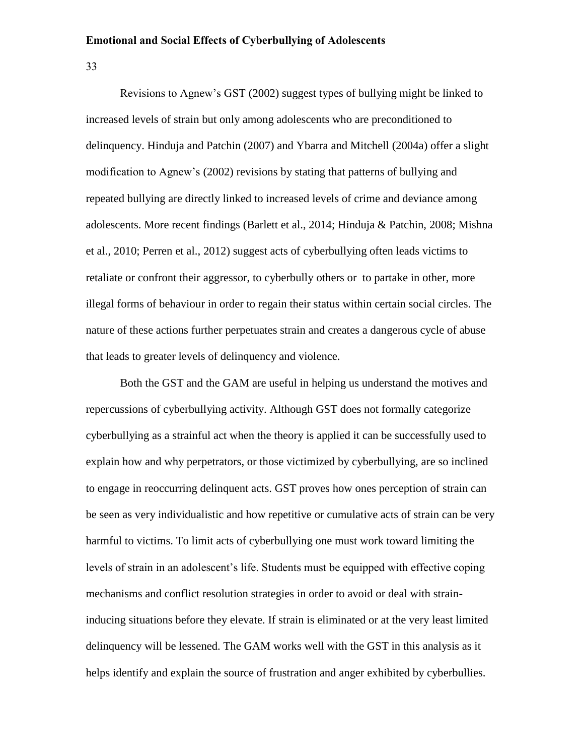33

Revisions to Agnew's GST (2002) suggest types of bullying might be linked to increased levels of strain but only among adolescents who are preconditioned to delinquency. Hinduja and Patchin (2007) and Ybarra and Mitchell (2004a) offer a slight modification to Agnew's (2002) revisions by stating that patterns of bullying and repeated bullying are directly linked to increased levels of crime and deviance among adolescents. More recent findings (Barlett et al., 2014; Hinduja & Patchin, 2008; Mishna et al., 2010; Perren et al., 2012) suggest acts of cyberbullying often leads victims to retaliate or confront their aggressor, to cyberbully others or to partake in other, more illegal forms of behaviour in order to regain their status within certain social circles. The nature of these actions further perpetuates strain and creates a dangerous cycle of abuse that leads to greater levels of delinquency and violence.

Both the GST and the GAM are useful in helping us understand the motives and repercussions of cyberbullying activity. Although GST does not formally categorize cyberbullying as a strainful act when the theory is applied it can be successfully used to explain how and why perpetrators, or those victimized by cyberbullying, are so inclined to engage in reoccurring delinquent acts. GST proves how ones perception of strain can be seen as very individualistic and how repetitive or cumulative acts of strain can be very harmful to victims. To limit acts of cyberbullying one must work toward limiting the levels of strain in an adolescent's life. Students must be equipped with effective coping mechanisms and conflict resolution strategies in order to avoid or deal with straininducing situations before they elevate. If strain is eliminated or at the very least limited delinquency will be lessened. The GAM works well with the GST in this analysis as it helps identify and explain the source of frustration and anger exhibited by cyberbullies.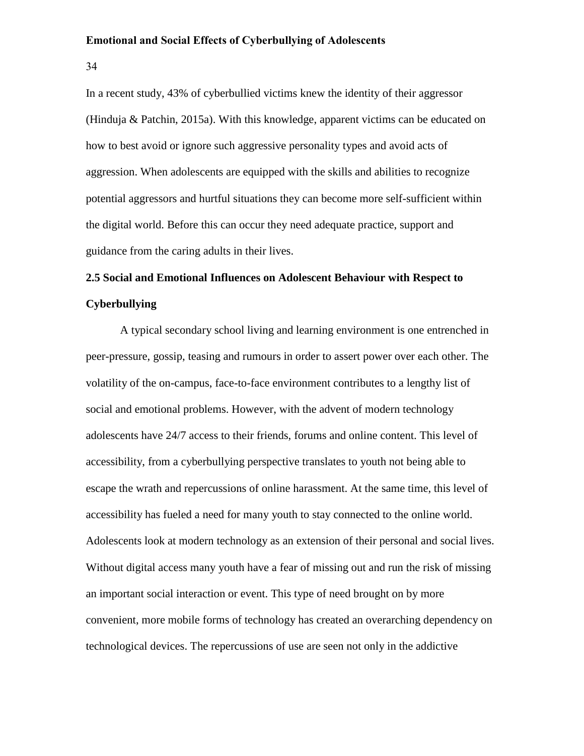34

In a recent study, 43% of cyberbullied victims knew the identity of their aggressor (Hinduja & Patchin, 2015a). With this knowledge, apparent victims can be educated on how to best avoid or ignore such aggressive personality types and avoid acts of aggression. When adolescents are equipped with the skills and abilities to recognize potential aggressors and hurtful situations they can become more self-sufficient within the digital world. Before this can occur they need adequate practice, support and guidance from the caring adults in their lives.

# **2.5 Social and Emotional Influences on Adolescent Behaviour with Respect to Cyberbullying**

A typical secondary school living and learning environment is one entrenched in peer-pressure, gossip, teasing and rumours in order to assert power over each other. The volatility of the on-campus, face-to-face environment contributes to a lengthy list of social and emotional problems. However, with the advent of modern technology adolescents have 24/7 access to their friends, forums and online content. This level of accessibility, from a cyberbullying perspective translates to youth not being able to escape the wrath and repercussions of online harassment. At the same time, this level of accessibility has fueled a need for many youth to stay connected to the online world. Adolescents look at modern technology as an extension of their personal and social lives. Without digital access many youth have a fear of missing out and run the risk of missing an important social interaction or event. This type of need brought on by more convenient, more mobile forms of technology has created an overarching dependency on technological devices. The repercussions of use are seen not only in the addictive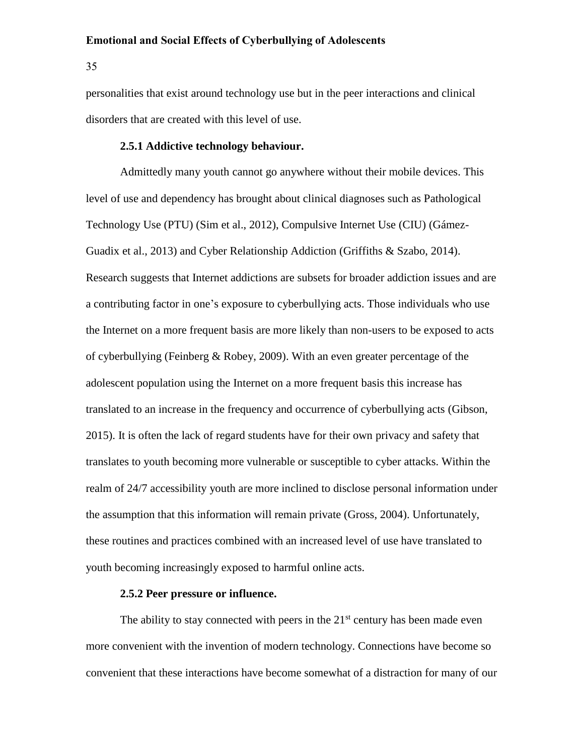35

personalities that exist around technology use but in the peer interactions and clinical disorders that are created with this level of use.

# **2.5.1 Addictive technology behaviour.**

Admittedly many youth cannot go anywhere without their mobile devices. This level of use and dependency has brought about clinical diagnoses such as Pathological Technology Use (PTU) (Sim et al., 2012), Compulsive Internet Use (CIU) (Gámez-Guadix et al., 2013) and Cyber Relationship Addiction (Griffiths & Szabo, 2014). Research suggests that Internet addictions are subsets for broader addiction issues and are a contributing factor in one's exposure to cyberbullying acts. Those individuals who use the Internet on a more frequent basis are more likely than non-users to be exposed to acts of cyberbullying (Feinberg & Robey, 2009). With an even greater percentage of the adolescent population using the Internet on a more frequent basis this increase has translated to an increase in the frequency and occurrence of cyberbullying acts (Gibson, 2015). It is often the lack of regard students have for their own privacy and safety that translates to youth becoming more vulnerable or susceptible to cyber attacks. Within the realm of 24/7 accessibility youth are more inclined to disclose personal information under the assumption that this information will remain private (Gross, 2004). Unfortunately, these routines and practices combined with an increased level of use have translated to youth becoming increasingly exposed to harmful online acts.

# **2.5.2 Peer pressure or influence.**

The ability to stay connected with peers in the  $21<sup>st</sup>$  century has been made even more convenient with the invention of modern technology. Connections have become so convenient that these interactions have become somewhat of a distraction for many of our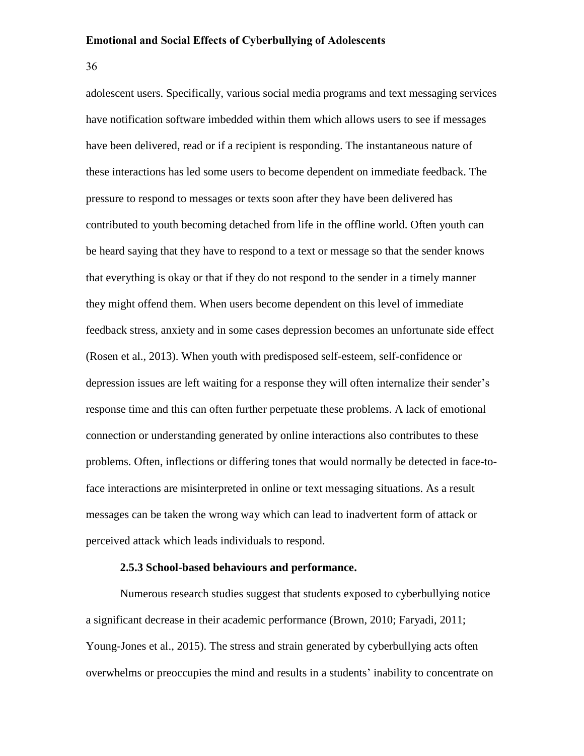36

adolescent users. Specifically, various social media programs and text messaging services have notification software imbedded within them which allows users to see if messages have been delivered, read or if a recipient is responding. The instantaneous nature of these interactions has led some users to become dependent on immediate feedback. The pressure to respond to messages or texts soon after they have been delivered has contributed to youth becoming detached from life in the offline world. Often youth can be heard saying that they have to respond to a text or message so that the sender knows that everything is okay or that if they do not respond to the sender in a timely manner they might offend them. When users become dependent on this level of immediate feedback stress, anxiety and in some cases depression becomes an unfortunate side effect (Rosen et al., 2013). When youth with predisposed self-esteem, self-confidence or depression issues are left waiting for a response they will often internalize their sender's response time and this can often further perpetuate these problems. A lack of emotional connection or understanding generated by online interactions also contributes to these problems. Often, inflections or differing tones that would normally be detected in face-toface interactions are misinterpreted in online or text messaging situations. As a result messages can be taken the wrong way which can lead to inadvertent form of attack or perceived attack which leads individuals to respond.

# **2.5.3 School-based behaviours and performance.**

Numerous research studies suggest that students exposed to cyberbullying notice a significant decrease in their academic performance (Brown, 2010; Faryadi, 2011; Young-Jones et al., 2015). The stress and strain generated by cyberbullying acts often overwhelms or preoccupies the mind and results in a students' inability to concentrate on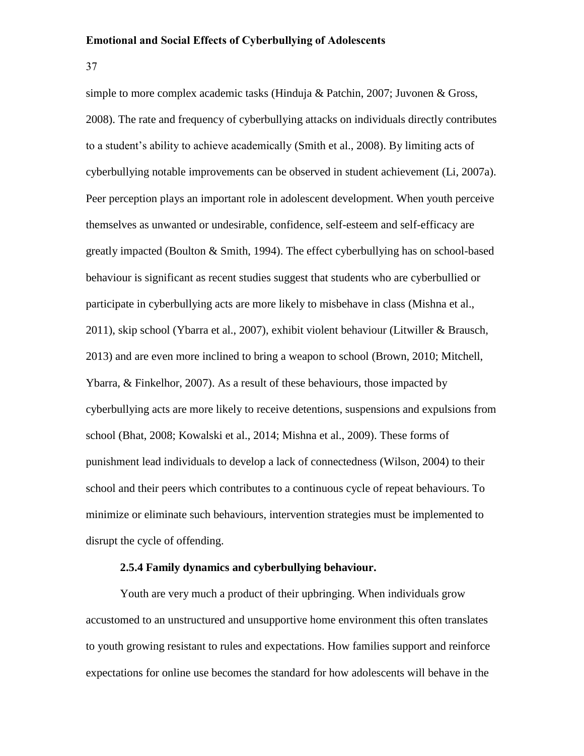37

simple to more complex academic tasks (Hinduja & Patchin, 2007; Juvonen & Gross, 2008). The rate and frequency of cyberbullying attacks on individuals directly contributes to a student's ability to achieve academically (Smith et al., 2008). By limiting acts of cyberbullying notable improvements can be observed in student achievement (Li, 2007a). Peer perception plays an important role in adolescent development. When youth perceive themselves as unwanted or undesirable, confidence, self-esteem and self-efficacy are greatly impacted (Boulton & Smith, 1994). The effect cyberbullying has on school-based behaviour is significant as recent studies suggest that students who are cyberbullied or participate in cyberbullying acts are more likely to misbehave in class (Mishna et al., 2011), skip school (Ybarra et al., 2007), exhibit violent behaviour (Litwiller & Brausch, 2013) and are even more inclined to bring a weapon to school (Brown, 2010; Mitchell, Ybarra, & Finkelhor, 2007). As a result of these behaviours, those impacted by cyberbullying acts are more likely to receive detentions, suspensions and expulsions from school (Bhat, 2008; Kowalski et al., 2014; Mishna et al., 2009). These forms of punishment lead individuals to develop a lack of connectedness (Wilson, 2004) to their school and their peers which contributes to a continuous cycle of repeat behaviours. To minimize or eliminate such behaviours, intervention strategies must be implemented to disrupt the cycle of offending.

# **2.5.4 Family dynamics and cyberbullying behaviour.**

Youth are very much a product of their upbringing. When individuals grow accustomed to an unstructured and unsupportive home environment this often translates to youth growing resistant to rules and expectations. How families support and reinforce expectations for online use becomes the standard for how adolescents will behave in the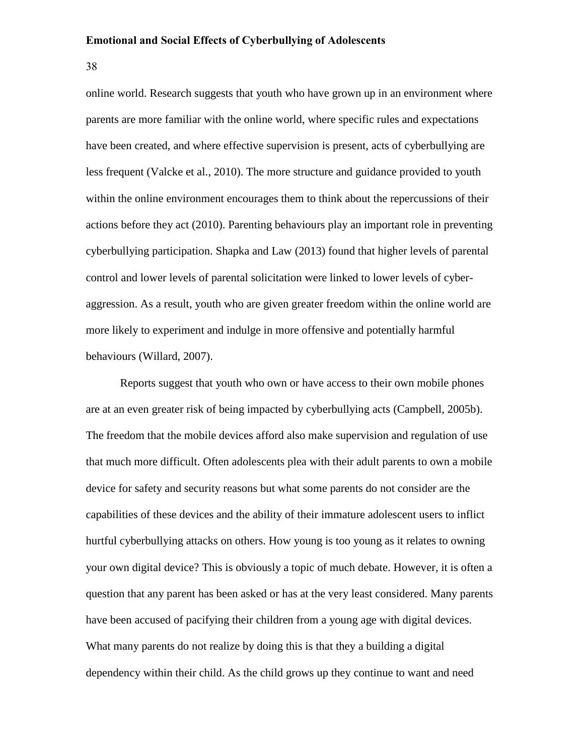38

online world. Research suggests that youth who have grown up in an environment where parents are more familiar with the online world, where specific rules and expectations have been created, and where effective supervision is present, acts of cyberbullying are less frequent (Valcke et al., 2010). The more structure and guidance provided to youth within the online environment encourages them to think about the repercussions of their actions before they act (2010). Parenting behaviours play an important role in preventing cyberbullying participation. Shapka and Law (2013) found that higher levels of parental control and lower levels of parental solicitation were linked to lower levels of cyberaggression. As a result, youth who are given greater freedom within the online world are more likely to experiment and indulge in more offensive and potentially harmful behaviours (Willard, 2007).

Reports suggest that youth who own or have access to their own mobile phones are at an even greater risk of being impacted by cyberbullying acts (Campbell, 2005b). The freedom that the mobile devices afford also make supervision and regulation of use that much more difficult. Often adolescents plea with their adult parents to own a mobile device for safety and security reasons but what some parents do not consider are the capabilities of these devices and the ability of their immature adolescent users to inflict hurtful cyberbullying attacks on others. How young is too young as it relates to owning your own digital device? This is obviously a topic of much debate. However, it is often a question that any parent has been asked or has at the very least considered. Many parents have been accused of pacifying their children from a young age with digital devices. What many parents do not realize by doing this is that they a building a digital dependency within their child. As the child grows up they continue to want and need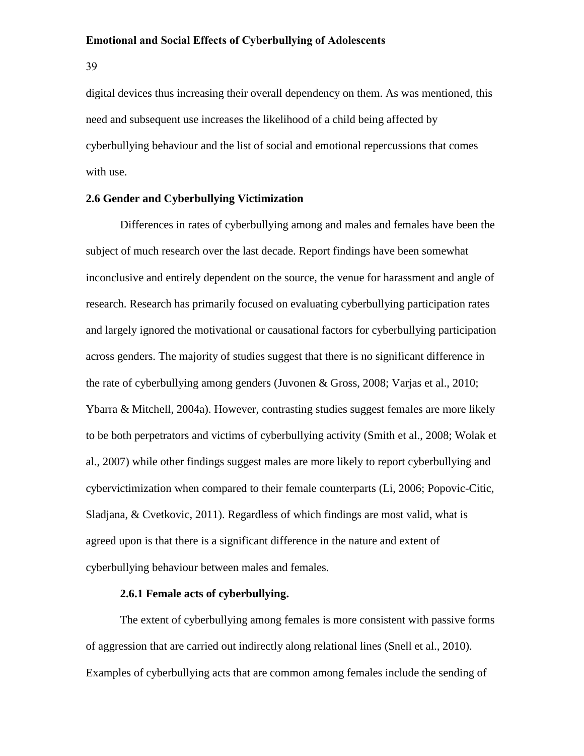39

digital devices thus increasing their overall dependency on them. As was mentioned, this need and subsequent use increases the likelihood of a child being affected by cyberbullying behaviour and the list of social and emotional repercussions that comes with use.

# **2.6 Gender and Cyberbullying Victimization**

Differences in rates of cyberbullying among and males and females have been the subject of much research over the last decade. Report findings have been somewhat inconclusive and entirely dependent on the source, the venue for harassment and angle of research. Research has primarily focused on evaluating cyberbullying participation rates and largely ignored the motivational or causational factors for cyberbullying participation across genders. The majority of studies suggest that there is no significant difference in the rate of cyberbullying among genders (Juvonen & Gross, 2008; Varjas et al., 2010; Ybarra & Mitchell, 2004a). However, contrasting studies suggest females are more likely to be both perpetrators and victims of cyberbullying activity (Smith et al., 2008; Wolak et al., 2007) while other findings suggest males are more likely to report cyberbullying and cybervictimization when compared to their female counterparts (Li, 2006; Popovic-Citic, Sladjana, & Cvetkovic, 2011). Regardless of which findings are most valid, what is agreed upon is that there is a significant difference in the nature and extent of cyberbullying behaviour between males and females.

# **2.6.1 Female acts of cyberbullying.**

The extent of cyberbullying among females is more consistent with passive forms of aggression that are carried out indirectly along relational lines (Snell et al., 2010). Examples of cyberbullying acts that are common among females include the sending of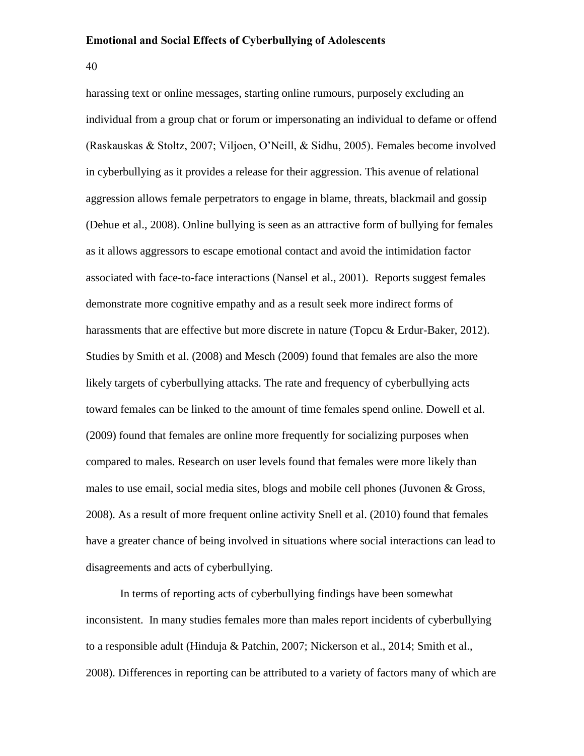40

harassing text or online messages, starting online rumours, purposely excluding an individual from a group chat or forum or impersonating an individual to defame or offend (Raskauskas & Stoltz, 2007; Viljoen, O'Neill, & Sidhu, 2005). Females become involved in cyberbullying as it provides a release for their aggression. This avenue of relational aggression allows female perpetrators to engage in blame, threats, blackmail and gossip (Dehue et al., 2008). Online bullying is seen as an attractive form of bullying for females as it allows aggressors to escape emotional contact and avoid the intimidation factor associated with face-to-face interactions (Nansel et al., 2001). Reports suggest females demonstrate more cognitive empathy and as a result seek more indirect forms of harassments that are effective but more discrete in nature (Topcu & Erdur-Baker, 2012). Studies by Smith et al. (2008) and Mesch (2009) found that females are also the more likely targets of cyberbullying attacks. The rate and frequency of cyberbullying acts toward females can be linked to the amount of time females spend online. Dowell et al. (2009) found that females are online more frequently for socializing purposes when compared to males. Research on user levels found that females were more likely than males to use email, social media sites, blogs and mobile cell phones (Juvonen & Gross, 2008). As a result of more frequent online activity Snell et al. (2010) found that females have a greater chance of being involved in situations where social interactions can lead to disagreements and acts of cyberbullying.

In terms of reporting acts of cyberbullying findings have been somewhat inconsistent. In many studies females more than males report incidents of cyberbullying to a responsible adult (Hinduja & Patchin, 2007; Nickerson et al., 2014; Smith et al., 2008). Differences in reporting can be attributed to a variety of factors many of which are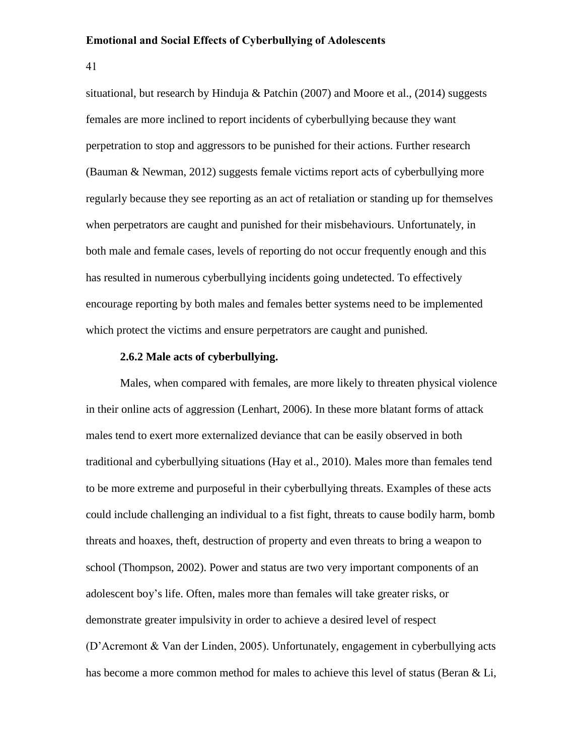41

situational, but research by Hinduja & Patchin (2007) and Moore et al., (2014) suggests females are more inclined to report incidents of cyberbullying because they want perpetration to stop and aggressors to be punished for their actions. Further research (Bauman & Newman, 2012) suggests female victims report acts of cyberbullying more regularly because they see reporting as an act of retaliation or standing up for themselves when perpetrators are caught and punished for their misbehaviours. Unfortunately, in both male and female cases, levels of reporting do not occur frequently enough and this has resulted in numerous cyberbullying incidents going undetected. To effectively encourage reporting by both males and females better systems need to be implemented which protect the victims and ensure perpetrators are caught and punished.

# **2.6.2 Male acts of cyberbullying.**

Males, when compared with females, are more likely to threaten physical violence in their online acts of aggression (Lenhart, 2006). In these more blatant forms of attack males tend to exert more externalized deviance that can be easily observed in both traditional and cyberbullying situations (Hay et al., 2010). Males more than females tend to be more extreme and purposeful in their cyberbullying threats. Examples of these acts could include challenging an individual to a fist fight, threats to cause bodily harm, bomb threats and hoaxes, theft, destruction of property and even threats to bring a weapon to school (Thompson, 2002). Power and status are two very important components of an adolescent boy's life. Often, males more than females will take greater risks, or demonstrate greater impulsivity in order to achieve a desired level of respect (D'Acremont & Van der Linden, 2005). Unfortunately, engagement in cyberbullying acts has become a more common method for males to achieve this level of status (Beran & Li,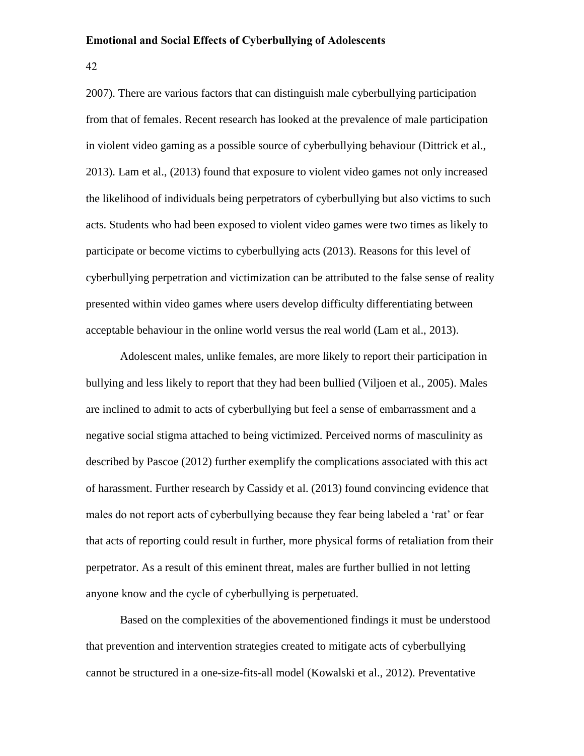42

2007). There are various factors that can distinguish male cyberbullying participation from that of females. Recent research has looked at the prevalence of male participation in violent video gaming as a possible source of cyberbullying behaviour (Dittrick et al., 2013). Lam et al., (2013) found that exposure to violent video games not only increased the likelihood of individuals being perpetrators of cyberbullying but also victims to such acts. Students who had been exposed to violent video games were two times as likely to participate or become victims to cyberbullying acts (2013). Reasons for this level of cyberbullying perpetration and victimization can be attributed to the false sense of reality presented within video games where users develop difficulty differentiating between acceptable behaviour in the online world versus the real world (Lam et al., 2013).

Adolescent males, unlike females, are more likely to report their participation in bullying and less likely to report that they had been bullied (Viljoen et al., 2005). Males are inclined to admit to acts of cyberbullying but feel a sense of embarrassment and a negative social stigma attached to being victimized. Perceived norms of masculinity as described by Pascoe (2012) further exemplify the complications associated with this act of harassment. Further research by Cassidy et al. (2013) found convincing evidence that males do not report acts of cyberbullying because they fear being labeled a 'rat' or fear that acts of reporting could result in further, more physical forms of retaliation from their perpetrator. As a result of this eminent threat, males are further bullied in not letting anyone know and the cycle of cyberbullying is perpetuated.

Based on the complexities of the abovementioned findings it must be understood that prevention and intervention strategies created to mitigate acts of cyberbullying cannot be structured in a one-size-fits-all model (Kowalski et al., 2012). Preventative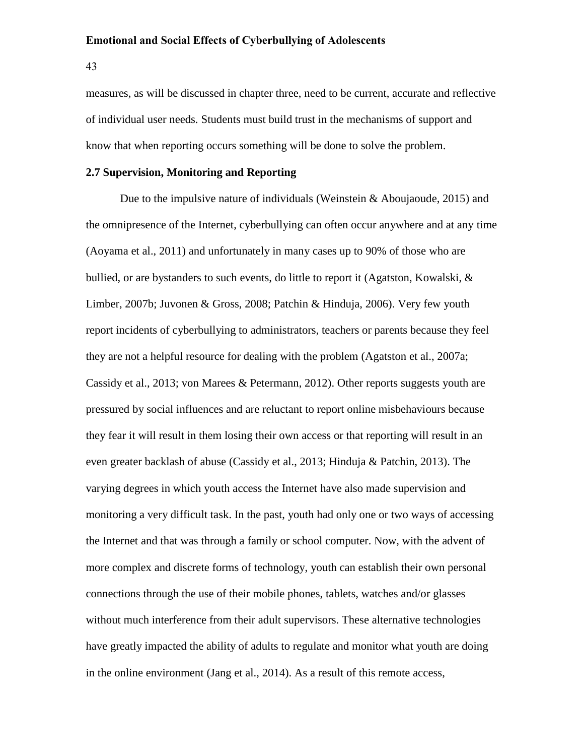43

measures, as will be discussed in chapter three, need to be current, accurate and reflective of individual user needs. Students must build trust in the mechanisms of support and know that when reporting occurs something will be done to solve the problem.

# **2.7 Supervision, Monitoring and Reporting**

Due to the impulsive nature of individuals (Weinstein  $&$  Aboujaoude, 2015) and the omnipresence of the Internet, cyberbullying can often occur anywhere and at any time (Aoyama et al., 2011) and unfortunately in many cases up to 90% of those who are bullied, or are bystanders to such events, do little to report it (Agatston, Kowalski, & Limber, 2007b; Juvonen & Gross, 2008; Patchin & Hinduja, 2006). Very few youth report incidents of cyberbullying to administrators, teachers or parents because they feel they are not a helpful resource for dealing with the problem (Agatston et al., 2007a; Cassidy et al., 2013; von Marees & Petermann, 2012). Other reports suggests youth are pressured by social influences and are reluctant to report online misbehaviours because they fear it will result in them losing their own access or that reporting will result in an even greater backlash of abuse (Cassidy et al., 2013; Hinduja & Patchin, 2013). The varying degrees in which youth access the Internet have also made supervision and monitoring a very difficult task. In the past, youth had only one or two ways of accessing the Internet and that was through a family or school computer. Now, with the advent of more complex and discrete forms of technology, youth can establish their own personal connections through the use of their mobile phones, tablets, watches and/or glasses without much interference from their adult supervisors. These alternative technologies have greatly impacted the ability of adults to regulate and monitor what youth are doing in the online environment (Jang et al., 2014). As a result of this remote access,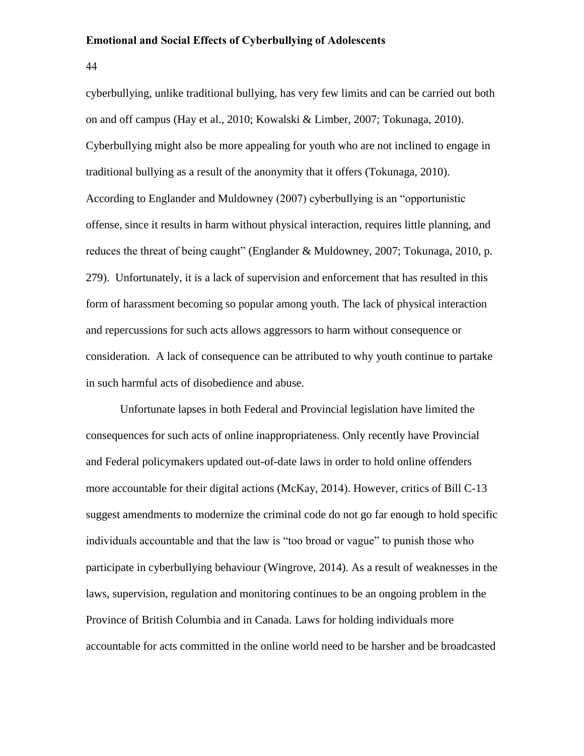44

cyberbullying, unlike traditional bullying, has very few limits and can be carried out both on and off campus (Hay et al., 2010; Kowalski & Limber, 2007; Tokunaga, 2010). Cyberbullying might also be more appealing for youth who are not inclined to engage in traditional bullying as a result of the anonymity that it offers (Tokunaga, 2010). According to Englander and Muldowney (2007) cyberbullying is an "opportunistic offense, since it results in harm without physical interaction, requires little planning, and reduces the threat of being caught" (Englander & Muldowney, 2007; Tokunaga, 2010, p. 279). Unfortunately, it is a lack of supervision and enforcement that has resulted in this form of harassment becoming so popular among youth. The lack of physical interaction and repercussions for such acts allows aggressors to harm without consequence or consideration. A lack of consequence can be attributed to why youth continue to partake in such harmful acts of disobedience and abuse.

Unfortunate lapses in both Federal and Provincial legislation have limited the consequences for such acts of online inappropriateness. Only recently have Provincial and Federal policymakers updated out-of-date laws in order to hold online offenders more accountable for their digital actions (McKay, 2014). However, critics of Bill C-13 suggest amendments to modernize the criminal code do not go far enough to hold specific individuals accountable and that the law is "too broad or vague" to punish those who participate in cyberbullying behaviour (Wingrove, 2014). As a result of weaknesses in the laws, supervision, regulation and monitoring continues to be an ongoing problem in the Province of British Columbia and in Canada. Laws for holding individuals more accountable for acts committed in the online world need to be harsher and be broadcasted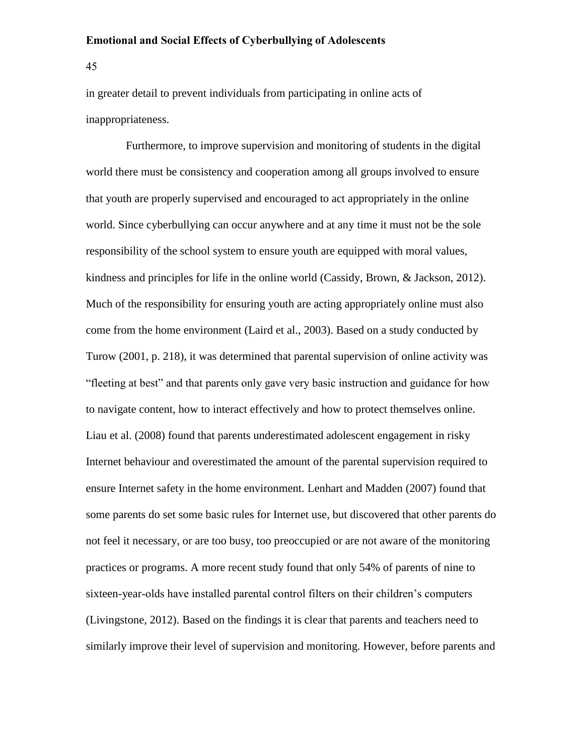45

in greater detail to prevent individuals from participating in online acts of inappropriateness.

 Furthermore, to improve supervision and monitoring of students in the digital world there must be consistency and cooperation among all groups involved to ensure that youth are properly supervised and encouraged to act appropriately in the online world. Since cyberbullying can occur anywhere and at any time it must not be the sole responsibility of the school system to ensure youth are equipped with moral values, kindness and principles for life in the online world (Cassidy, Brown, & Jackson, 2012). Much of the responsibility for ensuring youth are acting appropriately online must also come from the home environment (Laird et al., 2003). Based on a study conducted by Turow (2001, p. 218), it was determined that parental supervision of online activity was "fleeting at best" and that parents only gave very basic instruction and guidance for how to navigate content, how to interact effectively and how to protect themselves online. Liau et al. (2008) found that parents underestimated adolescent engagement in risky Internet behaviour and overestimated the amount of the parental supervision required to ensure Internet safety in the home environment. Lenhart and Madden (2007) found that some parents do set some basic rules for Internet use, but discovered that other parents do not feel it necessary, or are too busy, too preoccupied or are not aware of the monitoring practices or programs. A more recent study found that only 54% of parents of nine to sixteen-year-olds have installed parental control filters on their children's computers (Livingstone, 2012). Based on the findings it is clear that parents and teachers need to similarly improve their level of supervision and monitoring. However, before parents and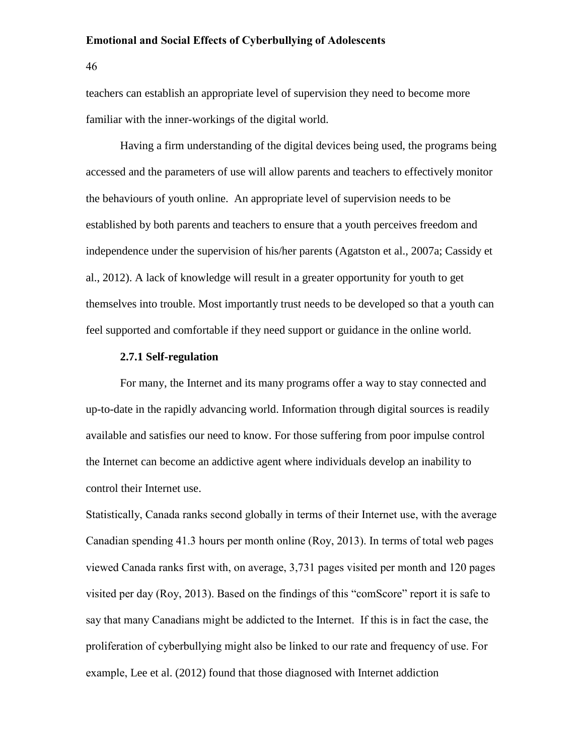46

teachers can establish an appropriate level of supervision they need to become more familiar with the inner-workings of the digital world.

Having a firm understanding of the digital devices being used, the programs being accessed and the parameters of use will allow parents and teachers to effectively monitor the behaviours of youth online. An appropriate level of supervision needs to be established by both parents and teachers to ensure that a youth perceives freedom and independence under the supervision of his/her parents (Agatston et al., 2007a; Cassidy et al., 2012). A lack of knowledge will result in a greater opportunity for youth to get themselves into trouble. Most importantly trust needs to be developed so that a youth can feel supported and comfortable if they need support or guidance in the online world.

# **2.7.1 Self-regulation**

For many, the Internet and its many programs offer a way to stay connected and up-to-date in the rapidly advancing world. Information through digital sources is readily available and satisfies our need to know. For those suffering from poor impulse control the Internet can become an addictive agent where individuals develop an inability to control their Internet use.

Statistically, Canada ranks second globally in terms of their Internet use, with the average Canadian spending 41.3 hours per month online (Roy, 2013). In terms of total web pages viewed Canada ranks first with, on average, 3,731 pages visited per month and 120 pages visited per day (Roy, 2013). Based on the findings of this "comScore" report it is safe to say that many Canadians might be addicted to the Internet. If this is in fact the case, the proliferation of cyberbullying might also be linked to our rate and frequency of use. For example, Lee et al. (2012) found that those diagnosed with Internet addiction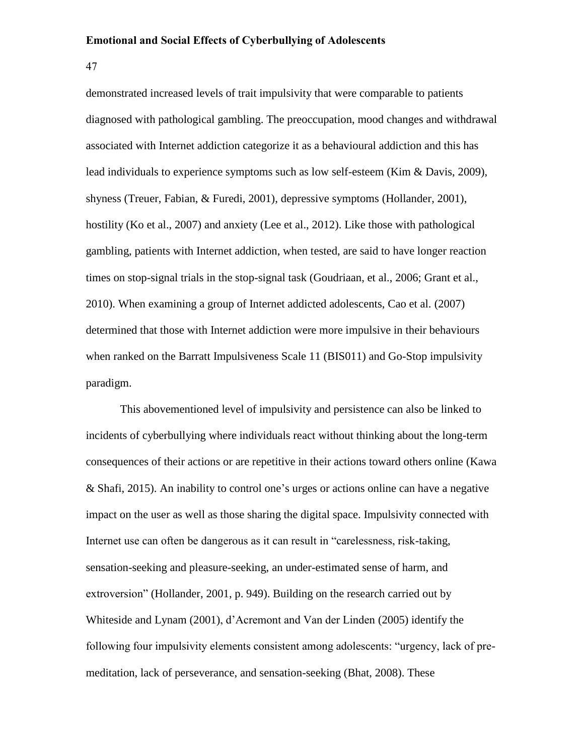47

demonstrated increased levels of trait impulsivity that were comparable to patients diagnosed with pathological gambling. The preoccupation, mood changes and withdrawal associated with Internet addiction categorize it as a behavioural addiction and this has lead individuals to experience symptoms such as low self-esteem (Kim & Davis, 2009), shyness (Treuer, Fabian, & Furedi, 2001), depressive symptoms (Hollander, 2001), hostility (Ko et al., 2007) and anxiety (Lee et al., 2012). Like those with pathological gambling, patients with Internet addiction, when tested, are said to have longer reaction times on stop-signal trials in the stop-signal task (Goudriaan, et al., 2006; Grant et al., 2010). When examining a group of Internet addicted adolescents, Cao et al. (2007) determined that those with Internet addiction were more impulsive in their behaviours when ranked on the Barratt Impulsiveness Scale 11 (BIS011) and Go-Stop impulsivity paradigm.

This abovementioned level of impulsivity and persistence can also be linked to incidents of cyberbullying where individuals react without thinking about the long-term consequences of their actions or are repetitive in their actions toward others online (Kawa & Shafi, 2015). An inability to control one's urges or actions online can have a negative impact on the user as well as those sharing the digital space. Impulsivity connected with Internet use can often be dangerous as it can result in "carelessness, risk-taking, sensation-seeking and pleasure-seeking, an under-estimated sense of harm, and extroversion" (Hollander, 2001, p. 949). Building on the research carried out by Whiteside and Lynam (2001), d'Acremont and Van der Linden (2005) identify the following four impulsivity elements consistent among adolescents: "urgency, lack of premeditation, lack of perseverance, and sensation-seeking (Bhat, 2008). These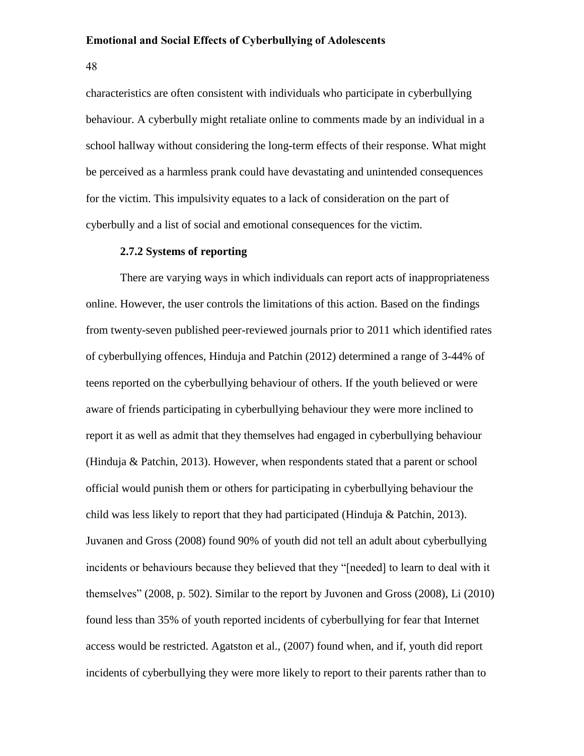48

characteristics are often consistent with individuals who participate in cyberbullying behaviour. A cyberbully might retaliate online to comments made by an individual in a school hallway without considering the long-term effects of their response. What might be perceived as a harmless prank could have devastating and unintended consequences for the victim. This impulsivity equates to a lack of consideration on the part of cyberbully and a list of social and emotional consequences for the victim.

# **2.7.2 Systems of reporting**

There are varying ways in which individuals can report acts of inappropriateness online. However, the user controls the limitations of this action. Based on the findings from twenty-seven published peer-reviewed journals prior to 2011 which identified rates of cyberbullying offences, Hinduja and Patchin (2012) determined a range of 3-44% of teens reported on the cyberbullying behaviour of others. If the youth believed or were aware of friends participating in cyberbullying behaviour they were more inclined to report it as well as admit that they themselves had engaged in cyberbullying behaviour (Hinduja & Patchin, 2013). However, when respondents stated that a parent or school official would punish them or others for participating in cyberbullying behaviour the child was less likely to report that they had participated (Hinduja & Patchin, 2013). Juvanen and Gross (2008) found 90% of youth did not tell an adult about cyberbullying incidents or behaviours because they believed that they "[needed] to learn to deal with it themselves" (2008, p. 502). Similar to the report by Juvonen and Gross (2008), Li (2010) found less than 35% of youth reported incidents of cyberbullying for fear that Internet access would be restricted. Agatston et al., (2007) found when, and if, youth did report incidents of cyberbullying they were more likely to report to their parents rather than to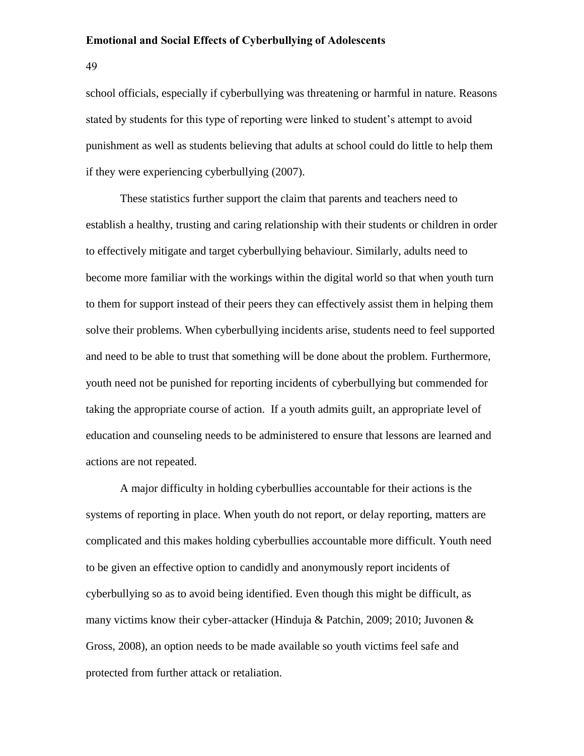49

school officials, especially if cyberbullying was threatening or harmful in nature. Reasons stated by students for this type of reporting were linked to student's attempt to avoid punishment as well as students believing that adults at school could do little to help them if they were experiencing cyberbullying (2007).

These statistics further support the claim that parents and teachers need to establish a healthy, trusting and caring relationship with their students or children in order to effectively mitigate and target cyberbullying behaviour. Similarly, adults need to become more familiar with the workings within the digital world so that when youth turn to them for support instead of their peers they can effectively assist them in helping them solve their problems. When cyberbullying incidents arise, students need to feel supported and need to be able to trust that something will be done about the problem. Furthermore, youth need not be punished for reporting incidents of cyberbullying but commended for taking the appropriate course of action. If a youth admits guilt, an appropriate level of education and counseling needs to be administered to ensure that lessons are learned and actions are not repeated.

A major difficulty in holding cyberbullies accountable for their actions is the systems of reporting in place. When youth do not report, or delay reporting, matters are complicated and this makes holding cyberbullies accountable more difficult. Youth need to be given an effective option to candidly and anonymously report incidents of cyberbullying so as to avoid being identified. Even though this might be difficult, as many victims know their cyber-attacker (Hinduja & Patchin, 2009; 2010; Juvonen & Gross, 2008), an option needs to be made available so youth victims feel safe and protected from further attack or retaliation.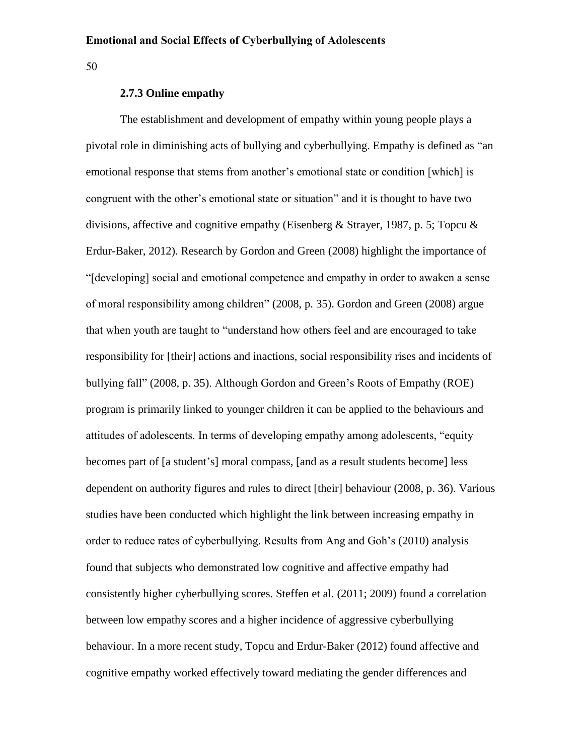50

# **2.7.3 Online empathy**

The establishment and development of empathy within young people plays a pivotal role in diminishing acts of bullying and cyberbullying. Empathy is defined as "an emotional response that stems from another's emotional state or condition [which] is congruent with the other's emotional state or situation" and it is thought to have two divisions, affective and cognitive empathy (Eisenberg & Strayer, 1987, p. 5; Topcu & Erdur-Baker, 2012). Research by Gordon and Green (2008) highlight the importance of "[developing] social and emotional competence and empathy in order to awaken a sense of moral responsibility among children" (2008, p. 35). Gordon and Green (2008) argue that when youth are taught to "understand how others feel and are encouraged to take responsibility for [their] actions and inactions, social responsibility rises and incidents of bullying fall" (2008, p. 35). Although Gordon and Green's Roots of Empathy (ROE) program is primarily linked to younger children it can be applied to the behaviours and attitudes of adolescents. In terms of developing empathy among adolescents, "equity becomes part of [a student's] moral compass, [and as a result students become] less dependent on authority figures and rules to direct [their] behaviour (2008, p. 36). Various studies have been conducted which highlight the link between increasing empathy in order to reduce rates of cyberbullying. Results from Ang and Goh's (2010) analysis found that subjects who demonstrated low cognitive and affective empathy had consistently higher cyberbullying scores. Steffen et al. (2011; 2009) found a correlation between low empathy scores and a higher incidence of aggressive cyberbullying behaviour. In a more recent study, Topcu and Erdur-Baker (2012) found affective and cognitive empathy worked effectively toward mediating the gender differences and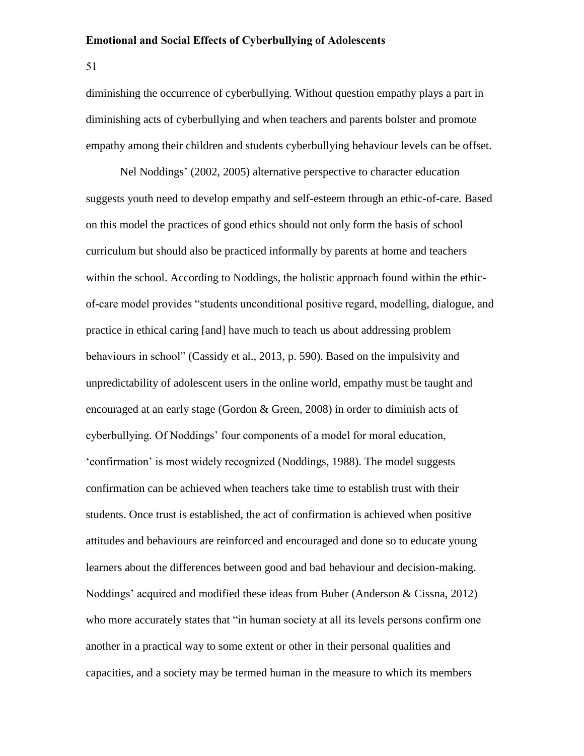51

diminishing the occurrence of cyberbullying. Without question empathy plays a part in diminishing acts of cyberbullying and when teachers and parents bolster and promote empathy among their children and students cyberbullying behaviour levels can be offset.

Nel Noddings' (2002, 2005) alternative perspective to character education suggests youth need to develop empathy and self-esteem through an ethic-of-care. Based on this model the practices of good ethics should not only form the basis of school curriculum but should also be practiced informally by parents at home and teachers within the school. According to Noddings, the holistic approach found within the ethicof-care model provides "students unconditional positive regard, modelling, dialogue, and practice in ethical caring [and] have much to teach us about addressing problem behaviours in school" (Cassidy et al., 2013, p. 590). Based on the impulsivity and unpredictability of adolescent users in the online world, empathy must be taught and encouraged at an early stage (Gordon & Green, 2008) in order to diminish acts of cyberbullying. Of Noddings' four components of a model for moral education, 'confirmation' is most widely recognized (Noddings, 1988). The model suggests confirmation can be achieved when teachers take time to establish trust with their students. Once trust is established, the act of confirmation is achieved when positive attitudes and behaviours are reinforced and encouraged and done so to educate young learners about the differences between good and bad behaviour and decision-making. Noddings' acquired and modified these ideas from Buber (Anderson & Cissna, 2012) who more accurately states that "in human society at all its levels persons confirm one another in a practical way to some extent or other in their personal qualities and capacities, and a society may be termed human in the measure to which its members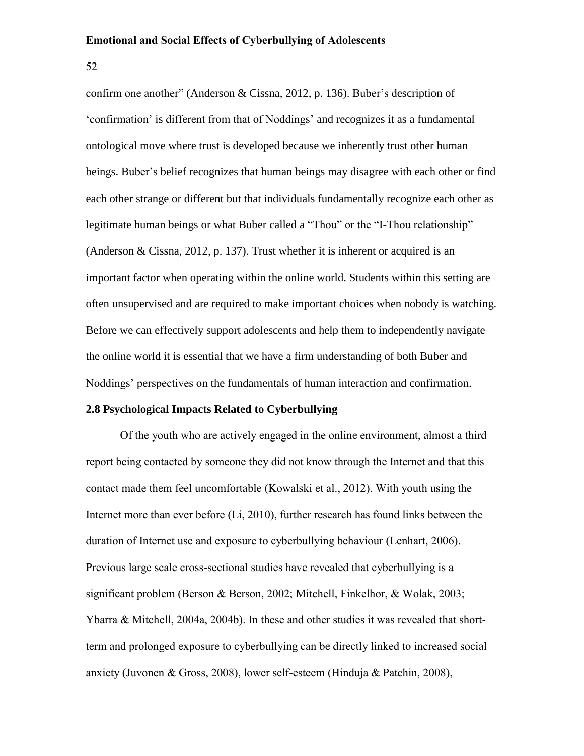52

confirm one another" (Anderson & Cissna, 2012, p. 136). Buber's description of 'confirmation' is different from that of Noddings' and recognizes it as a fundamental ontological move where trust is developed because we inherently trust other human beings. Buber's belief recognizes that human beings may disagree with each other or find each other strange or different but that individuals fundamentally recognize each other as legitimate human beings or what Buber called a "Thou" or the "I-Thou relationship" (Anderson & Cissna, 2012, p. 137). Trust whether it is inherent or acquired is an important factor when operating within the online world. Students within this setting are often unsupervised and are required to make important choices when nobody is watching. Before we can effectively support adolescents and help them to independently navigate the online world it is essential that we have a firm understanding of both Buber and Noddings' perspectives on the fundamentals of human interaction and confirmation.

# **2.8 Psychological Impacts Related to Cyberbullying**

Of the youth who are actively engaged in the online environment, almost a third report being contacted by someone they did not know through the Internet and that this contact made them feel uncomfortable (Kowalski et al., 2012). With youth using the Internet more than ever before (Li, 2010), further research has found links between the duration of Internet use and exposure to cyberbullying behaviour (Lenhart, 2006). Previous large scale cross-sectional studies have revealed that cyberbullying is a significant problem (Berson & Berson, 2002; Mitchell, Finkelhor, & Wolak, 2003; Ybarra & Mitchell, 2004a, 2004b). In these and other studies it was revealed that shortterm and prolonged exposure to cyberbullying can be directly linked to increased social anxiety (Juvonen & Gross, 2008), lower self-esteem (Hinduja & Patchin, 2008),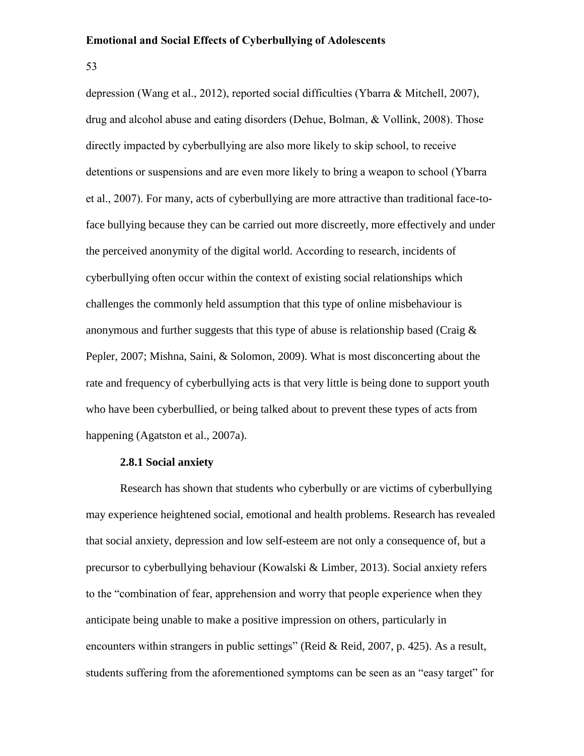53

depression (Wang et al., 2012), reported social difficulties (Ybarra & Mitchell, 2007), drug and alcohol abuse and eating disorders (Dehue, Bolman, & Vollink, 2008). Those directly impacted by cyberbullying are also more likely to skip school, to receive detentions or suspensions and are even more likely to bring a weapon to school (Ybarra et al., 2007). For many, acts of cyberbullying are more attractive than traditional face-toface bullying because they can be carried out more discreetly, more effectively and under the perceived anonymity of the digital world. According to research, incidents of cyberbullying often occur within the context of existing social relationships which challenges the commonly held assumption that this type of online misbehaviour is anonymous and further suggests that this type of abuse is relationship based (Craig & Pepler, 2007; Mishna, Saini, & Solomon, 2009). What is most disconcerting about the rate and frequency of cyberbullying acts is that very little is being done to support youth who have been cyberbullied, or being talked about to prevent these types of acts from happening (Agatston et al., 2007a).

# **2.8.1 Social anxiety**

Research has shown that students who cyberbully or are victims of cyberbullying may experience heightened social, emotional and health problems. Research has revealed that social anxiety, depression and low self-esteem are not only a consequence of, but a precursor to cyberbullying behaviour (Kowalski & Limber, 2013). Social anxiety refers to the "combination of fear, apprehension and worry that people experience when they anticipate being unable to make a positive impression on others, particularly in encounters within strangers in public settings" (Reid & Reid, 2007, p. 425). As a result, students suffering from the aforementioned symptoms can be seen as an "easy target" for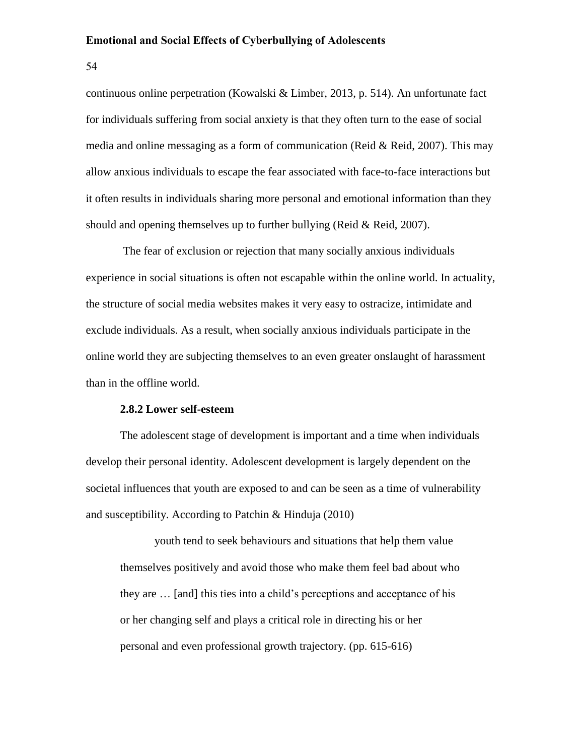54

continuous online perpetration (Kowalski & Limber, 2013, p. 514). An unfortunate fact for individuals suffering from social anxiety is that they often turn to the ease of social media and online messaging as a form of communication (Reid & Reid, 2007). This may allow anxious individuals to escape the fear associated with face-to-face interactions but it often results in individuals sharing more personal and emotional information than they should and opening themselves up to further bullying (Reid & Reid, 2007).

The fear of exclusion or rejection that many socially anxious individuals experience in social situations is often not escapable within the online world. In actuality, the structure of social media websites makes it very easy to ostracize, intimidate and exclude individuals. As a result, when socially anxious individuals participate in the online world they are subjecting themselves to an even greater onslaught of harassment than in the offline world.

# **2.8.2 Lower self-esteem**

The adolescent stage of development is important and a time when individuals develop their personal identity. Adolescent development is largely dependent on the societal influences that youth are exposed to and can be seen as a time of vulnerability and susceptibility. According to Patchin & Hinduja (2010)

youth tend to seek behaviours and situations that help them value themselves positively and avoid those who make them feel bad about who they are … [and] this ties into a child's perceptions and acceptance of his or her changing self and plays a critical role in directing his or her personal and even professional growth trajectory. (pp. 615-616)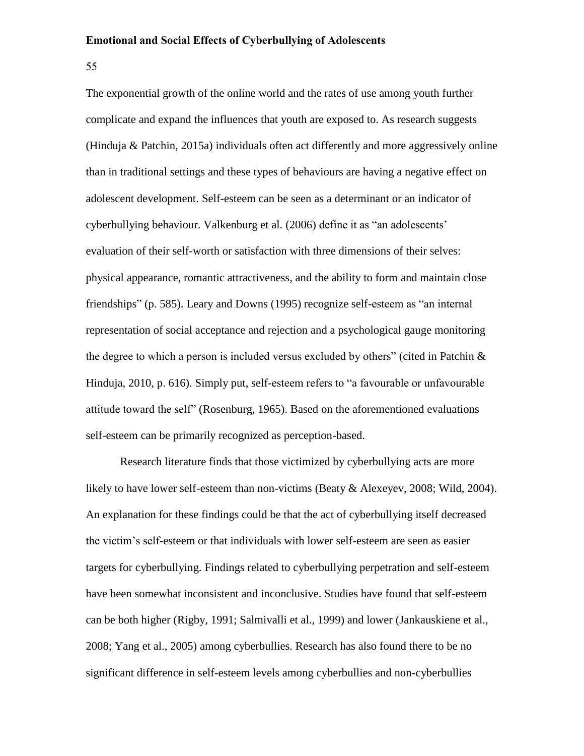55

The exponential growth of the online world and the rates of use among youth further complicate and expand the influences that youth are exposed to. As research suggests (Hinduja & Patchin, 2015a) individuals often act differently and more aggressively online than in traditional settings and these types of behaviours are having a negative effect on adolescent development. Self-esteem can be seen as a determinant or an indicator of cyberbullying behaviour. Valkenburg et al. (2006) define it as "an adolescents' evaluation of their self-worth or satisfaction with three dimensions of their selves: physical appearance, romantic attractiveness, and the ability to form and maintain close friendships" (p. 585). Leary and Downs (1995) recognize self-esteem as "an internal representation of social acceptance and rejection and a psychological gauge monitoring the degree to which a person is included versus excluded by others" (cited in Patchin & Hinduja, 2010, p. 616). Simply put, self-esteem refers to "a favourable or unfavourable attitude toward the self" (Rosenburg, 1965). Based on the aforementioned evaluations self-esteem can be primarily recognized as perception-based.

Research literature finds that those victimized by cyberbullying acts are more likely to have lower self-esteem than non-victims (Beaty & Alexeyev, 2008; Wild, 2004). An explanation for these findings could be that the act of cyberbullying itself decreased the victim's self-esteem or that individuals with lower self-esteem are seen as easier targets for cyberbullying. Findings related to cyberbullying perpetration and self-esteem have been somewhat inconsistent and inconclusive. Studies have found that self-esteem can be both higher (Rigby, 1991; Salmivalli et al., 1999) and lower (Jankauskiene et al., 2008; Yang et al., 2005) among cyberbullies. Research has also found there to be no significant difference in self-esteem levels among cyberbullies and non-cyberbullies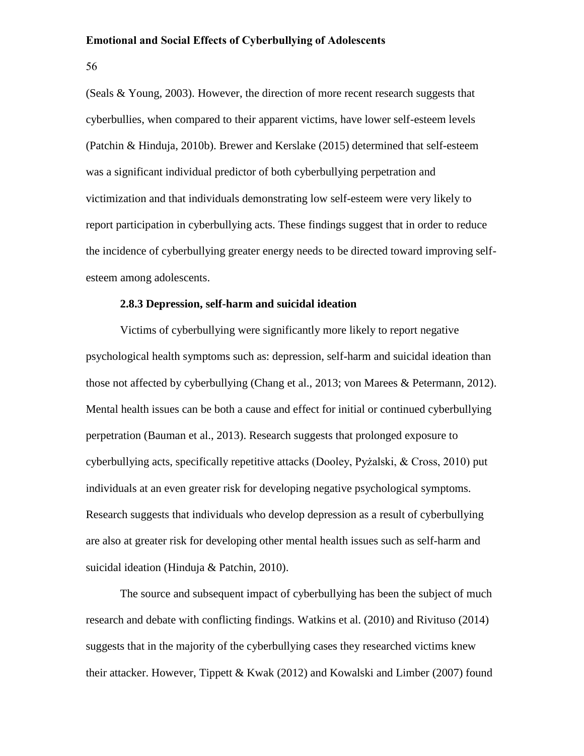56

(Seals & Young, 2003). However, the direction of more recent research suggests that cyberbullies, when compared to their apparent victims, have lower self-esteem levels (Patchin & Hinduja, 2010b). Brewer and Kerslake (2015) determined that self-esteem was a significant individual predictor of both cyberbullying perpetration and victimization and that individuals demonstrating low self-esteem were very likely to report participation in cyberbullying acts. These findings suggest that in order to reduce the incidence of cyberbullying greater energy needs to be directed toward improving selfesteem among adolescents.

# **2.8.3 Depression, self-harm and suicidal ideation**

Victims of cyberbullying were significantly more likely to report negative psychological health symptoms such as: depression, self-harm and suicidal ideation than those not affected by cyberbullying (Chang et al., 2013; von Marees & Petermann, 2012). Mental health issues can be both a cause and effect for initial or continued cyberbullying perpetration (Bauman et al., 2013). Research suggests that prolonged exposure to cyberbullying acts, specifically repetitive attacks (Dooley, Pyżalski, & Cross, 2010) put individuals at an even greater risk for developing negative psychological symptoms. Research suggests that individuals who develop depression as a result of cyberbullying are also at greater risk for developing other mental health issues such as self-harm and suicidal ideation (Hinduja & Patchin, 2010).

The source and subsequent impact of cyberbullying has been the subject of much research and debate with conflicting findings. Watkins et al. (2010) and Rivituso (2014) suggests that in the majority of the cyberbullying cases they researched victims knew their attacker. However, Tippett & Kwak (2012) and Kowalski and Limber (2007) found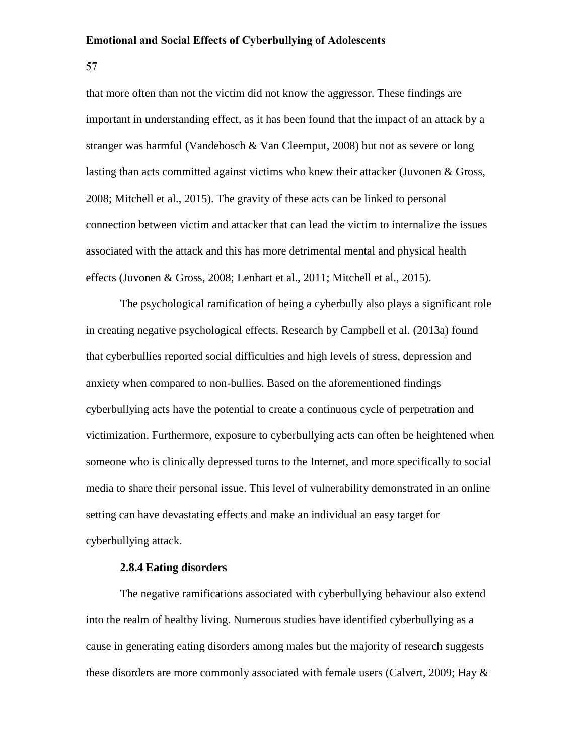57

that more often than not the victim did not know the aggressor. These findings are important in understanding effect, as it has been found that the impact of an attack by a stranger was harmful (Vandebosch & Van Cleemput, 2008) but not as severe or long lasting than acts committed against victims who knew their attacker (Juvonen & Gross, 2008; Mitchell et al., 2015). The gravity of these acts can be linked to personal connection between victim and attacker that can lead the victim to internalize the issues associated with the attack and this has more detrimental mental and physical health effects (Juvonen & Gross, 2008; Lenhart et al., 2011; Mitchell et al., 2015).

The psychological ramification of being a cyberbully also plays a significant role in creating negative psychological effects. Research by Campbell et al. (2013a) found that cyberbullies reported social difficulties and high levels of stress, depression and anxiety when compared to non-bullies. Based on the aforementioned findings cyberbullying acts have the potential to create a continuous cycle of perpetration and victimization. Furthermore, exposure to cyberbullying acts can often be heightened when someone who is clinically depressed turns to the Internet, and more specifically to social media to share their personal issue. This level of vulnerability demonstrated in an online setting can have devastating effects and make an individual an easy target for cyberbullying attack.

# **2.8.4 Eating disorders**

The negative ramifications associated with cyberbullying behaviour also extend into the realm of healthy living. Numerous studies have identified cyberbullying as a cause in generating eating disorders among males but the majority of research suggests these disorders are more commonly associated with female users (Calvert, 2009; Hay &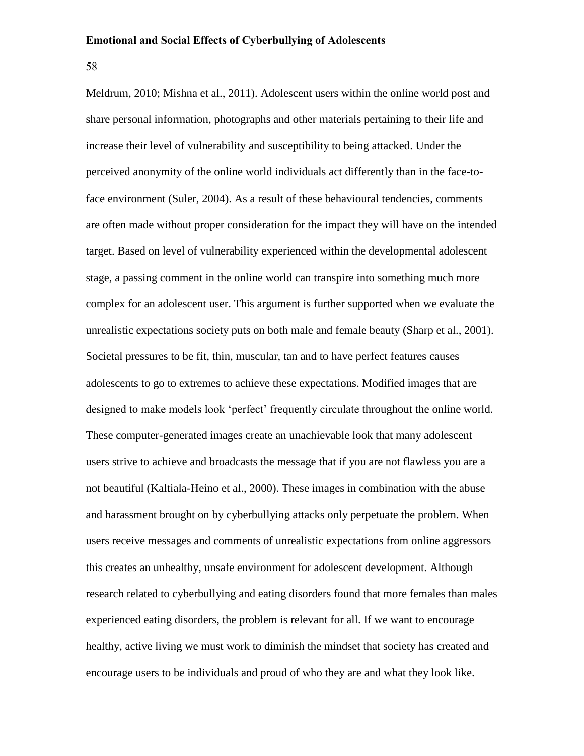58

Meldrum, 2010; Mishna et al., 2011). Adolescent users within the online world post and share personal information, photographs and other materials pertaining to their life and increase their level of vulnerability and susceptibility to being attacked. Under the perceived anonymity of the online world individuals act differently than in the face-toface environment (Suler, 2004). As a result of these behavioural tendencies, comments are often made without proper consideration for the impact they will have on the intended target. Based on level of vulnerability experienced within the developmental adolescent stage, a passing comment in the online world can transpire into something much more complex for an adolescent user. This argument is further supported when we evaluate the unrealistic expectations society puts on both male and female beauty (Sharp et al., 2001). Societal pressures to be fit, thin, muscular, tan and to have perfect features causes adolescents to go to extremes to achieve these expectations. Modified images that are designed to make models look 'perfect' frequently circulate throughout the online world. These computer-generated images create an unachievable look that many adolescent users strive to achieve and broadcasts the message that if you are not flawless you are a not beautiful (Kaltiala-Heino et al., 2000). These images in combination with the abuse and harassment brought on by cyberbullying attacks only perpetuate the problem. When users receive messages and comments of unrealistic expectations from online aggressors this creates an unhealthy, unsafe environment for adolescent development. Although research related to cyberbullying and eating disorders found that more females than males experienced eating disorders, the problem is relevant for all. If we want to encourage healthy, active living we must work to diminish the mindset that society has created and encourage users to be individuals and proud of who they are and what they look like.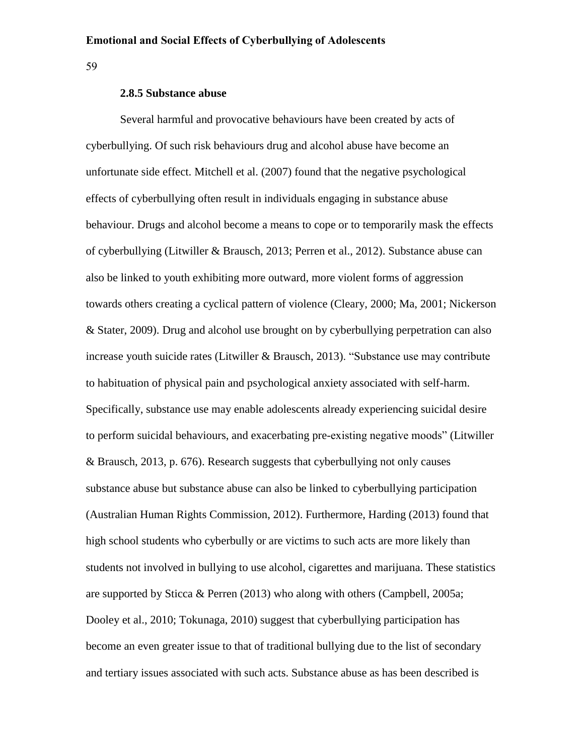59

# **2.8.5 Substance abuse**

Several harmful and provocative behaviours have been created by acts of cyberbullying. Of such risk behaviours drug and alcohol abuse have become an unfortunate side effect. Mitchell et al. (2007) found that the negative psychological effects of cyberbullying often result in individuals engaging in substance abuse behaviour. Drugs and alcohol become a means to cope or to temporarily mask the effects of cyberbullying (Litwiller & Brausch, 2013; Perren et al., 2012). Substance abuse can also be linked to youth exhibiting more outward, more violent forms of aggression towards others creating a cyclical pattern of violence (Cleary, 2000; Ma, 2001; Nickerson & Stater, 2009). Drug and alcohol use brought on by cyberbullying perpetration can also increase youth suicide rates (Litwiller & Brausch, 2013). "Substance use may contribute to habituation of physical pain and psychological anxiety associated with self-harm. Specifically, substance use may enable adolescents already experiencing suicidal desire to perform suicidal behaviours, and exacerbating pre-existing negative moods" (Litwiller & Brausch, 2013, p. 676). Research suggests that cyberbullying not only causes substance abuse but substance abuse can also be linked to cyberbullying participation (Australian Human Rights Commission, 2012). Furthermore, Harding (2013) found that high school students who cyberbully or are victims to such acts are more likely than students not involved in bullying to use alcohol, cigarettes and marijuana. These statistics are supported by Sticca & Perren (2013) who along with others (Campbell, 2005a; Dooley et al., 2010; Tokunaga, 2010) suggest that cyberbullying participation has become an even greater issue to that of traditional bullying due to the list of secondary and tertiary issues associated with such acts. Substance abuse as has been described is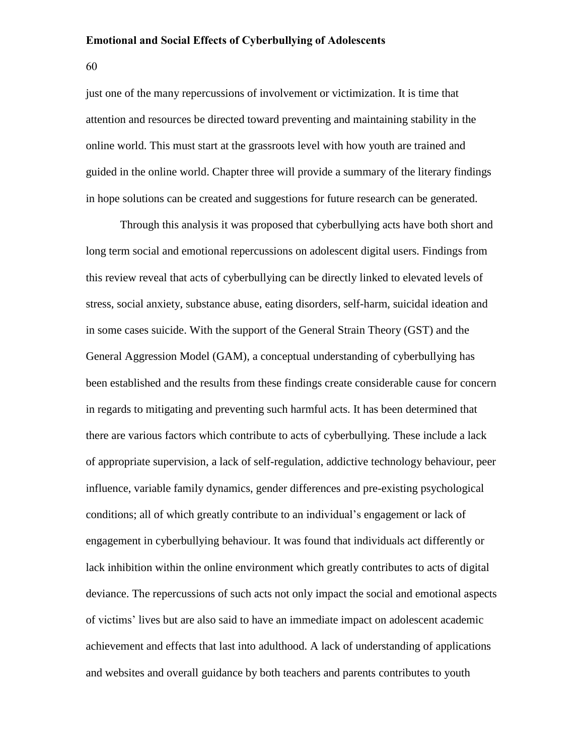60

just one of the many repercussions of involvement or victimization. It is time that attention and resources be directed toward preventing and maintaining stability in the online world. This must start at the grassroots level with how youth are trained and guided in the online world. Chapter three will provide a summary of the literary findings in hope solutions can be created and suggestions for future research can be generated.

Through this analysis it was proposed that cyberbullying acts have both short and long term social and emotional repercussions on adolescent digital users. Findings from this review reveal that acts of cyberbullying can be directly linked to elevated levels of stress, social anxiety, substance abuse, eating disorders, self-harm, suicidal ideation and in some cases suicide. With the support of the General Strain Theory (GST) and the General Aggression Model (GAM), a conceptual understanding of cyberbullying has been established and the results from these findings create considerable cause for concern in regards to mitigating and preventing such harmful acts. It has been determined that there are various factors which contribute to acts of cyberbullying. These include a lack of appropriate supervision, a lack of self-regulation, addictive technology behaviour, peer influence, variable family dynamics, gender differences and pre-existing psychological conditions; all of which greatly contribute to an individual's engagement or lack of engagement in cyberbullying behaviour. It was found that individuals act differently or lack inhibition within the online environment which greatly contributes to acts of digital deviance. The repercussions of such acts not only impact the social and emotional aspects of victims' lives but are also said to have an immediate impact on adolescent academic achievement and effects that last into adulthood. A lack of understanding of applications and websites and overall guidance by both teachers and parents contributes to youth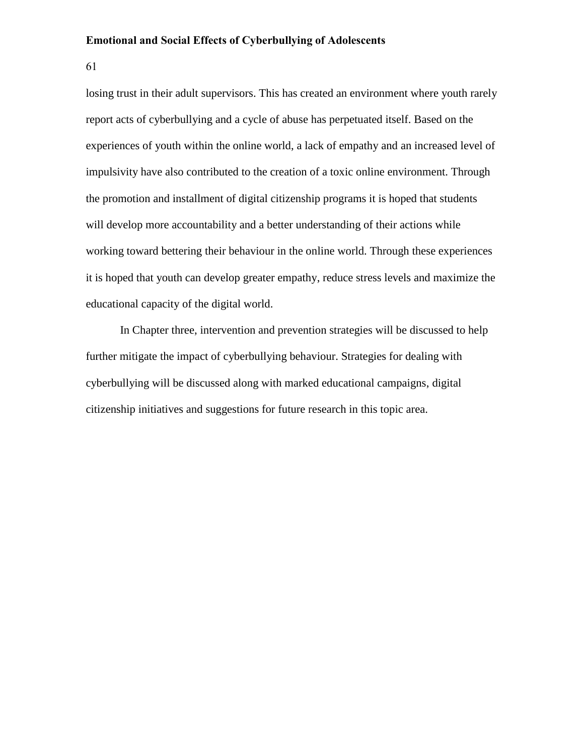61

losing trust in their adult supervisors. This has created an environment where youth rarely report acts of cyberbullying and a cycle of abuse has perpetuated itself. Based on the experiences of youth within the online world, a lack of empathy and an increased level of impulsivity have also contributed to the creation of a toxic online environment. Through the promotion and installment of digital citizenship programs it is hoped that students will develop more accountability and a better understanding of their actions while working toward bettering their behaviour in the online world. Through these experiences it is hoped that youth can develop greater empathy, reduce stress levels and maximize the educational capacity of the digital world.

In Chapter three, intervention and prevention strategies will be discussed to help further mitigate the impact of cyberbullying behaviour. Strategies for dealing with cyberbullying will be discussed along with marked educational campaigns, digital citizenship initiatives and suggestions for future research in this topic area.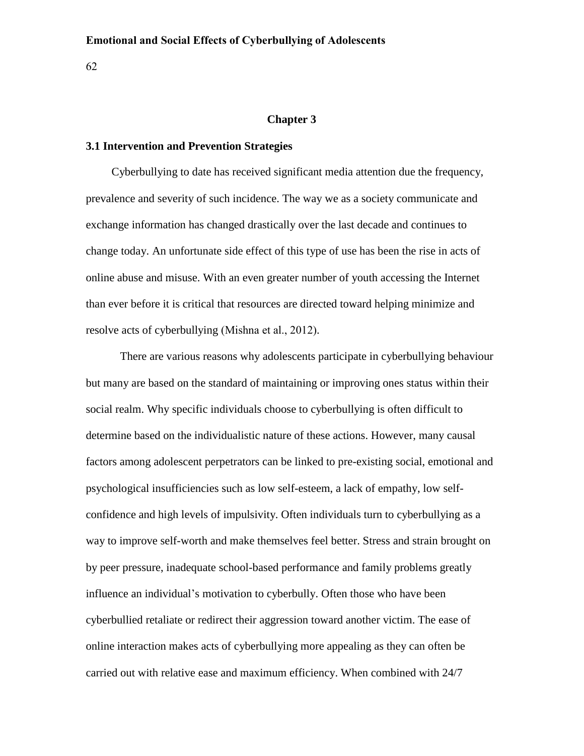62

# **Chapter 3**

# **3.1 Intervention and Prevention Strategies**

Cyberbullying to date has received significant media attention due the frequency, prevalence and severity of such incidence. The way we as a society communicate and exchange information has changed drastically over the last decade and continues to change today. An unfortunate side effect of this type of use has been the rise in acts of online abuse and misuse. With an even greater number of youth accessing the Internet than ever before it is critical that resources are directed toward helping minimize and resolve acts of cyberbullying (Mishna et al., 2012).

There are various reasons why adolescents participate in cyberbullying behaviour but many are based on the standard of maintaining or improving ones status within their social realm. Why specific individuals choose to cyberbullying is often difficult to determine based on the individualistic nature of these actions. However, many causal factors among adolescent perpetrators can be linked to pre-existing social, emotional and psychological insufficiencies such as low self-esteem, a lack of empathy, low selfconfidence and high levels of impulsivity. Often individuals turn to cyberbullying as a way to improve self-worth and make themselves feel better. Stress and strain brought on by peer pressure, inadequate school-based performance and family problems greatly influence an individual's motivation to cyberbully. Often those who have been cyberbullied retaliate or redirect their aggression toward another victim. The ease of online interaction makes acts of cyberbullying more appealing as they can often be carried out with relative ease and maximum efficiency. When combined with 24/7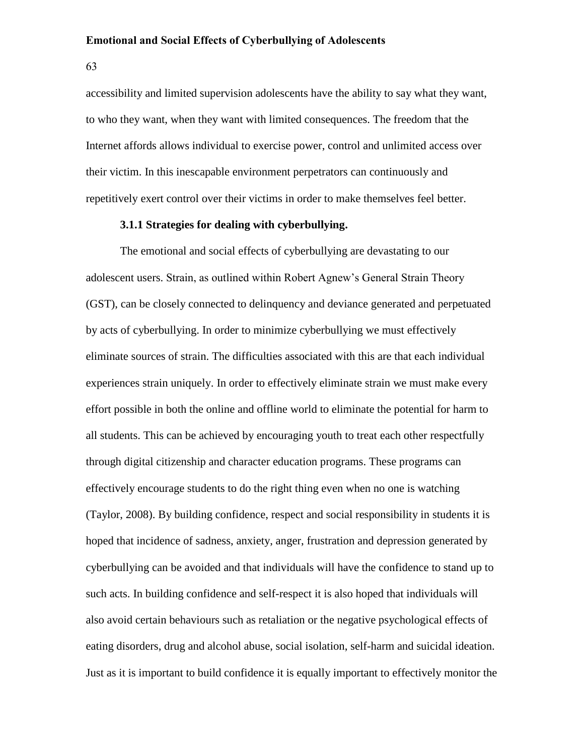63

accessibility and limited supervision adolescents have the ability to say what they want, to who they want, when they want with limited consequences. The freedom that the Internet affords allows individual to exercise power, control and unlimited access over their victim. In this inescapable environment perpetrators can continuously and repetitively exert control over their victims in order to make themselves feel better.

# **3.1.1 Strategies for dealing with cyberbullying.**

The emotional and social effects of cyberbullying are devastating to our adolescent users. Strain, as outlined within Robert Agnew's General Strain Theory (GST), can be closely connected to delinquency and deviance generated and perpetuated by acts of cyberbullying. In order to minimize cyberbullying we must effectively eliminate sources of strain. The difficulties associated with this are that each individual experiences strain uniquely. In order to effectively eliminate strain we must make every effort possible in both the online and offline world to eliminate the potential for harm to all students. This can be achieved by encouraging youth to treat each other respectfully through digital citizenship and character education programs. These programs can effectively encourage students to do the right thing even when no one is watching (Taylor, 2008). By building confidence, respect and social responsibility in students it is hoped that incidence of sadness, anxiety, anger, frustration and depression generated by cyberbullying can be avoided and that individuals will have the confidence to stand up to such acts. In building confidence and self-respect it is also hoped that individuals will also avoid certain behaviours such as retaliation or the negative psychological effects of eating disorders, drug and alcohol abuse, social isolation, self-harm and suicidal ideation. Just as it is important to build confidence it is equally important to effectively monitor the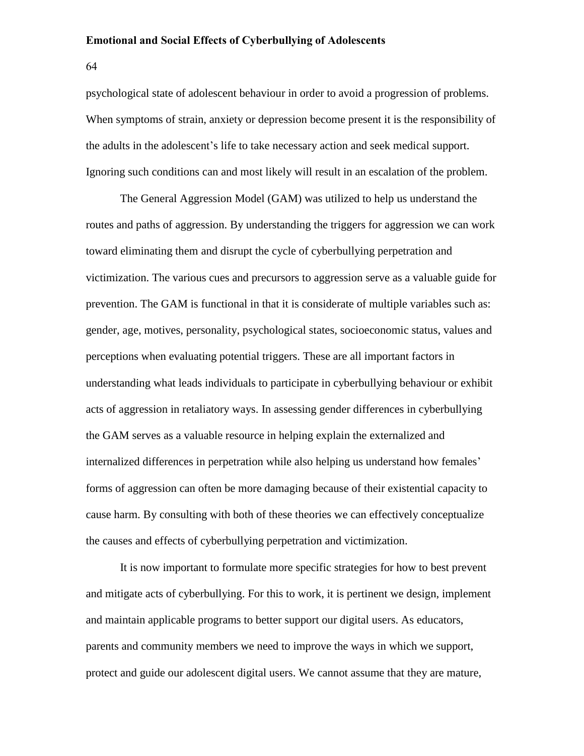64

psychological state of adolescent behaviour in order to avoid a progression of problems. When symptoms of strain, anxiety or depression become present it is the responsibility of the adults in the adolescent's life to take necessary action and seek medical support. Ignoring such conditions can and most likely will result in an escalation of the problem.

The General Aggression Model (GAM) was utilized to help us understand the routes and paths of aggression. By understanding the triggers for aggression we can work toward eliminating them and disrupt the cycle of cyberbullying perpetration and victimization. The various cues and precursors to aggression serve as a valuable guide for prevention. The GAM is functional in that it is considerate of multiple variables such as: gender, age, motives, personality, psychological states, socioeconomic status, values and perceptions when evaluating potential triggers. These are all important factors in understanding what leads individuals to participate in cyberbullying behaviour or exhibit acts of aggression in retaliatory ways. In assessing gender differences in cyberbullying the GAM serves as a valuable resource in helping explain the externalized and internalized differences in perpetration while also helping us understand how females' forms of aggression can often be more damaging because of their existential capacity to cause harm. By consulting with both of these theories we can effectively conceptualize the causes and effects of cyberbullying perpetration and victimization.

It is now important to formulate more specific strategies for how to best prevent and mitigate acts of cyberbullying. For this to work, it is pertinent we design, implement and maintain applicable programs to better support our digital users. As educators, parents and community members we need to improve the ways in which we support, protect and guide our adolescent digital users. We cannot assume that they are mature,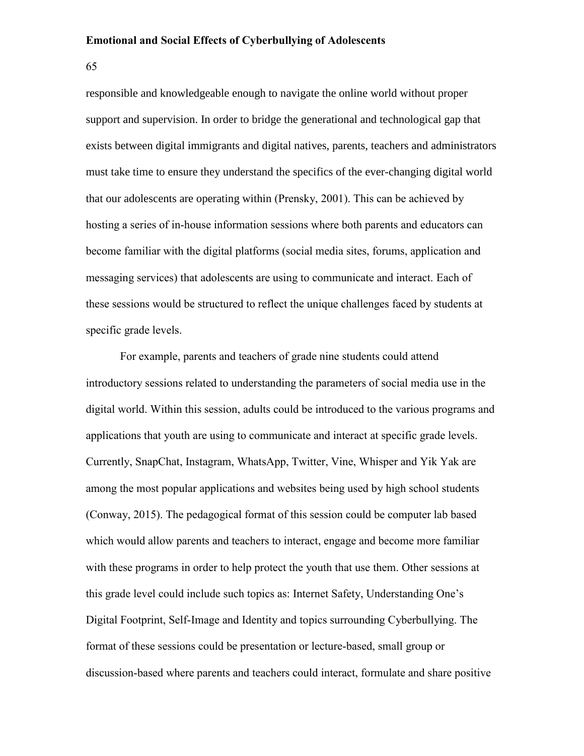65

responsible and knowledgeable enough to navigate the online world without proper support and supervision. In order to bridge the generational and technological gap that exists between digital immigrants and digital natives, parents, teachers and administrators must take time to ensure they understand the specifics of the ever-changing digital world that our adolescents are operating within (Prensky, 2001). This can be achieved by hosting a series of in-house information sessions where both parents and educators can become familiar with the digital platforms (social media sites, forums, application and messaging services) that adolescents are using to communicate and interact. Each of these sessions would be structured to reflect the unique challenges faced by students at specific grade levels.

For example, parents and teachers of grade nine students could attend introductory sessions related to understanding the parameters of social media use in the digital world. Within this session, adults could be introduced to the various programs and applications that youth are using to communicate and interact at specific grade levels. Currently, SnapChat, Instagram, WhatsApp, Twitter, Vine, Whisper and Yik Yak are among the most popular applications and websites being used by high school students (Conway, 2015). The pedagogical format of this session could be computer lab based which would allow parents and teachers to interact, engage and become more familiar with these programs in order to help protect the youth that use them. Other sessions at this grade level could include such topics as: Internet Safety, Understanding One's Digital Footprint, Self-Image and Identity and topics surrounding Cyberbullying. The format of these sessions could be presentation or lecture-based, small group or discussion-based where parents and teachers could interact, formulate and share positive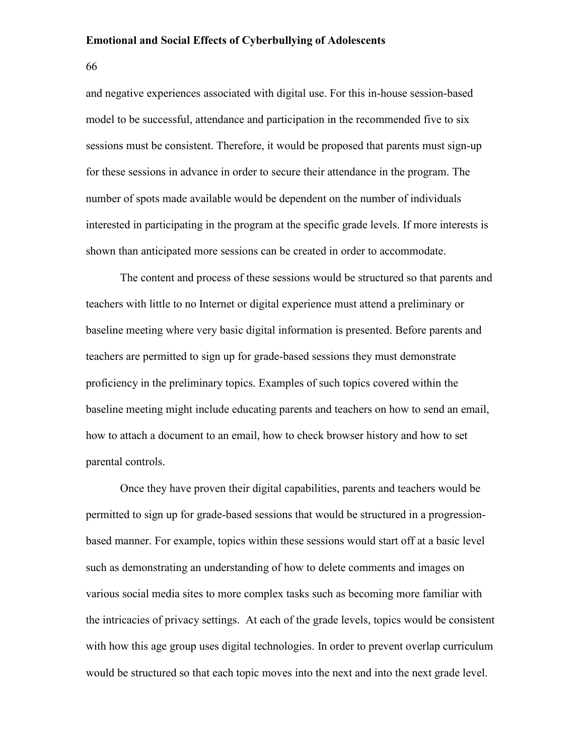66

and negative experiences associated with digital use. For this in-house session-based model to be successful, attendance and participation in the recommended five to six sessions must be consistent. Therefore, it would be proposed that parents must sign-up for these sessions in advance in order to secure their attendance in the program. The number of spots made available would be dependent on the number of individuals interested in participating in the program at the specific grade levels. If more interests is shown than anticipated more sessions can be created in order to accommodate.

The content and process of these sessions would be structured so that parents and teachers with little to no Internet or digital experience must attend a preliminary or baseline meeting where very basic digital information is presented. Before parents and teachers are permitted to sign up for grade-based sessions they must demonstrate proficiency in the preliminary topics. Examples of such topics covered within the baseline meeting might include educating parents and teachers on how to send an email, how to attach a document to an email, how to check browser history and how to set parental controls.

Once they have proven their digital capabilities, parents and teachers would be permitted to sign up for grade-based sessions that would be structured in a progressionbased manner. For example, topics within these sessions would start off at a basic level such as demonstrating an understanding of how to delete comments and images on various social media sites to more complex tasks such as becoming more familiar with the intricacies of privacy settings. At each of the grade levels, topics would be consistent with how this age group uses digital technologies. In order to prevent overlap curriculum would be structured so that each topic moves into the next and into the next grade level.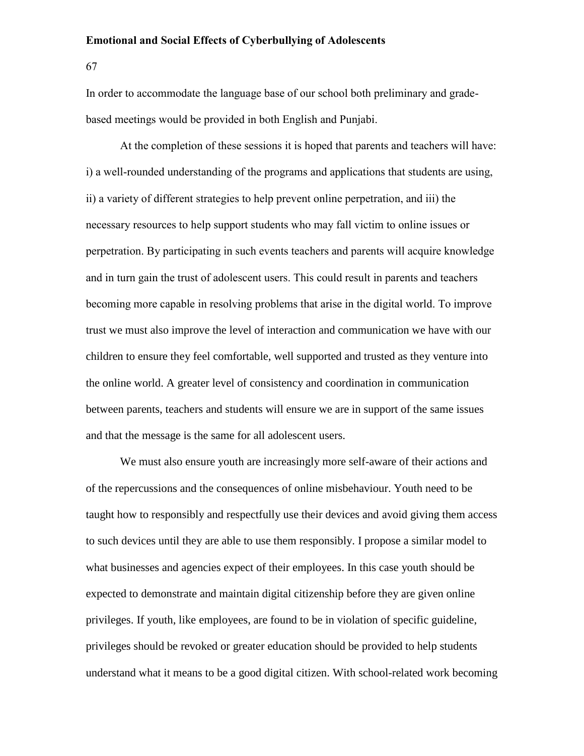67

In order to accommodate the language base of our school both preliminary and gradebased meetings would be provided in both English and Punjabi.

At the completion of these sessions it is hoped that parents and teachers will have: i) a well-rounded understanding of the programs and applications that students are using, ii) a variety of different strategies to help prevent online perpetration, and iii) the necessary resources to help support students who may fall victim to online issues or perpetration. By participating in such events teachers and parents will acquire knowledge and in turn gain the trust of adolescent users. This could result in parents and teachers becoming more capable in resolving problems that arise in the digital world. To improve trust we must also improve the level of interaction and communication we have with our children to ensure they feel comfortable, well supported and trusted as they venture into the online world. A greater level of consistency and coordination in communication between parents, teachers and students will ensure we are in support of the same issues and that the message is the same for all adolescent users.

We must also ensure youth are increasingly more self-aware of their actions and of the repercussions and the consequences of online misbehaviour. Youth need to be taught how to responsibly and respectfully use their devices and avoid giving them access to such devices until they are able to use them responsibly. I propose a similar model to what businesses and agencies expect of their employees. In this case youth should be expected to demonstrate and maintain digital citizenship before they are given online privileges. If youth, like employees, are found to be in violation of specific guideline, privileges should be revoked or greater education should be provided to help students understand what it means to be a good digital citizen. With school-related work becoming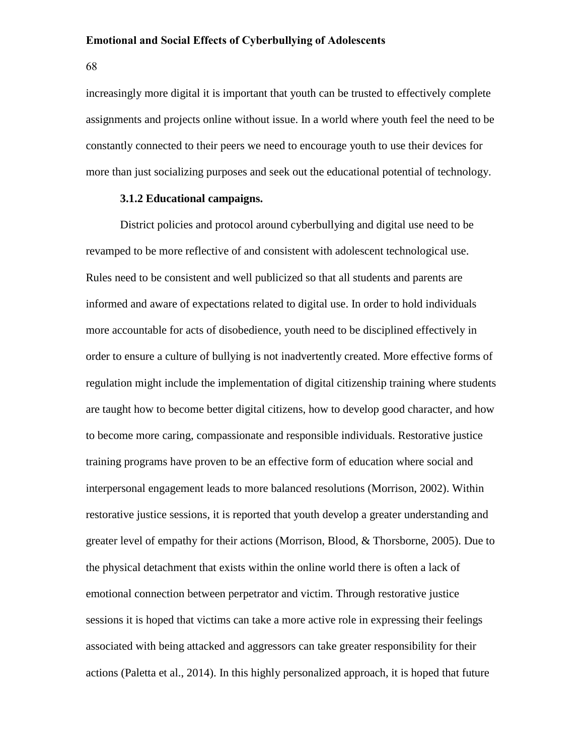68

increasingly more digital it is important that youth can be trusted to effectively complete assignments and projects online without issue. In a world where youth feel the need to be constantly connected to their peers we need to encourage youth to use their devices for more than just socializing purposes and seek out the educational potential of technology.

#### **3.1.2 Educational campaigns.**

District policies and protocol around cyberbullying and digital use need to be revamped to be more reflective of and consistent with adolescent technological use. Rules need to be consistent and well publicized so that all students and parents are informed and aware of expectations related to digital use. In order to hold individuals more accountable for acts of disobedience, youth need to be disciplined effectively in order to ensure a culture of bullying is not inadvertently created. More effective forms of regulation might include the implementation of digital citizenship training where students are taught how to become better digital citizens, how to develop good character, and how to become more caring, compassionate and responsible individuals. Restorative justice training programs have proven to be an effective form of education where social and interpersonal engagement leads to more balanced resolutions (Morrison, 2002). Within restorative justice sessions, it is reported that youth develop a greater understanding and greater level of empathy for their actions (Morrison, Blood, & Thorsborne, 2005). Due to the physical detachment that exists within the online world there is often a lack of emotional connection between perpetrator and victim. Through restorative justice sessions it is hoped that victims can take a more active role in expressing their feelings associated with being attacked and aggressors can take greater responsibility for their actions (Paletta et al., 2014). In this highly personalized approach, it is hoped that future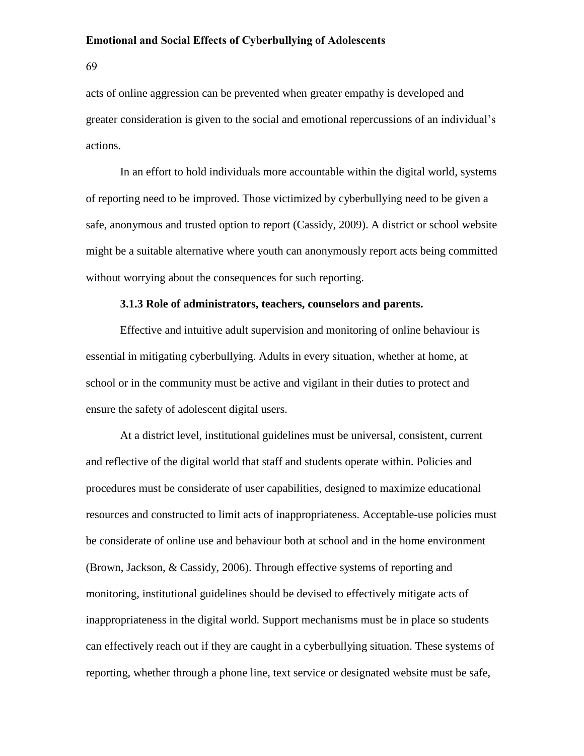69

acts of online aggression can be prevented when greater empathy is developed and greater consideration is given to the social and emotional repercussions of an individual's actions.

In an effort to hold individuals more accountable within the digital world, systems of reporting need to be improved. Those victimized by cyberbullying need to be given a safe, anonymous and trusted option to report (Cassidy, 2009). A district or school website might be a suitable alternative where youth can anonymously report acts being committed without worrying about the consequences for such reporting.

#### **3.1.3 Role of administrators, teachers, counselors and parents.**

Effective and intuitive adult supervision and monitoring of online behaviour is essential in mitigating cyberbullying. Adults in every situation, whether at home, at school or in the community must be active and vigilant in their duties to protect and ensure the safety of adolescent digital users.

At a district level, institutional guidelines must be universal, consistent, current and reflective of the digital world that staff and students operate within. Policies and procedures must be considerate of user capabilities, designed to maximize educational resources and constructed to limit acts of inappropriateness. Acceptable-use policies must be considerate of online use and behaviour both at school and in the home environment (Brown, Jackson, & Cassidy, 2006). Through effective systems of reporting and monitoring, institutional guidelines should be devised to effectively mitigate acts of inappropriateness in the digital world. Support mechanisms must be in place so students can effectively reach out if they are caught in a cyberbullying situation. These systems of reporting, whether through a phone line, text service or designated website must be safe,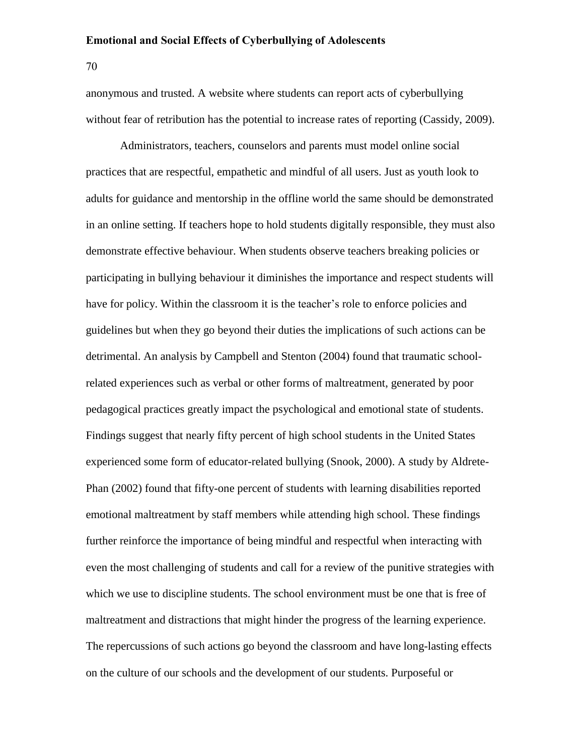70

anonymous and trusted. A website where students can report acts of cyberbullying without fear of retribution has the potential to increase rates of reporting (Cassidy, 2009).

Administrators, teachers, counselors and parents must model online social practices that are respectful, empathetic and mindful of all users. Just as youth look to adults for guidance and mentorship in the offline world the same should be demonstrated in an online setting. If teachers hope to hold students digitally responsible, they must also demonstrate effective behaviour. When students observe teachers breaking policies or participating in bullying behaviour it diminishes the importance and respect students will have for policy. Within the classroom it is the teacher's role to enforce policies and guidelines but when they go beyond their duties the implications of such actions can be detrimental. An analysis by Campbell and Stenton (2004) found that traumatic schoolrelated experiences such as verbal or other forms of maltreatment, generated by poor pedagogical practices greatly impact the psychological and emotional state of students. Findings suggest that nearly fifty percent of high school students in the United States experienced some form of educator-related bullying (Snook, 2000). A study by Aldrete-Phan (2002) found that fifty-one percent of students with learning disabilities reported emotional maltreatment by staff members while attending high school. These findings further reinforce the importance of being mindful and respectful when interacting with even the most challenging of students and call for a review of the punitive strategies with which we use to discipline students. The school environment must be one that is free of maltreatment and distractions that might hinder the progress of the learning experience. The repercussions of such actions go beyond the classroom and have long-lasting effects on the culture of our schools and the development of our students. Purposeful or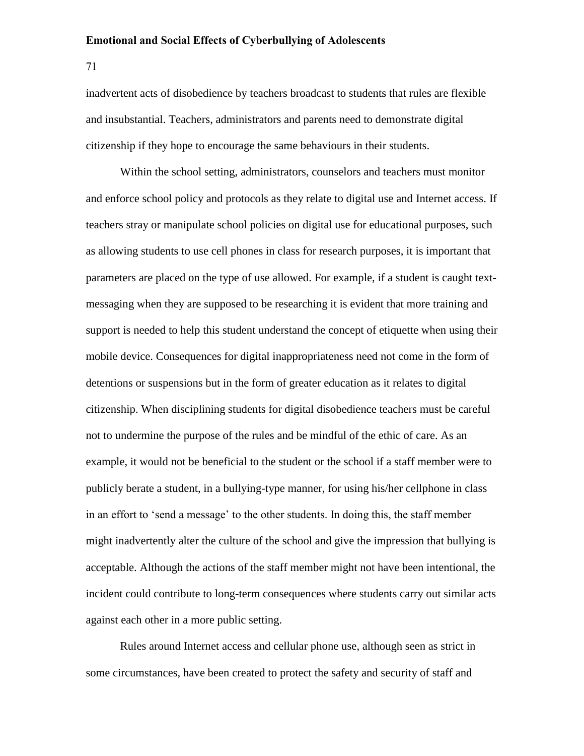71

inadvertent acts of disobedience by teachers broadcast to students that rules are flexible and insubstantial. Teachers, administrators and parents need to demonstrate digital citizenship if they hope to encourage the same behaviours in their students.

Within the school setting, administrators, counselors and teachers must monitor and enforce school policy and protocols as they relate to digital use and Internet access. If teachers stray or manipulate school policies on digital use for educational purposes, such as allowing students to use cell phones in class for research purposes, it is important that parameters are placed on the type of use allowed. For example, if a student is caught textmessaging when they are supposed to be researching it is evident that more training and support is needed to help this student understand the concept of etiquette when using their mobile device. Consequences for digital inappropriateness need not come in the form of detentions or suspensions but in the form of greater education as it relates to digital citizenship. When disciplining students for digital disobedience teachers must be careful not to undermine the purpose of the rules and be mindful of the ethic of care. As an example, it would not be beneficial to the student or the school if a staff member were to publicly berate a student, in a bullying-type manner, for using his/her cellphone in class in an effort to 'send a message' to the other students. In doing this, the staff member might inadvertently alter the culture of the school and give the impression that bullying is acceptable. Although the actions of the staff member might not have been intentional, the incident could contribute to long-term consequences where students carry out similar acts against each other in a more public setting.

Rules around Internet access and cellular phone use, although seen as strict in some circumstances, have been created to protect the safety and security of staff and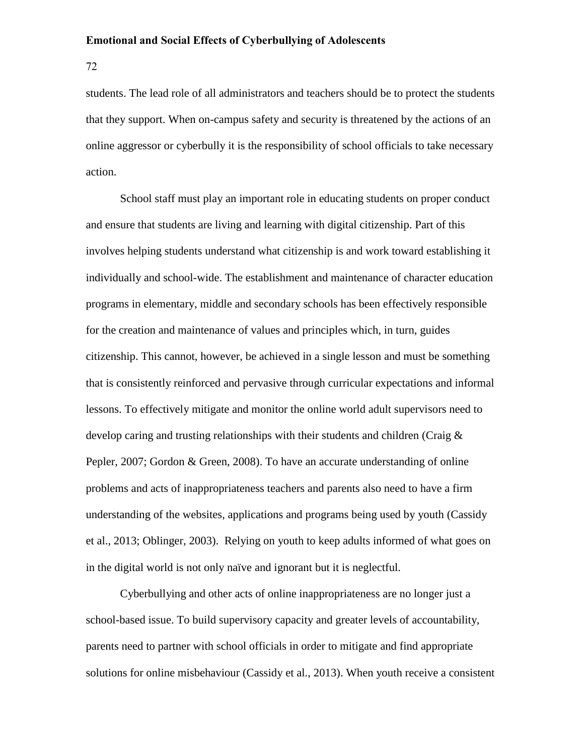72

students. The lead role of all administrators and teachers should be to protect the students that they support. When on-campus safety and security is threatened by the actions of an online aggressor or cyberbully it is the responsibility of school officials to take necessary action.

School staff must play an important role in educating students on proper conduct and ensure that students are living and learning with digital citizenship. Part of this involves helping students understand what citizenship is and work toward establishing it individually and school-wide. The establishment and maintenance of character education programs in elementary, middle and secondary schools has been effectively responsible for the creation and maintenance of values and principles which, in turn, guides citizenship. This cannot, however, be achieved in a single lesson and must be something that is consistently reinforced and pervasive through curricular expectations and informal lessons. To effectively mitigate and monitor the online world adult supervisors need to develop caring and trusting relationships with their students and children (Craig & Pepler, 2007; Gordon & Green, 2008). To have an accurate understanding of online problems and acts of inappropriateness teachers and parents also need to have a firm understanding of the websites, applications and programs being used by youth (Cassidy et al., 2013; Oblinger, 2003). Relying on youth to keep adults informed of what goes on in the digital world is not only naïve and ignorant but it is neglectful.

Cyberbullying and other acts of online inappropriateness are no longer just a school-based issue. To build supervisory capacity and greater levels of accountability, parents need to partner with school officials in order to mitigate and find appropriate solutions for online misbehaviour (Cassidy et al., 2013). When youth receive a consistent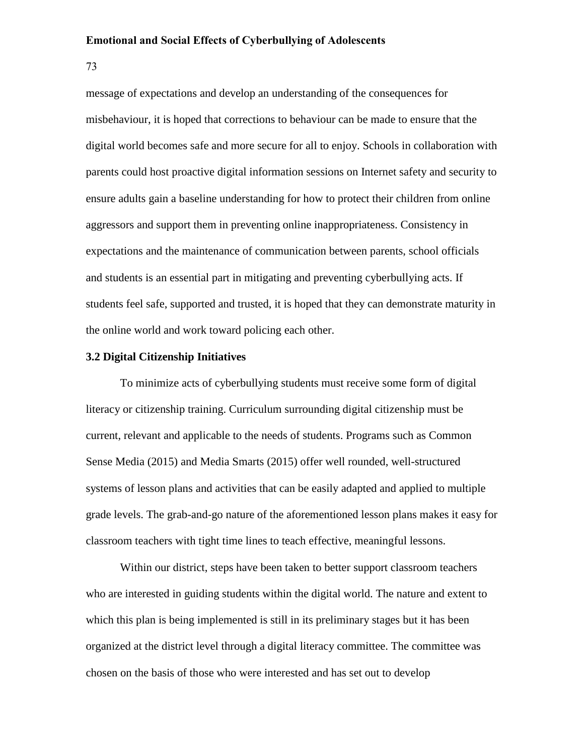73

message of expectations and develop an understanding of the consequences for misbehaviour, it is hoped that corrections to behaviour can be made to ensure that the digital world becomes safe and more secure for all to enjoy. Schools in collaboration with parents could host proactive digital information sessions on Internet safety and security to ensure adults gain a baseline understanding for how to protect their children from online aggressors and support them in preventing online inappropriateness. Consistency in expectations and the maintenance of communication between parents, school officials and students is an essential part in mitigating and preventing cyberbullying acts. If students feel safe, supported and trusted, it is hoped that they can demonstrate maturity in the online world and work toward policing each other.

### **3.2 Digital Citizenship Initiatives**

To minimize acts of cyberbullying students must receive some form of digital literacy or citizenship training. Curriculum surrounding digital citizenship must be current, relevant and applicable to the needs of students. Programs such as Common Sense Media (2015) and Media Smarts (2015) offer well rounded, well-structured systems of lesson plans and activities that can be easily adapted and applied to multiple grade levels. The grab-and-go nature of the aforementioned lesson plans makes it easy for classroom teachers with tight time lines to teach effective, meaningful lessons.

Within our district, steps have been taken to better support classroom teachers who are interested in guiding students within the digital world. The nature and extent to which this plan is being implemented is still in its preliminary stages but it has been organized at the district level through a digital literacy committee. The committee was chosen on the basis of those who were interested and has set out to develop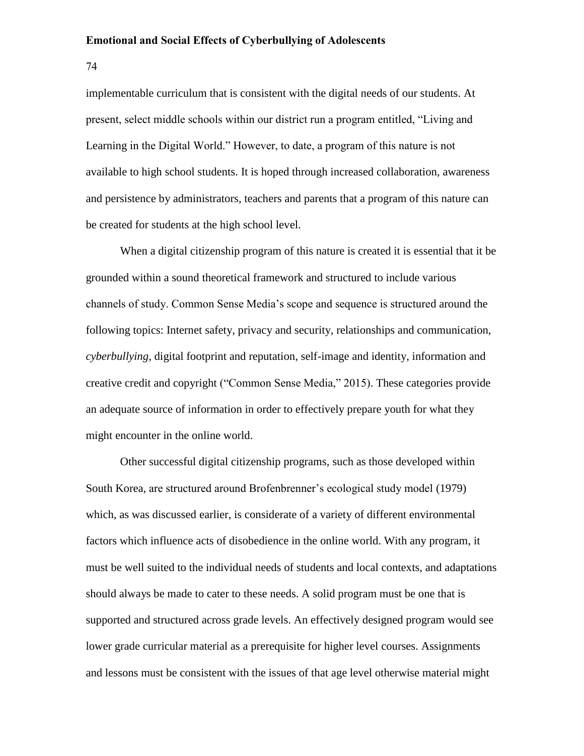74

implementable curriculum that is consistent with the digital needs of our students. At present, select middle schools within our district run a program entitled, "Living and Learning in the Digital World." However, to date, a program of this nature is not available to high school students. It is hoped through increased collaboration, awareness and persistence by administrators, teachers and parents that a program of this nature can be created for students at the high school level.

When a digital citizenship program of this nature is created it is essential that it be grounded within a sound theoretical framework and structured to include various channels of study. Common Sense Media's scope and sequence is structured around the following topics: Internet safety, privacy and security, relationships and communication, *cyberbullying*, digital footprint and reputation, self-image and identity, information and creative credit and copyright ("Common Sense Media," 2015). These categories provide an adequate source of information in order to effectively prepare youth for what they might encounter in the online world.

Other successful digital citizenship programs, such as those developed within South Korea, are structured around Brofenbrenner's ecological study model (1979) which, as was discussed earlier, is considerate of a variety of different environmental factors which influence acts of disobedience in the online world. With any program, it must be well suited to the individual needs of students and local contexts, and adaptations should always be made to cater to these needs. A solid program must be one that is supported and structured across grade levels. An effectively designed program would see lower grade curricular material as a prerequisite for higher level courses. Assignments and lessons must be consistent with the issues of that age level otherwise material might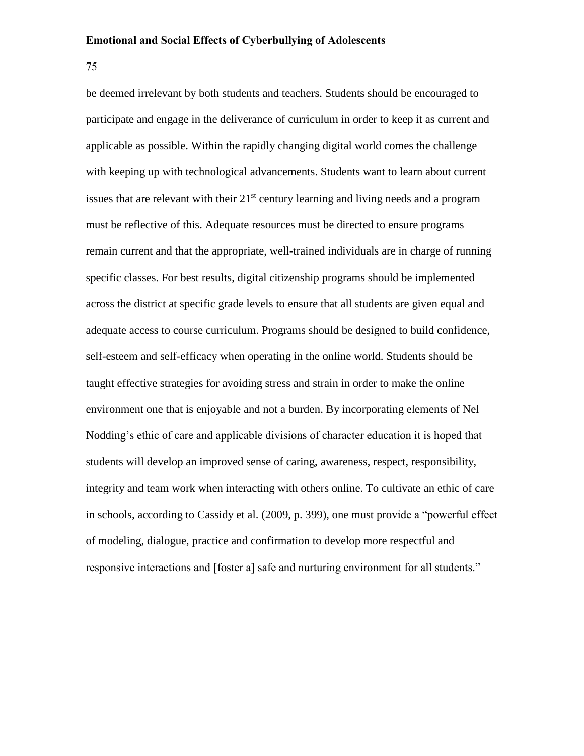75

be deemed irrelevant by both students and teachers. Students should be encouraged to participate and engage in the deliverance of curriculum in order to keep it as current and applicable as possible. Within the rapidly changing digital world comes the challenge with keeping up with technological advancements. Students want to learn about current issues that are relevant with their  $21<sup>st</sup>$  century learning and living needs and a program must be reflective of this. Adequate resources must be directed to ensure programs remain current and that the appropriate, well-trained individuals are in charge of running specific classes. For best results, digital citizenship programs should be implemented across the district at specific grade levels to ensure that all students are given equal and adequate access to course curriculum. Programs should be designed to build confidence, self-esteem and self-efficacy when operating in the online world. Students should be taught effective strategies for avoiding stress and strain in order to make the online environment one that is enjoyable and not a burden. By incorporating elements of Nel Nodding's ethic of care and applicable divisions of character education it is hoped that students will develop an improved sense of caring, awareness, respect, responsibility, integrity and team work when interacting with others online. To cultivate an ethic of care in schools, according to Cassidy et al. (2009, p. 399), one must provide a "powerful effect of modeling, dialogue, practice and confirmation to develop more respectful and responsive interactions and [foster a] safe and nurturing environment for all students."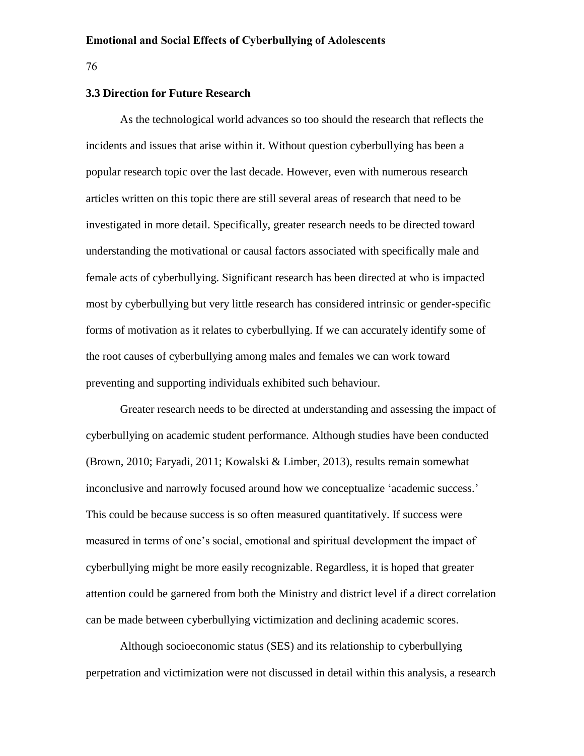#### 76

#### **3.3 Direction for Future Research**

As the technological world advances so too should the research that reflects the incidents and issues that arise within it. Without question cyberbullying has been a popular research topic over the last decade. However, even with numerous research articles written on this topic there are still several areas of research that need to be investigated in more detail. Specifically, greater research needs to be directed toward understanding the motivational or causal factors associated with specifically male and female acts of cyberbullying. Significant research has been directed at who is impacted most by cyberbullying but very little research has considered intrinsic or gender-specific forms of motivation as it relates to cyberbullying. If we can accurately identify some of the root causes of cyberbullying among males and females we can work toward preventing and supporting individuals exhibited such behaviour.

Greater research needs to be directed at understanding and assessing the impact of cyberbullying on academic student performance. Although studies have been conducted (Brown, 2010; Faryadi, 2011; Kowalski & Limber, 2013), results remain somewhat inconclusive and narrowly focused around how we conceptualize 'academic success.' This could be because success is so often measured quantitatively. If success were measured in terms of one's social, emotional and spiritual development the impact of cyberbullying might be more easily recognizable. Regardless, it is hoped that greater attention could be garnered from both the Ministry and district level if a direct correlation can be made between cyberbullying victimization and declining academic scores.

Although socioeconomic status (SES) and its relationship to cyberbullying perpetration and victimization were not discussed in detail within this analysis, a research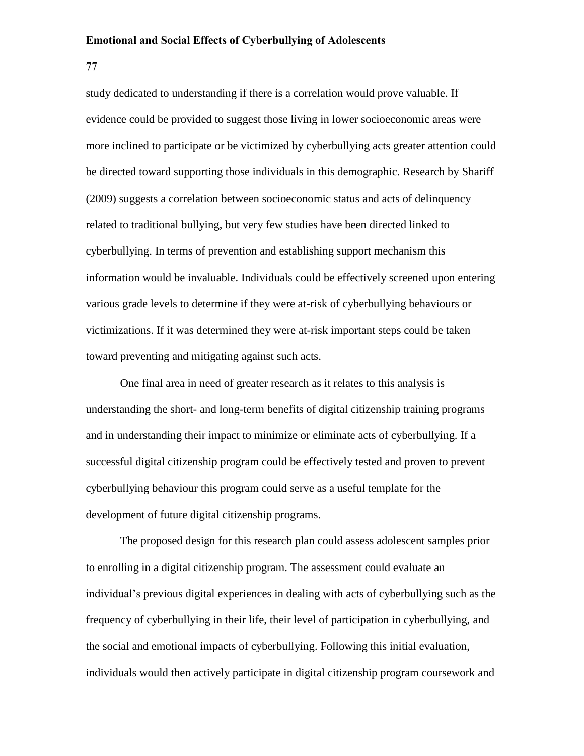77

study dedicated to understanding if there is a correlation would prove valuable. If evidence could be provided to suggest those living in lower socioeconomic areas were more inclined to participate or be victimized by cyberbullying acts greater attention could be directed toward supporting those individuals in this demographic. Research by Shariff (2009) suggests a correlation between socioeconomic status and acts of delinquency related to traditional bullying, but very few studies have been directed linked to cyberbullying. In terms of prevention and establishing support mechanism this information would be invaluable. Individuals could be effectively screened upon entering various grade levels to determine if they were at-risk of cyberbullying behaviours or victimizations. If it was determined they were at-risk important steps could be taken toward preventing and mitigating against such acts.

One final area in need of greater research as it relates to this analysis is understanding the short- and long-term benefits of digital citizenship training programs and in understanding their impact to minimize or eliminate acts of cyberbullying. If a successful digital citizenship program could be effectively tested and proven to prevent cyberbullying behaviour this program could serve as a useful template for the development of future digital citizenship programs.

The proposed design for this research plan could assess adolescent samples prior to enrolling in a digital citizenship program. The assessment could evaluate an individual's previous digital experiences in dealing with acts of cyberbullying such as the frequency of cyberbullying in their life, their level of participation in cyberbullying, and the social and emotional impacts of cyberbullying. Following this initial evaluation, individuals would then actively participate in digital citizenship program coursework and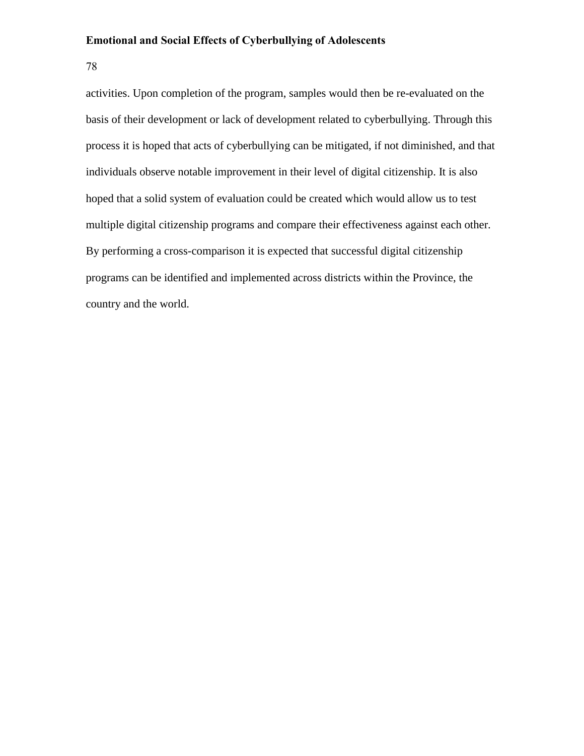78

activities. Upon completion of the program, samples would then be re-evaluated on the basis of their development or lack of development related to cyberbullying. Through this process it is hoped that acts of cyberbullying can be mitigated, if not diminished, and that individuals observe notable improvement in their level of digital citizenship. It is also hoped that a solid system of evaluation could be created which would allow us to test multiple digital citizenship programs and compare their effectiveness against each other. By performing a cross-comparison it is expected that successful digital citizenship programs can be identified and implemented across districts within the Province, the country and the world.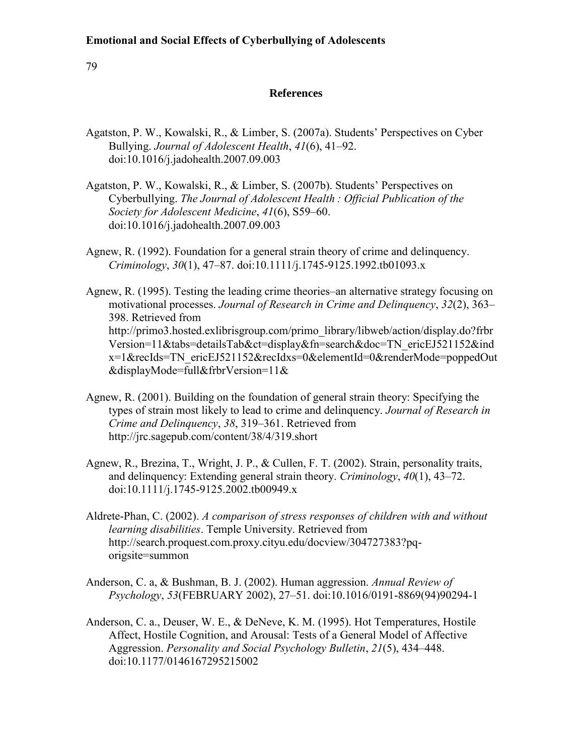79

# **References**

- Agatston, P. W., Kowalski, R., & Limber, S. (2007a). Students' Perspectives on Cyber Bullying. *Journal of Adolescent Health*, *41*(6), 41–92. doi:10.1016/j.jadohealth.2007.09.003
- Agatston, P. W., Kowalski, R., & Limber, S. (2007b). Students' Perspectives on Cyberbullying. *The Journal of Adolescent Health : Official Publication of the Society for Adolescent Medicine*, *41*(6), S59–60. doi:10.1016/j.jadohealth.2007.09.003
- Agnew, R. (1992). Foundation for a general strain theory of crime and delinquency. *Criminology*, *30*(1), 47–87. doi:10.1111/j.1745-9125.1992.tb01093.x

Agnew, R. (1995). Testing the leading crime theories–an alternative strategy focusing on motivational processes. *Journal of Research in Crime and Delinquency*, *32*(2), 363– 398. Retrieved from http://primo3.hosted.exlibrisgroup.com/primo\_library/libweb/action/display.do?frbr Version=11&tabs=detailsTab&ct=display&fn=search&doc=TN\_ericEJ521152&ind x=1&recIds=TN\_ericEJ521152&recIdxs=0&elementId=0&renderMode=poppedOut &displayMode=full&frbrVersion=11&

- Agnew, R. (2001). Building on the foundation of general strain theory: Specifying the types of strain most likely to lead to crime and delinquency. *Journal of Research in Crime and Delinquency*, *38*, 319–361. Retrieved from http://jrc.sagepub.com/content/38/4/319.short
- Agnew, R., Brezina, T., Wright, J. P., & Cullen, F. T. (2002). Strain, personality traits, and delinquency: Extending general strain theory. *Criminology*, *40*(1), 43–72. doi:10.1111/j.1745-9125.2002.tb00949.x
- Aldrete-Phan, C. (2002). *A comparison of stress responses of children with and without learning disabilities*. Temple University. Retrieved from http://search.proquest.com.proxy.cityu.edu/docview/304727383?pqorigsite=summon
- Anderson, C. a, & Bushman, B. J. (2002). Human aggression. *Annual Review of Psychology*, *53*(FEBRUARY 2002), 27–51. doi:10.1016/0191-8869(94)90294-1
- Anderson, C. a., Deuser, W. E., & DeNeve, K. M. (1995). Hot Temperatures, Hostile Affect, Hostile Cognition, and Arousal: Tests of a General Model of Affective Aggression. *Personality and Social Psychology Bulletin*, *21*(5), 434–448. doi:10.1177/0146167295215002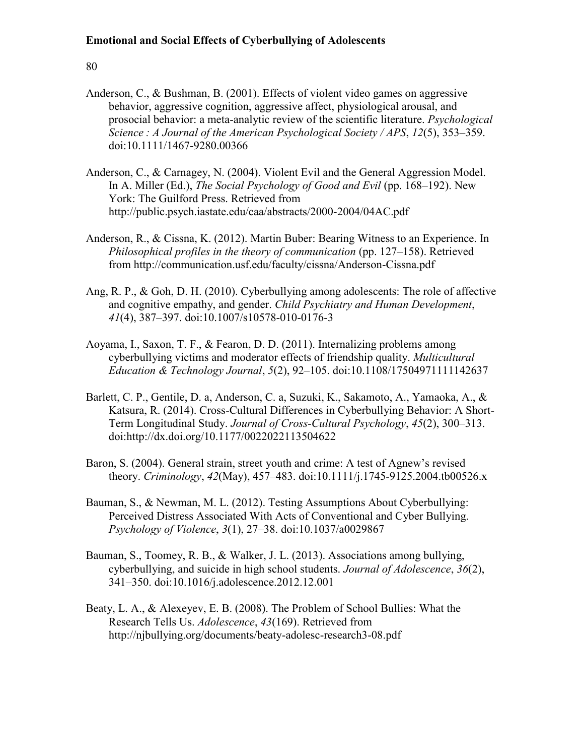- Anderson, C., & Bushman, B. (2001). Effects of violent video games on aggressive behavior, aggressive cognition, aggressive affect, physiological arousal, and prosocial behavior: a meta-analytic review of the scientific literature. *Psychological Science : A Journal of the American Psychological Society / APS*, *12*(5), 353–359. doi:10.1111/1467-9280.00366
- Anderson, C., & Carnagey, N. (2004). Violent Evil and the General Aggression Model. In A. Miller (Ed.), *The Social Psychology of Good and Evil* (pp. 168–192). New York: The Guilford Press. Retrieved from http://public.psych.iastate.edu/caa/abstracts/2000-2004/04AC.pdf
- Anderson, R., & Cissna, K. (2012). Martin Buber: Bearing Witness to an Experience. In *Philosophical profiles in the theory of communication* (pp. 127–158). Retrieved from http://communication.usf.edu/faculty/cissna/Anderson-Cissna.pdf
- Ang, R. P., & Goh, D. H. (2010). Cyberbullying among adolescents: The role of affective and cognitive empathy, and gender. *Child Psychiatry and Human Development*, *41*(4), 387–397. doi:10.1007/s10578-010-0176-3
- Aoyama, I., Saxon, T. F., & Fearon, D. D. (2011). Internalizing problems among cyberbullying victims and moderator effects of friendship quality. *Multicultural Education & Technology Journal*, *5*(2), 92–105. doi:10.1108/17504971111142637
- Barlett, C. P., Gentile, D. a, Anderson, C. a, Suzuki, K., Sakamoto, A., Yamaoka, A., & Katsura, R. (2014). Cross-Cultural Differences in Cyberbullying Behavior: A Short-Term Longitudinal Study. *Journal of Cross-Cultural Psychology*, *45*(2), 300–313. doi:http://dx.doi.org/10.1177/0022022113504622
- Baron, S. (2004). General strain, street youth and crime: A test of Agnew's revised theory. *Criminology*, *42*(May), 457–483. doi:10.1111/j.1745-9125.2004.tb00526.x
- Bauman, S., & Newman, M. L. (2012). Testing Assumptions About Cyberbullying: Perceived Distress Associated With Acts of Conventional and Cyber Bullying. *Psychology of Violence*, *3*(1), 27–38. doi:10.1037/a0029867
- Bauman, S., Toomey, R. B., & Walker, J. L. (2013). Associations among bullying, cyberbullying, and suicide in high school students. *Journal of Adolescence*, *36*(2), 341–350. doi:10.1016/j.adolescence.2012.12.001
- Beaty, L. A., & Alexeyev, E. B. (2008). The Problem of School Bullies: What the Research Tells Us. *Adolescence*, *43*(169). Retrieved from http://njbullying.org/documents/beaty-adolesc-research3-08.pdf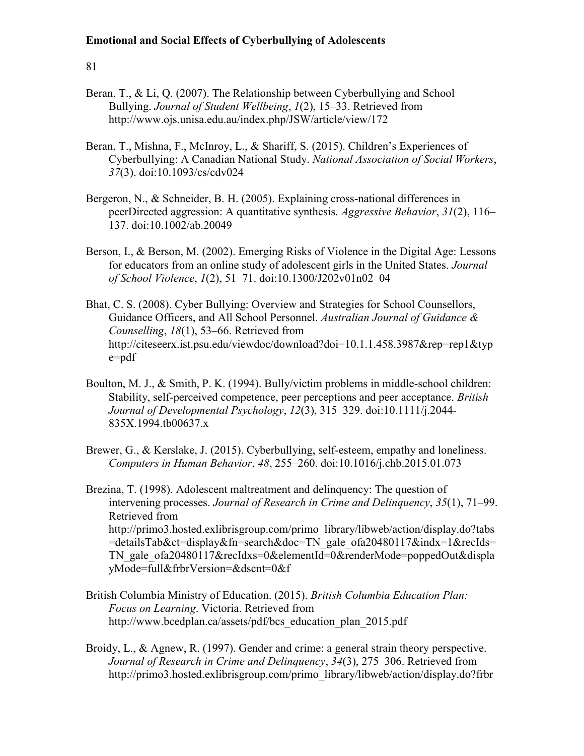- Beran, T., & Li, Q. (2007). The Relationship between Cyberbullying and School Bullying. *Journal of Student Wellbeing*, *1*(2), 15–33. Retrieved from http://www.ojs.unisa.edu.au/index.php/JSW/article/view/172
- Beran, T., Mishna, F., McInroy, L., & Shariff, S. (2015). Children's Experiences of Cyberbullying: A Canadian National Study. *National Association of Social Workers*, *37*(3). doi:10.1093/cs/cdv024
- Bergeron, N., & Schneider, B. H. (2005). Explaining cross-national differences in peerDirected aggression: A quantitative synthesis. *Aggressive Behavior*, *31*(2), 116– 137. doi:10.1002/ab.20049
- Berson, I., & Berson, M. (2002). Emerging Risks of Violence in the Digital Age: Lessons for educators from an online study of adolescent girls in the United States. *Journal of School Violence*, *1*(2), 51–71. doi:10.1300/J202v01n02\_04
- Bhat, C. S. (2008). Cyber Bullying: Overview and Strategies for School Counsellors, Guidance Officers, and All School Personnel. *Australian Journal of Guidance & Counselling*, *18*(1), 53–66. Retrieved from http://citeseerx.ist.psu.edu/viewdoc/download?doi=10.1.1.458.3987&rep=rep1&typ e=pdf
- Boulton, M. J., & Smith, P. K. (1994). Bully/victim problems in middle-school children: Stability, self-perceived competence, peer perceptions and peer acceptance. *British Journal of Developmental Psychology*, *12*(3), 315–329. doi:10.1111/j.2044- 835X.1994.tb00637.x
- Brewer, G., & Kerslake, J. (2015). Cyberbullying, self-esteem, empathy and loneliness. *Computers in Human Behavior*, *48*, 255–260. doi:10.1016/j.chb.2015.01.073
- Brezina, T. (1998). Adolescent maltreatment and delinquency: The question of intervening processes. *Journal of Research in Crime and Delinquency*, *35*(1), 71–99. Retrieved from http://primo3.hosted.exlibrisgroup.com/primo\_library/libweb/action/display.do?tabs =detailsTab&ct=display&fn=search&doc=TN\_gale\_ofa20480117&indx=1&recIds= TN\_gale\_ofa20480117&recIdxs=0&elementId=0&renderMode=poppedOut&displa yMode=full&frbrVersion=&dscnt=0&f
- British Columbia Ministry of Education. (2015). *British Columbia Education Plan: Focus on Learning*. Victoria. Retrieved from http://www.bcedplan.ca/assets/pdf/bcs\_education\_plan\_2015.pdf
- Broidy, L., & Agnew, R. (1997). Gender and crime: a general strain theory perspective. *Journal of Research in Crime and Delinquency*, *34*(3), 275–306. Retrieved from http://primo3.hosted.exlibrisgroup.com/primo\_library/libweb/action/display.do?frbr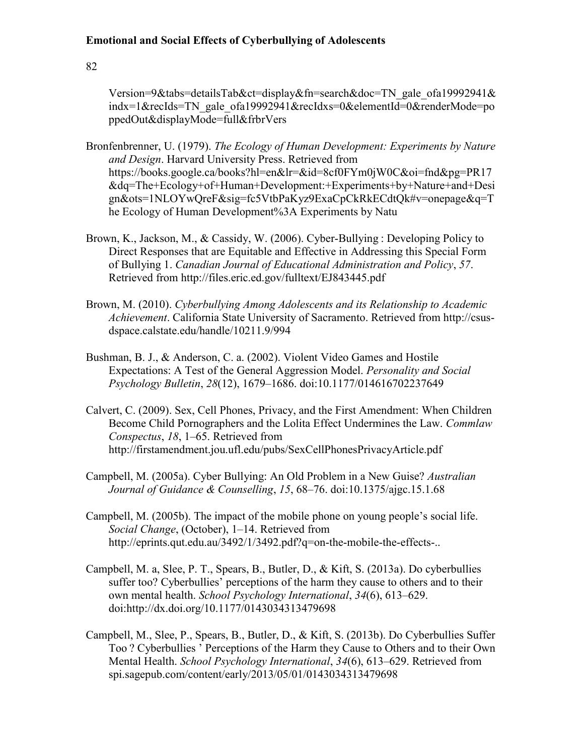82

Version=9&tabs=detailsTab&ct=display&fn=search&doc=TN\_gale\_ofa19992941& indx=1&recIds=TN\_gale\_ofa19992941&recIdxs=0&elementId=0&renderMode=po ppedOut&displayMode=full&frbrVers

- Bronfenbrenner, U. (1979). *The Ecology of Human Development: Experiments by Nature and Design*. Harvard University Press. Retrieved from https://books.google.ca/books?hl=en&lr=&id=8cf0FYm0jW0C&oi=fnd&pg=PR17 &dq=The+Ecology+of+Human+Development:+Experiments+by+Nature+and+Desi gn&ots=1NLOYwQreF&sig=fc5VtbPaKyz9ExaCpCkRkECdtQk#v=onepage&q=T he Ecology of Human Development%3A Experiments by Natu
- Brown, K., Jackson, M., & Cassidy, W. (2006). Cyber-Bullying : Developing Policy to Direct Responses that are Equitable and Effective in Addressing this Special Form of Bullying 1. *Canadian Journal of Educational Administration and Policy*, *57*. Retrieved from http://files.eric.ed.gov/fulltext/EJ843445.pdf
- Brown, M. (2010). *Cyberbullying Among Adolescents and its Relationship to Academic Achievement*. California State University of Sacramento. Retrieved from http://csusdspace.calstate.edu/handle/10211.9/994
- Bushman, B. J., & Anderson, C. a. (2002). Violent Video Games and Hostile Expectations: A Test of the General Aggression Model. *Personality and Social Psychology Bulletin*, *28*(12), 1679–1686. doi:10.1177/014616702237649
- Calvert, C. (2009). Sex, Cell Phones, Privacy, and the First Amendment: When Children Become Child Pornographers and the Lolita Effect Undermines the Law. *Commlaw Conspectus*, *18*, 1–65. Retrieved from http://firstamendment.jou.ufl.edu/pubs/SexCellPhonesPrivacyArticle.pdf
- Campbell, M. (2005a). Cyber Bullying: An Old Problem in a New Guise? *Australian Journal of Guidance & Counselling*, *15*, 68–76. doi:10.1375/ajgc.15.1.68
- Campbell, M. (2005b). The impact of the mobile phone on young people's social life. *Social Change*, (October), 1–14. Retrieved from http://eprints.qut.edu.au/3492/1/3492.pdf?q=on-the-mobile-the-effects-..
- Campbell, M. a, Slee, P. T., Spears, B., Butler, D., & Kift, S. (2013a). Do cyberbullies suffer too? Cyberbullies' perceptions of the harm they cause to others and to their own mental health. *School Psychology International*, *34*(6), 613–629. doi:http://dx.doi.org/10.1177/0143034313479698
- Campbell, M., Slee, P., Spears, B., Butler, D., & Kift, S. (2013b). Do Cyberbullies Suffer Too ? Cyberbullies ' Perceptions of the Harm they Cause to Others and to their Own Mental Health. *School Psychology International*, *34*(6), 613–629. Retrieved from spi.sagepub.com/content/early/2013/05/01/0143034313479698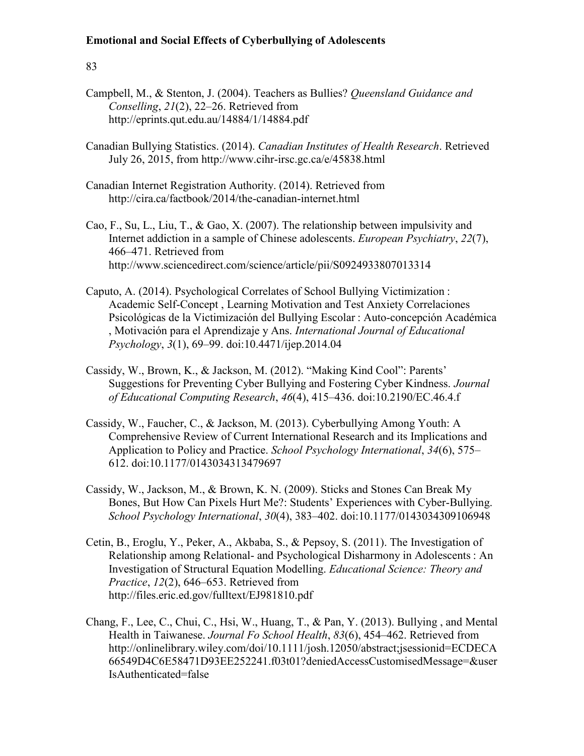- Campbell, M., & Stenton, J. (2004). Teachers as Bullies? *Queensland Guidance and Conselling*, *21*(2), 22–26. Retrieved from http://eprints.qut.edu.au/14884/1/14884.pdf
- Canadian Bullying Statistics. (2014). *Canadian Institutes of Health Research*. Retrieved July 26, 2015, from http://www.cihr-irsc.gc.ca/e/45838.html
- Canadian Internet Registration Authority. (2014). Retrieved from http://cira.ca/factbook/2014/the-canadian-internet.html
- Cao, F., Su, L., Liu, T., & Gao, X. (2007). The relationship between impulsivity and Internet addiction in a sample of Chinese adolescents. *European Psychiatry*, *22*(7), 466–471. Retrieved from http://www.sciencedirect.com/science/article/pii/S0924933807013314
- Caputo, A. (2014). Psychological Correlates of School Bullying Victimization : Academic Self-Concept , Learning Motivation and Test Anxiety Correlaciones Psicológicas de la Victimización del Bullying Escolar : Auto-concepción Académica , Motivación para el Aprendizaje y Ans. *International Journal of Educational Psychology*, *3*(1), 69–99. doi:10.4471/ijep.2014.04
- Cassidy, W., Brown, K., & Jackson, M. (2012). "Making Kind Cool": Parents' Suggestions for Preventing Cyber Bullying and Fostering Cyber Kindness. *Journal of Educational Computing Research*, *46*(4), 415–436. doi:10.2190/EC.46.4.f
- Cassidy, W., Faucher, C., & Jackson, M. (2013). Cyberbullying Among Youth: A Comprehensive Review of Current International Research and its Implications and Application to Policy and Practice. *School Psychology International*, *34*(6), 575– 612. doi:10.1177/0143034313479697
- Cassidy, W., Jackson, M., & Brown, K. N. (2009). Sticks and Stones Can Break My Bones, But How Can Pixels Hurt Me?: Students' Experiences with Cyber-Bullying. *School Psychology International*, *30*(4), 383–402. doi:10.1177/0143034309106948
- Cetin, B., Eroglu, Y., Peker, A., Akbaba, S., & Pepsoy, S. (2011). The Investigation of Relationship among Relational- and Psychological Disharmony in Adolescents : An Investigation of Structural Equation Modelling. *Educational Science: Theory and Practice*, *12*(2), 646–653. Retrieved from http://files.eric.ed.gov/fulltext/EJ981810.pdf
- Chang, F., Lee, C., Chui, C., Hsi, W., Huang, T., & Pan, Y. (2013). Bullying , and Mental Health in Taiwanese. *Journal Fo School Health*, *83*(6), 454–462. Retrieved from http://onlinelibrary.wiley.com/doi/10.1111/josh.12050/abstract;jsessionid=ECDECA 66549D4C6E58471D93EE252241.f03t01?deniedAccessCustomisedMessage=&user IsAuthenticated=false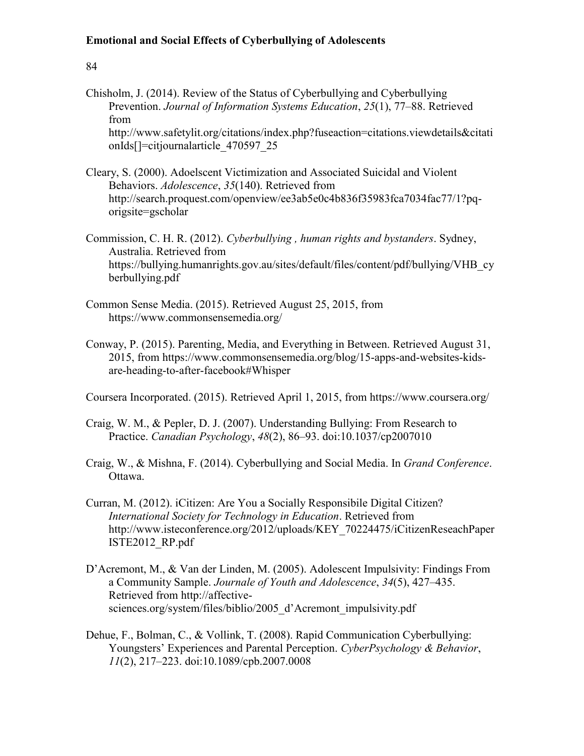## 84

- Chisholm, J. (2014). Review of the Status of Cyberbullying and Cyberbullying Prevention. *Journal of Information Systems Education*, *25*(1), 77–88. Retrieved from http://www.safetylit.org/citations/index.php?fuseaction=citations.viewdetails&citati onIds[]=citjournalarticle\_470597\_25
- Cleary, S. (2000). Adoelscent Victimization and Associated Suicidal and Violent Behaviors. *Adolescence*, *35*(140). Retrieved from http://search.proquest.com/openview/ee3ab5e0c4b836f35983fca7034fac77/1?pqorigsite=gscholar
- Commission, C. H. R. (2012). *Cyberbullying , human rights and bystanders*. Sydney, Australia. Retrieved from https://bullying.humanrights.gov.au/sites/default/files/content/pdf/bullying/VHB\_cy berbullying.pdf
- Common Sense Media. (2015). Retrieved August 25, 2015, from https://www.commonsensemedia.org/
- Conway, P. (2015). Parenting, Media, and Everything in Between. Retrieved August 31, 2015, from https://www.commonsensemedia.org/blog/15-apps-and-websites-kidsare-heading-to-after-facebook#Whisper

Coursera Incorporated. (2015). Retrieved April 1, 2015, from https://www.coursera.org/

- Craig, W. M., & Pepler, D. J. (2007). Understanding Bullying: From Research to Practice. *Canadian Psychology*, *48*(2), 86–93. doi:10.1037/cp2007010
- Craig, W., & Mishna, F. (2014). Cyberbullying and Social Media. In *Grand Conference*. Ottawa.
- Curran, M. (2012). iCitizen: Are You a Socially Responsibile Digital Citizen? *International Society for Technology in Education*. Retrieved from http://www.isteconference.org/2012/uploads/KEY\_70224475/iCitizenReseachPaper ISTE2012\_RP.pdf
- D'Acremont, M., & Van der Linden, M. (2005). Adolescent Impulsivity: Findings From a Community Sample. *Journale of Youth and Adolescence*, *34*(5), 427–435. Retrieved from http://affectivesciences.org/system/files/biblio/2005\_d'Acremont\_impulsivity.pdf
- Dehue, F., Bolman, C., & Vollink, T. (2008). Rapid Communication Cyberbullying: Youngsters' Experiences and Parental Perception. *CyberPsychology & Behavior*, *11*(2), 217–223. doi:10.1089/cpb.2007.0008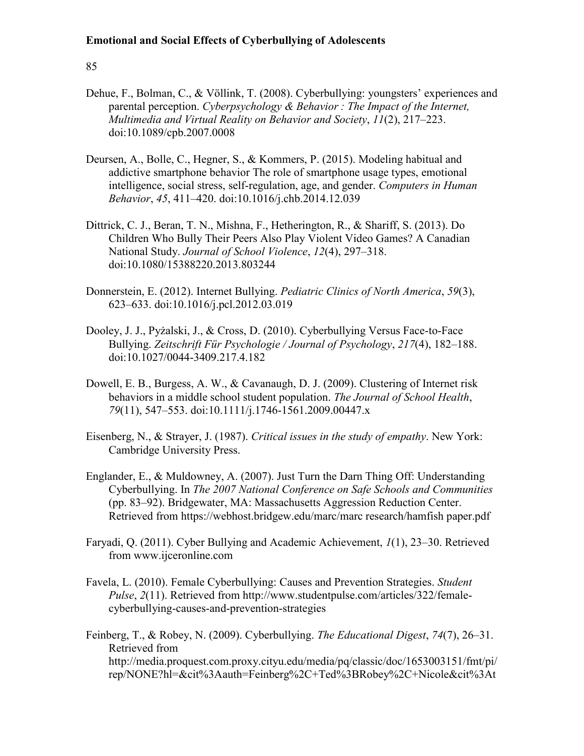- Dehue, F., Bolman, C., & Völlink, T. (2008). Cyberbullying: youngsters' experiences and parental perception. *Cyberpsychology & Behavior : The Impact of the Internet, Multimedia and Virtual Reality on Behavior and Society*, *11*(2), 217–223. doi:10.1089/cpb.2007.0008
- Deursen, A., Bolle, C., Hegner, S., & Kommers, P. (2015). Modeling habitual and addictive smartphone behavior The role of smartphone usage types, emotional intelligence, social stress, self-regulation, age, and gender. *Computers in Human Behavior*, *45*, 411–420. doi:10.1016/j.chb.2014.12.039
- Dittrick, C. J., Beran, T. N., Mishna, F., Hetherington, R., & Shariff, S. (2013). Do Children Who Bully Their Peers Also Play Violent Video Games? A Canadian National Study. *Journal of School Violence*, *12*(4), 297–318. doi:10.1080/15388220.2013.803244
- Donnerstein, E. (2012). Internet Bullying. *Pediatric Clinics of North America*, *59*(3), 623–633. doi:10.1016/j.pcl.2012.03.019
- Dooley, J. J., Pyżalski, J., & Cross, D. (2010). Cyberbullying Versus Face-to-Face Bullying. *Zeitschrift Für Psychologie / Journal of Psychology*, *217*(4), 182–188. doi:10.1027/0044-3409.217.4.182
- Dowell, E. B., Burgess, A. W., & Cavanaugh, D. J. (2009). Clustering of Internet risk behaviors in a middle school student population. *The Journal of School Health*, *79*(11), 547–553. doi:10.1111/j.1746-1561.2009.00447.x
- Eisenberg, N., & Strayer, J. (1987). *Critical issues in the study of empathy*. New York: Cambridge University Press.
- Englander, E., & Muldowney, A. (2007). Just Turn the Darn Thing Off: Understanding Cyberbullying. In *The 2007 National Conference on Safe Schools and Communities* (pp. 83–92). Bridgewater, MA: Massachusetts Aggression Reduction Center. Retrieved from https://webhost.bridgew.edu/marc/marc research/hamfish paper.pdf
- Faryadi, Q. (2011). Cyber Bullying and Academic Achievement, *1*(1), 23–30. Retrieved from www.ijceronline.com
- Favela, L. (2010). Female Cyberbullying: Causes and Prevention Strategies. *Student Pulse*, *2*(11). Retrieved from http://www.studentpulse.com/articles/322/femalecyberbullying-causes-and-prevention-strategies
- Feinberg, T., & Robey, N. (2009). Cyberbullying. *The Educational Digest*, *74*(7), 26–31. Retrieved from http://media.proquest.com.proxy.cityu.edu/media/pq/classic/doc/1653003151/fmt/pi/ rep/NONE?hl=&cit%3Aauth=Feinberg%2C+Ted%3BRobey%2C+Nicole&cit%3At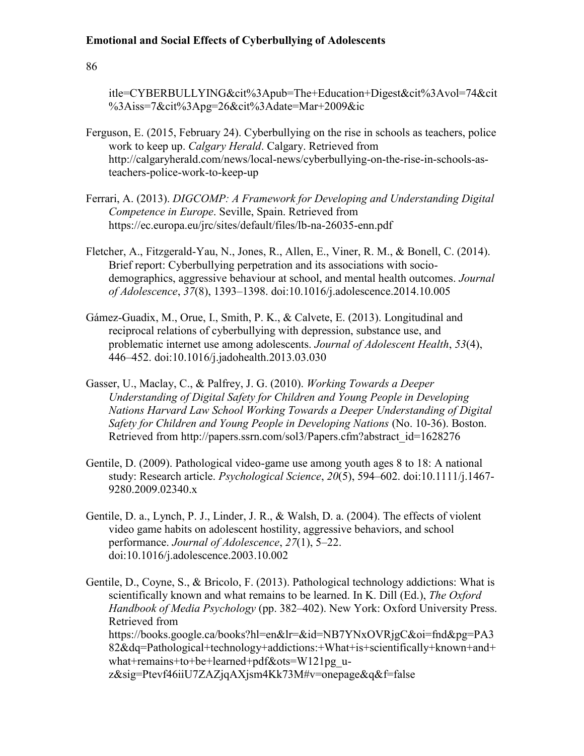86

itle=CYBERBULLYING&cit%3Apub=The+Education+Digest&cit%3Avol=74&cit %3Aiss=7&cit%3Apg=26&cit%3Adate=Mar+2009&ic

- Ferguson, E. (2015, February 24). Cyberbullying on the rise in schools as teachers, police work to keep up. *Calgary Herald*. Calgary. Retrieved from http://calgaryherald.com/news/local-news/cyberbullying-on-the-rise-in-schools-asteachers-police-work-to-keep-up
- Ferrari, A. (2013). *DIGCOMP: A Framework for Developing and Understanding Digital Competence in Europe*. Seville, Spain. Retrieved from https://ec.europa.eu/jrc/sites/default/files/lb-na-26035-enn.pdf
- Fletcher, A., Fitzgerald-Yau, N., Jones, R., Allen, E., Viner, R. M., & Bonell, C. (2014). Brief report: Cyberbullying perpetration and its associations with sociodemographics, aggressive behaviour at school, and mental health outcomes. *Journal of Adolescence*, *37*(8), 1393–1398. doi:10.1016/j.adolescence.2014.10.005
- Gámez-Guadix, M., Orue, I., Smith, P. K., & Calvete, E. (2013). Longitudinal and reciprocal relations of cyberbullying with depression, substance use, and problematic internet use among adolescents. *Journal of Adolescent Health*, *53*(4), 446–452. doi:10.1016/j.jadohealth.2013.03.030
- Gasser, U., Maclay, C., & Palfrey, J. G. (2010). *Working Towards a Deeper Understanding of Digital Safety for Children and Young People in Developing Nations Harvard Law School Working Towards a Deeper Understanding of Digital Safety for Children and Young People in Developing Nations* (No. 10-36). Boston. Retrieved from http://papers.ssrn.com/sol3/Papers.cfm?abstract\_id=1628276
- Gentile, D. (2009). Pathological video-game use among youth ages 8 to 18: A national study: Research article. *Psychological Science*, *20*(5), 594–602. doi:10.1111/j.1467- 9280.2009.02340.x
- Gentile, D. a., Lynch, P. J., Linder, J. R., & Walsh, D. a. (2004). The effects of violent video game habits on adolescent hostility, aggressive behaviors, and school performance. *Journal of Adolescence*, *27*(1), 5–22. doi:10.1016/j.adolescence.2003.10.002

Gentile, D., Coyne, S., & Bricolo, F. (2013). Pathological technology addictions: What is scientifically known and what remains to be learned. In K. Dill (Ed.), *The Oxford Handbook of Media Psychology* (pp. 382–402). New York: Oxford University Press. Retrieved from https://books.google.ca/books?hl=en&lr=&id=NB7YNxOVRjgC&oi=fnd&pg=PA3 82&dq=Pathological+technology+addictions:+What+is+scientifically+known+and+ what+remains+to+be+learned+pdf&ots=W121pg\_uz&sig=Ptevf46iiU7ZAZjqAXjsm4Kk73M#v=onepage&q&f=false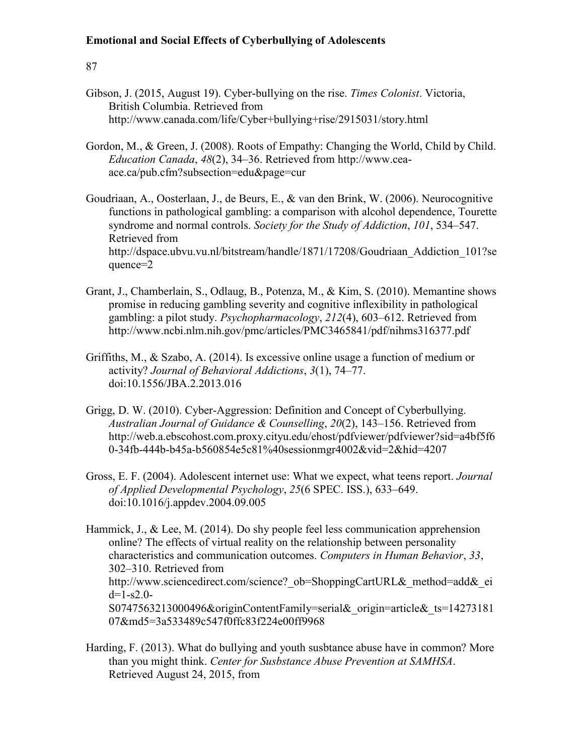- Gibson, J. (2015, August 19). Cyber-bullying on the rise. *Times Colonist*. Victoria, British Columbia. Retrieved from http://www.canada.com/life/Cyber+bullying+rise/2915031/story.html
- Gordon, M., & Green, J. (2008). Roots of Empathy: Changing the World, Child by Child. *Education Canada*, *48*(2), 34–36. Retrieved from http://www.ceaace.ca/pub.cfm?subsection=edu&page=cur
- Goudriaan, A., Oosterlaan, J., de Beurs, E., & van den Brink, W. (2006). Neurocognitive functions in pathological gambling: a comparison with alcohol dependence, Tourette syndrome and normal controls. *Society for the Study of Addiction*, *101*, 534–547. Retrieved from http://dspace.ubvu.vu.nl/bitstream/handle/1871/17208/Goudriaan\_Addiction\_101?se quence=2
- Grant, J., Chamberlain, S., Odlaug, B., Potenza, M., & Kim, S. (2010). Memantine shows promise in reducing gambling severity and cognitive inflexibility in pathological gambling: a pilot study. *Psychopharmacology*, *212*(4), 603–612. Retrieved from http://www.ncbi.nlm.nih.gov/pmc/articles/PMC3465841/pdf/nihms316377.pdf
- Griffiths, M., & Szabo, A. (2014). Is excessive online usage a function of medium or activity? *Journal of Behavioral Addictions*, *3*(1), 74–77. doi:10.1556/JBA.2.2013.016
- Grigg, D. W. (2010). Cyber-Aggression: Definition and Concept of Cyberbullying. *Australian Journal of Guidance & Counselling*, *20*(2), 143–156. Retrieved from http://web.a.ebscohost.com.proxy.cityu.edu/ehost/pdfviewer/pdfviewer?sid=a4bf5f6 0-34fb-444b-b45a-b560854e5c81%40sessionmgr4002&vid=2&hid=4207
- Gross, E. F. (2004). Adolescent internet use: What we expect, what teens report. *Journal of Applied Developmental Psychology*, *25*(6 SPEC. ISS.), 633–649. doi:10.1016/j.appdev.2004.09.005
- Hammick, J., & Lee, M. (2014). Do shy people feel less communication apprehension online? The effects of virtual reality on the relationship between personality characteristics and communication outcomes. *Computers in Human Behavior*, *33*, 302–310. Retrieved from http://www.sciencedirect.com/science? ob=ShoppingCartURL& method=add& ei  $d=1-s2.0-$ S0747563213000496&originContentFamily=serial&\_origin=article&\_ts=14273181 07&md5=3a533489c547f0ffc83f224e00ff9968
- Harding, F. (2013). What do bullying and youth susbtance abuse have in common? More than you might think. *Center for Susbstance Abuse Prevention at SAMHSA*. Retrieved August 24, 2015, from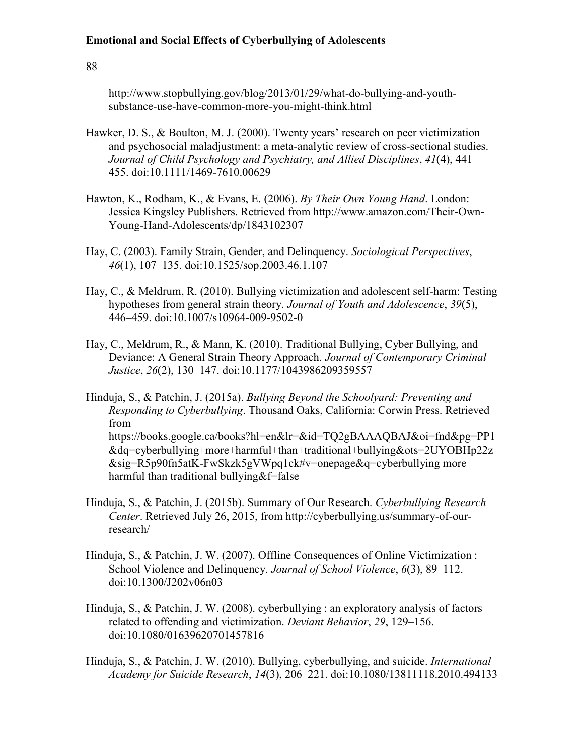88

http://www.stopbullying.gov/blog/2013/01/29/what-do-bullying-and-youthsubstance-use-have-common-more-you-might-think.html

- Hawker, D. S., & Boulton, M. J. (2000). Twenty years' research on peer victimization and psychosocial maladjustment: a meta-analytic review of cross-sectional studies. *Journal of Child Psychology and Psychiatry, and Allied Disciplines*, *41*(4), 441– 455. doi:10.1111/1469-7610.00629
- Hawton, K., Rodham, K., & Evans, E. (2006). *By Their Own Young Hand*. London: Jessica Kingsley Publishers. Retrieved from http://www.amazon.com/Their-Own-Young-Hand-Adolescents/dp/1843102307
- Hay, C. (2003). Family Strain, Gender, and Delinquency. *Sociological Perspectives*, *46*(1), 107–135. doi:10.1525/sop.2003.46.1.107
- Hay, C., & Meldrum, R. (2010). Bullying victimization and adolescent self-harm: Testing hypotheses from general strain theory. *Journal of Youth and Adolescence*, *39*(5), 446–459. doi:10.1007/s10964-009-9502-0
- Hay, C., Meldrum, R., & Mann, K. (2010). Traditional Bullying, Cyber Bullying, and Deviance: A General Strain Theory Approach. *Journal of Contemporary Criminal Justice*, *26*(2), 130–147. doi:10.1177/1043986209359557
- Hinduja, S., & Patchin, J. (2015a). *Bullying Beyond the Schoolyard: Preventing and Responding to Cyberbullying*. Thousand Oaks, California: Corwin Press. Retrieved from https://books.google.ca/books?hl=en&lr=&id=TQ2gBAAAQBAJ&oi=fnd&pg=PP1 &dq=cyberbullying+more+harmful+than+traditional+bullying&ots=2UYOBHp22z &sig=R5p90fn5atK-FwSkzk5gVWpq1ck#v=onepage&q=cyberbullying more harmful than traditional bullying&f=false
- Hinduja, S., & Patchin, J. (2015b). Summary of Our Research. *Cyberbullying Research Center*. Retrieved July 26, 2015, from http://cyberbullying.us/summary-of-ourresearch/
- Hinduja, S., & Patchin, J. W. (2007). Offline Consequences of Online Victimization : School Violence and Delinquency. *Journal of School Violence*, *6*(3), 89–112. doi:10.1300/J202v06n03
- Hinduja, S., & Patchin, J. W. (2008). cyberbullying : an exploratory analysis of factors related to offending and victimization. *Deviant Behavior*, *29*, 129–156. doi:10.1080/01639620701457816
- Hinduja, S., & Patchin, J. W. (2010). Bullying, cyberbullying, and suicide. *International Academy for Suicide Research*, *14*(3), 206–221. doi:10.1080/13811118.2010.494133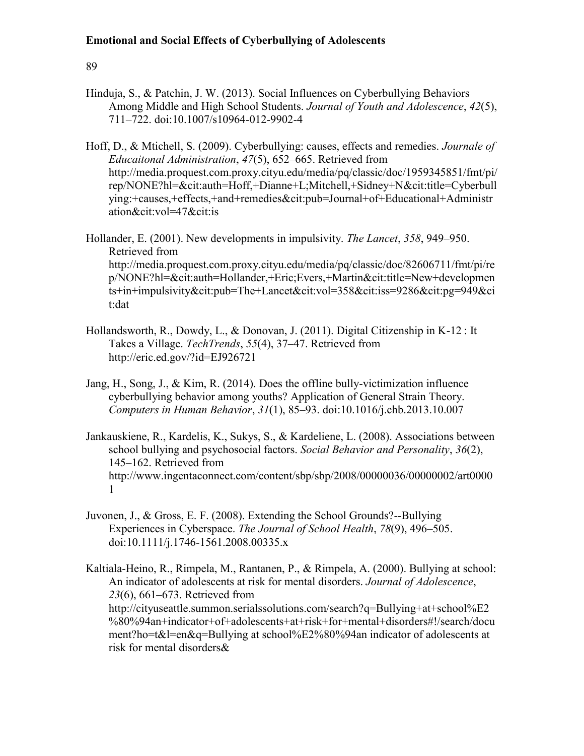## 89

- Hinduja, S., & Patchin, J. W. (2013). Social Influences on Cyberbullying Behaviors Among Middle and High School Students. *Journal of Youth and Adolescence*, *42*(5), 711–722. doi:10.1007/s10964-012-9902-4
- Hoff, D., & Mtichell, S. (2009). Cyberbullying: causes, effects and remedies. *Journale of Educaitonal Administration*, *47*(5), 652–665. Retrieved from http://media.proquest.com.proxy.cityu.edu/media/pq/classic/doc/1959345851/fmt/pi/ rep/NONE?hl=&cit:auth=Hoff,+Dianne+L;Mitchell,+Sidney+N&cit:title=Cyberbull ying:+causes,+effects,+and+remedies&cit:pub=Journal+of+Educational+Administr ation&cit:vol=47&cit:is

Hollander, E. (2001). New developments in impulsivity. *The Lancet*, *358*, 949–950. Retrieved from http://media.proquest.com.proxy.cityu.edu/media/pq/classic/doc/82606711/fmt/pi/re p/NONE?hl=&cit:auth=Hollander,+Eric;Evers,+Martin&cit:title=New+developmen ts+in+impulsivity&cit:pub=The+Lancet&cit:vol=358&cit:iss=9286&cit:pg=949&ci t:dat

- Hollandsworth, R., Dowdy, L., & Donovan, J. (2011). Digital Citizenship in K-12 : It Takes a Village. *TechTrends*, *55*(4), 37–47. Retrieved from http://eric.ed.gov/?id=EJ926721
- Jang, H., Song, J., & Kim, R. (2014). Does the offline bully-victimization influence cyberbullying behavior among youths? Application of General Strain Theory. *Computers in Human Behavior*, *31*(1), 85–93. doi:10.1016/j.chb.2013.10.007
- Jankauskiene, R., Kardelis, K., Sukys, S., & Kardeliene, L. (2008). Associations between school bullying and psychosocial factors. *Social Behavior and Personality*, *36*(2), 145–162. Retrieved from http://www.ingentaconnect.com/content/sbp/sbp/2008/00000036/00000002/art0000 1
- Juvonen, J., & Gross, E. F. (2008). Extending the School Grounds?--Bullying Experiences in Cyberspace. *The Journal of School Health*, *78*(9), 496–505. doi:10.1111/j.1746-1561.2008.00335.x
- Kaltiala-Heino, R., Rimpela, M., Rantanen, P., & Rimpela, A. (2000). Bullying at school: An indicator of adolescents at risk for mental disorders. *Journal of Adolescence*, *23*(6), 661–673. Retrieved from http://cityuseattle.summon.serialssolutions.com/search?q=Bullying+at+school%E2 %80%94an+indicator+of+adolescents+at+risk+for+mental+disorders#!/search/docu ment?ho=t&l=en&q=Bullying at school%E2%80%94an indicator of adolescents at risk for mental disorders&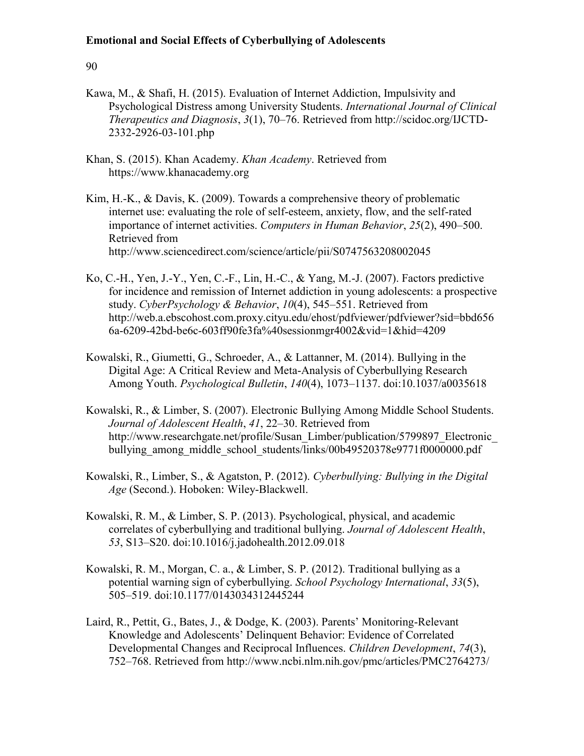- Kawa, M., & Shafi, H. (2015). Evaluation of Internet Addiction, Impulsivity and Psychological Distress among University Students. *International Journal of Clinical Therapeutics and Diagnosis*, *3*(1), 70–76. Retrieved from http://scidoc.org/IJCTD-2332-2926-03-101.php
- Khan, S. (2015). Khan Academy. *Khan Academy*. Retrieved from https://www.khanacademy.org
- Kim, H.-K., & Davis, K. (2009). Towards a comprehensive theory of problematic internet use: evaluating the role of self-esteem, anxiety, flow, and the self-rated importance of internet activities. *Computers in Human Behavior*, *25*(2), 490–500. Retrieved from http://www.sciencedirect.com/science/article/pii/S0747563208002045
- Ko, C.-H., Yen, J.-Y., Yen, C.-F., Lin, H.-C., & Yang, M.-J. (2007). Factors predictive for incidence and remission of Internet addiction in young adolescents: a prospective study. *CyberPsychology & Behavior*, *10*(4), 545–551. Retrieved from http://web.a.ebscohost.com.proxy.cityu.edu/ehost/pdfviewer/pdfviewer?sid=bbd656 6a-6209-42bd-be6c-603ff90fe3fa%40sessionmgr4002&vid=1&hid=4209
- Kowalski, R., Giumetti, G., Schroeder, A., & Lattanner, M. (2014). Bullying in the Digital Age: A Critical Review and Meta-Analysis of Cyberbullying Research Among Youth. *Psychological Bulletin*, *140*(4), 1073–1137. doi:10.1037/a0035618
- Kowalski, R., & Limber, S. (2007). Electronic Bullying Among Middle School Students. *Journal of Adolescent Health*, *41*, 22–30. Retrieved from http://www.researchgate.net/profile/Susan\_Limber/publication/5799897\_Electronic bullying\_among\_middle\_school\_students/links/00b49520378e9771f0000000.pdf
- Kowalski, R., Limber, S., & Agatston, P. (2012). *Cyberbullying: Bullying in the Digital Age* (Second.). Hoboken: Wiley-Blackwell.
- Kowalski, R. M., & Limber, S. P. (2013). Psychological, physical, and academic correlates of cyberbullying and traditional bullying. *Journal of Adolescent Health*, *53*, S13–S20. doi:10.1016/j.jadohealth.2012.09.018
- Kowalski, R. M., Morgan, C. a., & Limber, S. P. (2012). Traditional bullying as a potential warning sign of cyberbullying. *School Psychology International*, *33*(5), 505–519. doi:10.1177/0143034312445244
- Laird, R., Pettit, G., Bates, J., & Dodge, K. (2003). Parents' Monitoring-Relevant Knowledge and Adolescents' Delinquent Behavior: Evidence of Correlated Developmental Changes and Reciprocal Influences. *Children Development*, *74*(3), 752–768. Retrieved from http://www.ncbi.nlm.nih.gov/pmc/articles/PMC2764273/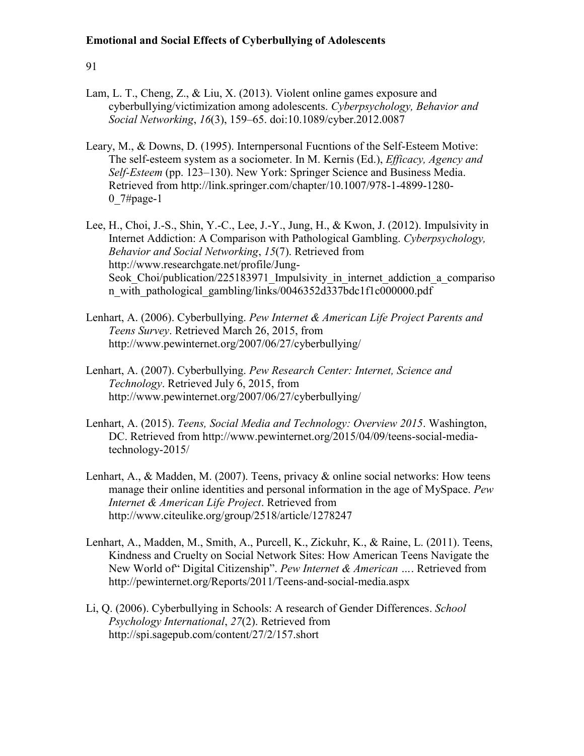- Lam, L. T., Cheng, Z., & Liu, X. (2013). Violent online games exposure and cyberbullying/victimization among adolescents. *Cyberpsychology, Behavior and Social Networking*, *16*(3), 159–65. doi:10.1089/cyber.2012.0087
- Leary, M., & Downs, D. (1995). Internpersonal Fucntions of the Self-Esteem Motive: The self-esteem system as a sociometer. In M. Kernis (Ed.), *Efficacy, Agency and Self-Esteem* (pp. 123–130). New York: Springer Science and Business Media. Retrieved from http://link.springer.com/chapter/10.1007/978-1-4899-1280- 0 $7#page-1$
- Lee, H., Choi, J.-S., Shin, Y.-C., Lee, J.-Y., Jung, H., & Kwon, J. (2012). Impulsivity in Internet Addiction: A Comparison with Pathological Gambling. *Cyberpsychology, Behavior and Social Networking*, *15*(7). Retrieved from http://www.researchgate.net/profile/Jung-Seok Choi/publication/225183971 Impulsivity in internet addiction a compariso n\_with\_pathological\_gambling/links/0046352d337bdc1f1c000000.pdf
- Lenhart, A. (2006). Cyberbullying. *Pew Internet & American Life Project Parents and Teens Survey*. Retrieved March 26, 2015, from http://www.pewinternet.org/2007/06/27/cyberbullying/
- Lenhart, A. (2007). Cyberbullying. *Pew Research Center: Internet, Science and Technology*. Retrieved July 6, 2015, from http://www.pewinternet.org/2007/06/27/cyberbullying/
- Lenhart, A. (2015). *Teens, Social Media and Technology: Overview 2015*. Washington, DC. Retrieved from http://www.pewinternet.org/2015/04/09/teens-social-mediatechnology-2015/
- Lenhart, A., & Madden, M. (2007). Teens, privacy & online social networks: How teens manage their online identities and personal information in the age of MySpace. *Pew Internet & American Life Project*. Retrieved from http://www.citeulike.org/group/2518/article/1278247
- Lenhart, A., Madden, M., Smith, A., Purcell, K., Zickuhr, K., & Raine, L. (2011). Teens, Kindness and Cruelty on Social Network Sites: How American Teens Navigate the New World of" Digital Citizenship". *Pew Internet & American …*. Retrieved from http://pewinternet.org/Reports/2011/Teens-and-social-media.aspx
- Li, Q. (2006). Cyberbullying in Schools: A research of Gender Differences. *School Psychology International*, *27*(2). Retrieved from http://spi.sagepub.com/content/27/2/157.short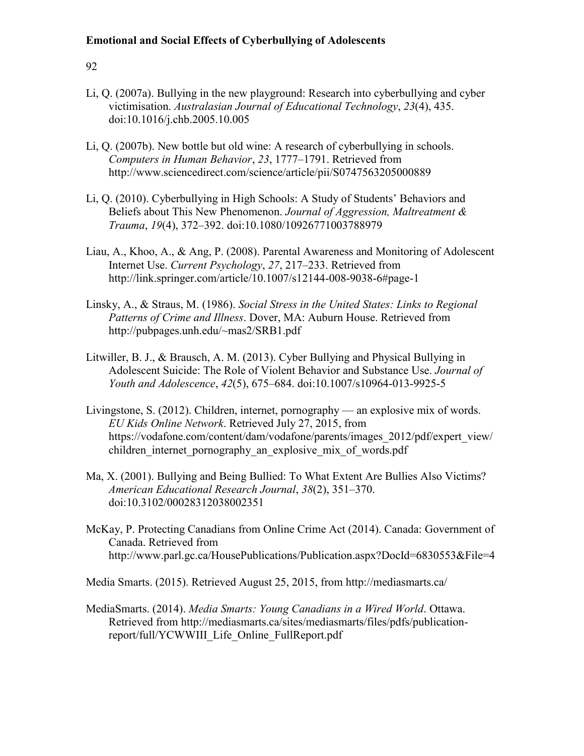## 92

- Li, Q. (2007a). Bullying in the new playground: Research into cyberbullying and cyber victimisation. *Australasian Journal of Educational Technology*, *23*(4), 435. doi:10.1016/j.chb.2005.10.005
- Li, Q. (2007b). New bottle but old wine: A research of cyberbullying in schools. *Computers in Human Behavior*, *23*, 1777–1791. Retrieved from http://www.sciencedirect.com/science/article/pii/S0747563205000889
- Li, Q. (2010). Cyberbullying in High Schools: A Study of Students' Behaviors and Beliefs about This New Phenomenon. *Journal of Aggression, Maltreatment & Trauma*, *19*(4), 372–392. doi:10.1080/10926771003788979
- Liau, A., Khoo, A., & Ang, P. (2008). Parental Awareness and Monitoring of Adolescent Internet Use. *Current Psychology*, *27*, 217–233. Retrieved from http://link.springer.com/article/10.1007/s12144-008-9038-6#page-1
- Linsky, A., & Straus, M. (1986). *Social Stress in the United States: Links to Regional Patterns of Crime and Illness*. Dover, MA: Auburn House. Retrieved from http://pubpages.unh.edu/~mas2/SRB1.pdf
- Litwiller, B. J., & Brausch, A. M. (2013). Cyber Bullying and Physical Bullying in Adolescent Suicide: The Role of Violent Behavior and Substance Use. *Journal of Youth and Adolescence*, *42*(5), 675–684. doi:10.1007/s10964-013-9925-5
- Livingstone, S. (2012). Children, internet, pornography an explosive mix of words. *EU Kids Online Network*. Retrieved July 27, 2015, from https://vodafone.com/content/dam/vodafone/parents/images\_2012/pdf/expert\_view/ children internet pornography an explosive mix of words.pdf
- Ma, X. (2001). Bullying and Being Bullied: To What Extent Are Bullies Also Victims? *American Educational Research Journal*, *38*(2), 351–370. doi:10.3102/00028312038002351
- McKay, P. Protecting Canadians from Online Crime Act (2014). Canada: Government of Canada. Retrieved from http://www.parl.gc.ca/HousePublications/Publication.aspx?DocId=6830553&File=4

Media Smarts. (2015). Retrieved August 25, 2015, from http://mediasmarts.ca/

MediaSmarts. (2014). *Media Smarts: Young Canadians in a Wired World*. Ottawa. Retrieved from http://mediasmarts.ca/sites/mediasmarts/files/pdfs/publicationreport/full/YCWWIII\_Life\_Online\_FullReport.pdf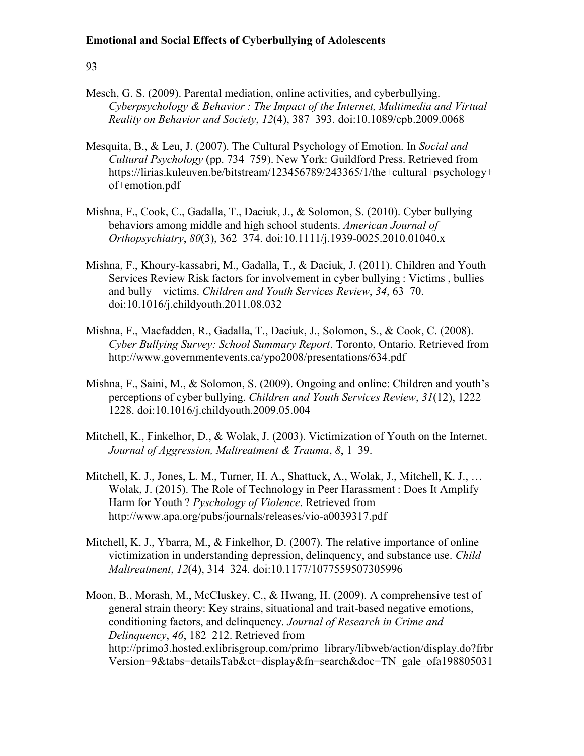- Mesch, G. S. (2009). Parental mediation, online activities, and cyberbullying. *Cyberpsychology & Behavior : The Impact of the Internet, Multimedia and Virtual Reality on Behavior and Society*, *12*(4), 387–393. doi:10.1089/cpb.2009.0068
- Mesquita, B., & Leu, J. (2007). The Cultural Psychology of Emotion. In *Social and Cultural Psychology* (pp. 734–759). New York: Guildford Press. Retrieved from https://lirias.kuleuven.be/bitstream/123456789/243365/1/the+cultural+psychology+ of+emotion.pdf
- Mishna, F., Cook, C., Gadalla, T., Daciuk, J., & Solomon, S. (2010). Cyber bullying behaviors among middle and high school students. *American Journal of Orthopsychiatry*, *80*(3), 362–374. doi:10.1111/j.1939-0025.2010.01040.x
- Mishna, F., Khoury-kassabri, M., Gadalla, T., & Daciuk, J. (2011). Children and Youth Services Review Risk factors for involvement in cyber bullying : Victims , bullies and bully – victims. *Children and Youth Services Review*, *34*, 63–70. doi:10.1016/j.childyouth.2011.08.032
- Mishna, F., Macfadden, R., Gadalla, T., Daciuk, J., Solomon, S., & Cook, C. (2008). *Cyber Bullying Survey: School Summary Report*. Toronto, Ontario. Retrieved from http://www.governmentevents.ca/ypo2008/presentations/634.pdf
- Mishna, F., Saini, M., & Solomon, S. (2009). Ongoing and online: Children and youth's perceptions of cyber bullying. *Children and Youth Services Review*, *31*(12), 1222– 1228. doi:10.1016/j.childyouth.2009.05.004
- Mitchell, K., Finkelhor, D., & Wolak, J. (2003). Victimization of Youth on the Internet. *Journal of Aggression, Maltreatment & Trauma*, *8*, 1–39.
- Mitchell, K. J., Jones, L. M., Turner, H. A., Shattuck, A., Wolak, J., Mitchell, K. J., … Wolak, J. (2015). The Role of Technology in Peer Harassment : Does It Amplify Harm for Youth ? *Pyschology of Violence*. Retrieved from http://www.apa.org/pubs/journals/releases/vio-a0039317.pdf
- Mitchell, K. J., Ybarra, M., & Finkelhor, D. (2007). The relative importance of online victimization in understanding depression, delinquency, and substance use. *Child Maltreatment*, *12*(4), 314–324. doi:10.1177/1077559507305996
- Moon, B., Morash, M., McCluskey, C., & Hwang, H. (2009). A comprehensive test of general strain theory: Key strains, situational and trait-based negative emotions, conditioning factors, and delinquency. *Journal of Research in Crime and Delinquency*, *46*, 182–212. Retrieved from http://primo3.hosted.exlibrisgroup.com/primo\_library/libweb/action/display.do?frbr Version=9&tabs=detailsTab&ct=display&fn=search&doc=TN\_gale\_ofa198805031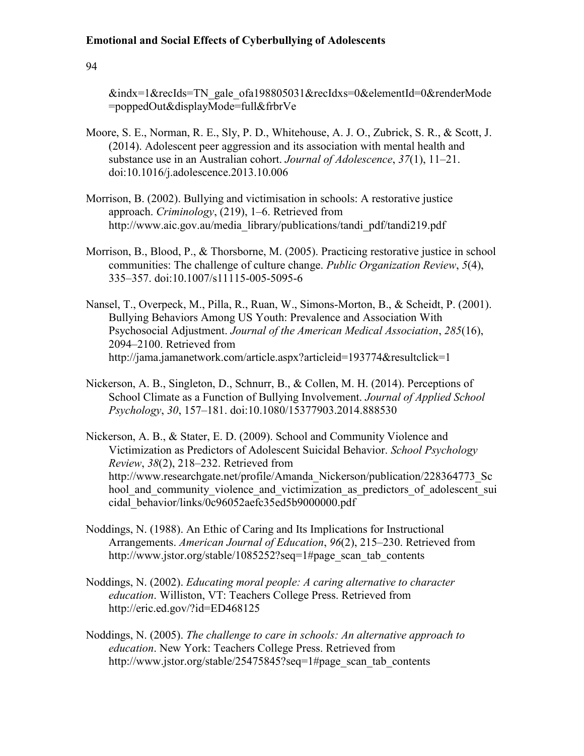94

&indx=1&recIds=TN\_gale\_ofa198805031&recIdxs=0&elementId=0&renderMode =poppedOut&displayMode=full&frbrVe

- Moore, S. E., Norman, R. E., Sly, P. D., Whitehouse, A. J. O., Zubrick, S. R., & Scott, J. (2014). Adolescent peer aggression and its association with mental health and substance use in an Australian cohort. *Journal of Adolescence*, *37*(1), 11–21. doi:10.1016/j.adolescence.2013.10.006
- Morrison, B. (2002). Bullying and victimisation in schools: A restorative justice approach. *Criminology*, (219), 1–6. Retrieved from http://www.aic.gov.au/media\_library/publications/tandi\_pdf/tandi219.pdf
- Morrison, B., Blood, P., & Thorsborne, M. (2005). Practicing restorative justice in school communities: The challenge of culture change. *Public Organization Review*, *5*(4), 335–357. doi:10.1007/s11115-005-5095-6
- Nansel, T., Overpeck, M., Pilla, R., Ruan, W., Simons-Morton, B., & Scheidt, P. (2001). Bullying Behaviors Among US Youth: Prevalence and Association With Psychosocial Adjustment. *Journal of the American Medical Association*, *285*(16), 2094–2100. Retrieved from http://jama.jamanetwork.com/article.aspx?articleid=193774&resultclick=1
- Nickerson, A. B., Singleton, D., Schnurr, B., & Collen, M. H. (2014). Perceptions of School Climate as a Function of Bullying Involvement. *Journal of Applied School Psychology*, *30*, 157–181. doi:10.1080/15377903.2014.888530
- Nickerson, A. B., & Stater, E. D. (2009). School and Community Violence and Victimization as Predictors of Adolescent Suicidal Behavior. *School Psychology Review*, *38*(2), 218–232. Retrieved from http://www.researchgate.net/profile/Amanda\_Nickerson/publication/228364773\_Sc hool and community violence and victimization as predictors of adolescent sui cidal\_behavior/links/0c96052aefc35ed5b9000000.pdf
- Noddings, N. (1988). An Ethic of Caring and Its Implications for Instructional Arrangements. *American Journal of Education*, *96*(2), 215–230. Retrieved from http://www.jstor.org/stable/1085252?seq=1#page\_scan\_tab\_contents
- Noddings, N. (2002). *Educating moral people: A caring alternative to character education*. Williston, VT: Teachers College Press. Retrieved from http://eric.ed.gov/?id=ED468125
- Noddings, N. (2005). *The challenge to care in schools: An alternative approach to education*. New York: Teachers College Press. Retrieved from http://www.jstor.org/stable/25475845?seq=1#page\_scan\_tab\_contents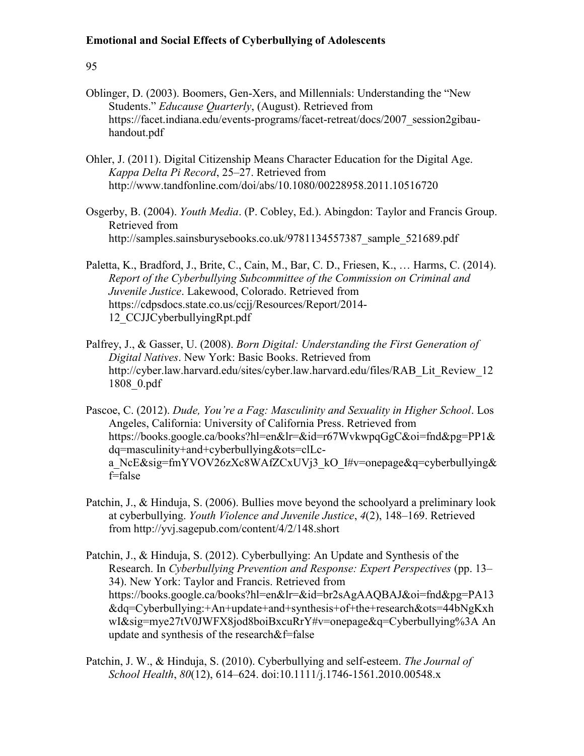- Oblinger, D. (2003). Boomers, Gen-Xers, and Millennials: Understanding the "New Students." *Educause Quarterly*, (August). Retrieved from https://facet.indiana.edu/events-programs/facet-retreat/docs/2007\_session2gibauhandout.pdf
- Ohler, J. (2011). Digital Citizenship Means Character Education for the Digital Age. *Kappa Delta Pi Record*, 25–27. Retrieved from http://www.tandfonline.com/doi/abs/10.1080/00228958.2011.10516720
- Osgerby, B. (2004). *Youth Media*. (P. Cobley, Ed.). Abingdon: Taylor and Francis Group. Retrieved from http://samples.sainsburysebooks.co.uk/9781134557387\_sample\_521689.pdf
- Paletta, K., Bradford, J., Brite, C., Cain, M., Bar, C. D., Friesen, K., … Harms, C. (2014). *Report of the Cyberbullying Subcommittee of the Commission on Criminal and Juvenile Justice*. Lakewood, Colorado. Retrieved from https://cdpsdocs.state.co.us/ccjj/Resources/Report/2014- 12\_CCJJCyberbullyingRpt.pdf
- Palfrey, J., & Gasser, U. (2008). *Born Digital: Understanding the First Generation of Digital Natives*. New York: Basic Books. Retrieved from http://cyber.law.harvard.edu/sites/cyber.law.harvard.edu/files/RAB\_Lit\_Review\_12 1808\_0.pdf
- Pascoe, C. (2012). *Dude, You're a Fag: Masculinity and Sexuality in Higher School*. Los Angeles, California: University of California Press. Retrieved from https://books.google.ca/books?hl=en&lr=&id=r67WvkwpqGgC&oi=fnd&pg=PP1& dq=masculinity+and+cyberbullying&ots=clLca\_NcE&sig=fmYVOV26zXc8WAfZCxUVi3\_kO\_I#v=onepage&q=cyberbullying& f=false
- Patchin, J., & Hinduja, S. (2006). Bullies move beyond the schoolyard a preliminary look at cyberbullying. *Youth Violence and Juvenile Justice*, *4*(2), 148–169. Retrieved from http://yvj.sagepub.com/content/4/2/148.short
- Patchin, J., & Hinduja, S. (2012). Cyberbullying: An Update and Synthesis of the Research. In *Cyberbullying Prevention and Response: Expert Perspectives* (pp. 13– 34). New York: Taylor and Francis. Retrieved from https://books.google.ca/books?hl=en&lr=&id=br2sAgAAQBAJ&oi=fnd&pg=PA13 &dq=Cyberbullying:+An+update+and+synthesis+of+the+research&ots=44bNgKxh wI&sig=mye27tV0JWFX8jod8boiBxcuRrY#v=onepage&q=Cyberbullying%3A An update and synthesis of the research&f=false
- Patchin, J. W., & Hinduja, S. (2010). Cyberbullying and self-esteem. *The Journal of School Health*, *80*(12), 614–624. doi:10.1111/j.1746-1561.2010.00548.x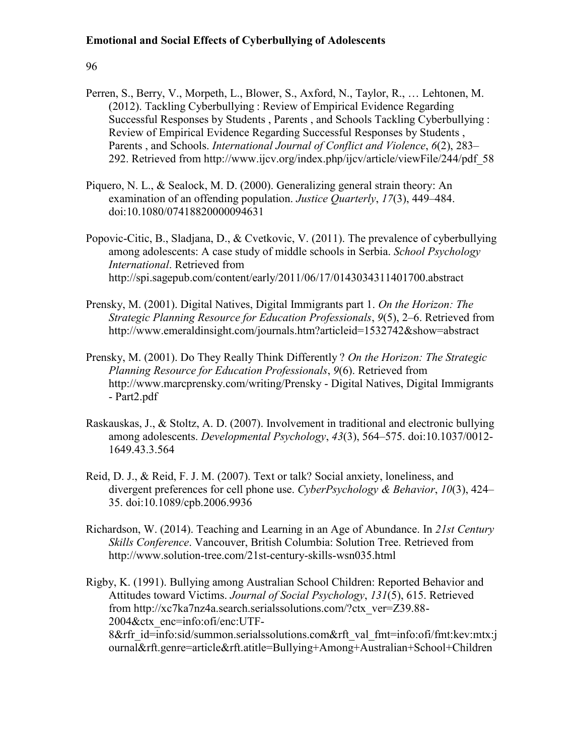- Perren, S., Berry, V., Morpeth, L., Blower, S., Axford, N., Taylor, R., … Lehtonen, M. (2012). Tackling Cyberbullying : Review of Empirical Evidence Regarding Successful Responses by Students , Parents , and Schools Tackling Cyberbullying : Review of Empirical Evidence Regarding Successful Responses by Students , Parents , and Schools. *International Journal of Conflict and Violence*, *6*(2), 283– 292. Retrieved from http://www.ijcv.org/index.php/ijcv/article/viewFile/244/pdf\_58
- Piquero, N. L., & Sealock, M. D. (2000). Generalizing general strain theory: An examination of an offending population. *Justice Quarterly*, *17*(3), 449–484. doi:10.1080/07418820000094631
- Popovic-Citic, B., Sladjana, D., & Cvetkovic, V. (2011). The prevalence of cyberbullying among adolescents: A case study of middle schools in Serbia. *School Psychology International*. Retrieved from http://spi.sagepub.com/content/early/2011/06/17/0143034311401700.abstract
- Prensky, M. (2001). Digital Natives, Digital Immigrants part 1. *On the Horizon: The Strategic Planning Resource for Education Professionals*, *9*(5), 2–6. Retrieved from http://www.emeraldinsight.com/journals.htm?articleid=1532742&show=abstract
- Prensky, M. (2001). Do They Really Think Differently ? *On the Horizon: The Strategic Planning Resource for Education Professionals*, *9*(6). Retrieved from http://www.marcprensky.com/writing/Prensky - Digital Natives, Digital Immigrants - Part2.pdf
- Raskauskas, J., & Stoltz, A. D. (2007). Involvement in traditional and electronic bullying among adolescents. *Developmental Psychology*, *43*(3), 564–575. doi:10.1037/0012- 1649.43.3.564
- Reid, D. J., & Reid, F. J. M. (2007). Text or talk? Social anxiety, loneliness, and divergent preferences for cell phone use. *CyberPsychology & Behavior*, *10*(3), 424– 35. doi:10.1089/cpb.2006.9936
- Richardson, W. (2014). Teaching and Learning in an Age of Abundance. In *21st Century Skills Conference*. Vancouver, British Columbia: Solution Tree. Retrieved from http://www.solution-tree.com/21st-century-skills-wsn035.html
- Rigby, K. (1991). Bullying among Australian School Children: Reported Behavior and Attitudes toward Victims. *Journal of Social Psychology*, *131*(5), 615. Retrieved from http://xc7ka7nz4a.search.serialssolutions.com/?ctx\_ver=Z39.88- 2004&ctx\_enc=info:ofi/enc:UTF-8&rfr\_id=info:sid/summon.serialssolutions.com&rft\_val\_fmt=info:ofi/fmt:kev:mtx:j ournal&rft.genre=article&rft.atitle=Bullying+Among+Australian+School+Children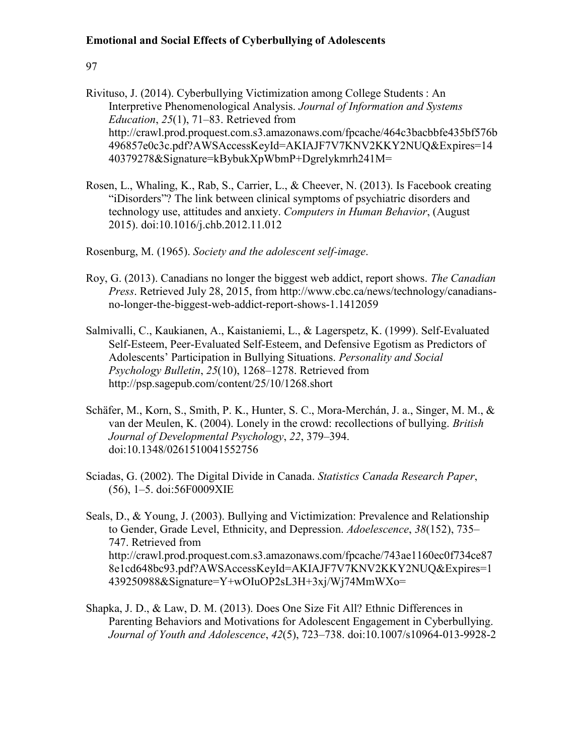# 97

- Rivituso, J. (2014). Cyberbullying Victimization among College Students : An Interpretive Phenomenological Analysis. *Journal of Information and Systems Education*, *25*(1), 71–83. Retrieved from http://crawl.prod.proquest.com.s3.amazonaws.com/fpcache/464c3bacbbfe435bf576b 496857e0c3c.pdf?AWSAccessKeyId=AKIAJF7V7KNV2KKY2NUQ&Expires=14 40379278&Signature=kBybukXpWbmP+Dgrelykmrh241M=
- Rosen, L., Whaling, K., Rab, S., Carrier, L., & Cheever, N. (2013). Is Facebook creating "iDisorders"? The link between clinical symptoms of psychiatric disorders and technology use, attitudes and anxiety. *Computers in Human Behavior*, (August 2015). doi:10.1016/j.chb.2012.11.012

Rosenburg, M. (1965). *Society and the adolescent self-image*.

- Roy, G. (2013). Canadians no longer the biggest web addict, report shows. *The Canadian Press*. Retrieved July 28, 2015, from http://www.cbc.ca/news/technology/canadiansno-longer-the-biggest-web-addict-report-shows-1.1412059
- Salmivalli, C., Kaukianen, A., Kaistaniemi, L., & Lagerspetz, K. (1999). Self-Evaluated Self-Esteem, Peer-Evaluated Self-Esteem, and Defensive Egotism as Predictors of Adolescents' Participation in Bullying Situations. *Personality and Social Psychology Bulletin*, *25*(10), 1268–1278. Retrieved from http://psp.sagepub.com/content/25/10/1268.short
- Schäfer, M., Korn, S., Smith, P. K., Hunter, S. C., Mora-Merchán, J. a., Singer, M. M., & van der Meulen, K. (2004). Lonely in the crowd: recollections of bullying. *British Journal of Developmental Psychology*, *22*, 379–394. doi:10.1348/0261510041552756
- Sciadas, G. (2002). The Digital Divide in Canada. *Statistics Canada Research Paper*, (56), 1–5. doi:56F0009XIE
- Seals, D., & Young, J. (2003). Bullying and Victimization: Prevalence and Relationship to Gender, Grade Level, Ethnicity, and Depression. *Adoelescence*, *38*(152), 735– 747. Retrieved from http://crawl.prod.proquest.com.s3.amazonaws.com/fpcache/743ae1160ec0f734ce87 8e1cd648bc93.pdf?AWSAccessKeyId=AKIAJF7V7KNV2KKY2NUQ&Expires=1 439250988&Signature=Y+wOIuOP2sL3H+3xj/Wj74MmWXo=
- Shapka, J. D., & Law, D. M. (2013). Does One Size Fit All? Ethnic Differences in Parenting Behaviors and Motivations for Adolescent Engagement in Cyberbullying. *Journal of Youth and Adolescence*, *42*(5), 723–738. doi:10.1007/s10964-013-9928-2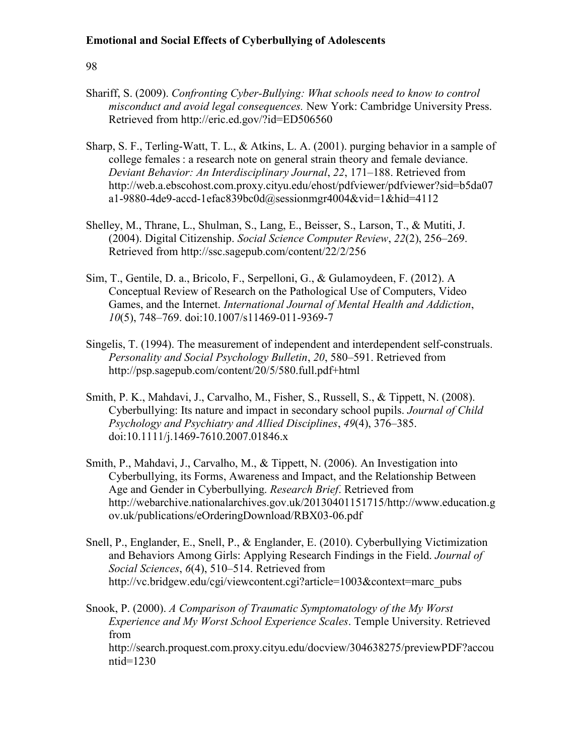### 98

- Shariff, S. (2009). *Confronting Cyber-Bullying: What schools need to know to control misconduct and avoid legal consequences.* New York: Cambridge University Press. Retrieved from http://eric.ed.gov/?id=ED506560
- Sharp, S. F., Terling-Watt, T. L., & Atkins, L. A. (2001). purging behavior in a sample of college females : a research note on general strain theory and female deviance. *Deviant Behavior: An Interdisciplinary Journal*, *22*, 171–188. Retrieved from http://web.a.ebscohost.com.proxy.cityu.edu/ehost/pdfviewer/pdfviewer?sid=b5da07 a1-9880-4de9-accd-1efac839bc0d@sessionmgr4004&vid=1&hid=4112
- Shelley, M., Thrane, L., Shulman, S., Lang, E., Beisser, S., Larson, T., & Mutiti, J. (2004). Digital Citizenship. *Social Science Computer Review*, *22*(2), 256–269. Retrieved from http://ssc.sagepub.com/content/22/2/256
- Sim, T., Gentile, D. a., Bricolo, F., Serpelloni, G., & Gulamoydeen, F. (2012). A Conceptual Review of Research on the Pathological Use of Computers, Video Games, and the Internet. *International Journal of Mental Health and Addiction*, *10*(5), 748–769. doi:10.1007/s11469-011-9369-7
- Singelis, T. (1994). The measurement of independent and interdependent self-construals. *Personality and Social Psychology Bulletin*, *20*, 580–591. Retrieved from http://psp.sagepub.com/content/20/5/580.full.pdf+html
- Smith, P. K., Mahdavi, J., Carvalho, M., Fisher, S., Russell, S., & Tippett, N. (2008). Cyberbullying: Its nature and impact in secondary school pupils. *Journal of Child Psychology and Psychiatry and Allied Disciplines*, *49*(4), 376–385. doi:10.1111/j.1469-7610.2007.01846.x
- Smith, P., Mahdavi, J., Carvalho, M., & Tippett, N. (2006). An Investigation into Cyberbullying, its Forms, Awareness and Impact, and the Relationship Between Age and Gender in Cyberbullying. *Research Brief*. Retrieved from http://webarchive.nationalarchives.gov.uk/20130401151715/http://www.education.g ov.uk/publications/eOrderingDownload/RBX03-06.pdf
- Snell, P., Englander, E., Snell, P., & Englander, E. (2010). Cyberbullying Victimization and Behaviors Among Girls: Applying Research Findings in the Field. *Journal of Social Sciences*, *6*(4), 510–514. Retrieved from http://vc.bridgew.edu/cgi/viewcontent.cgi?article=1003&context=marc\_pubs
- Snook, P. (2000). *A Comparison of Traumatic Symptomatology of the My Worst Experience and My Worst School Experience Scales*. Temple University. Retrieved from http://search.proquest.com.proxy.cityu.edu/docview/304638275/previewPDF?accou

ntid=1230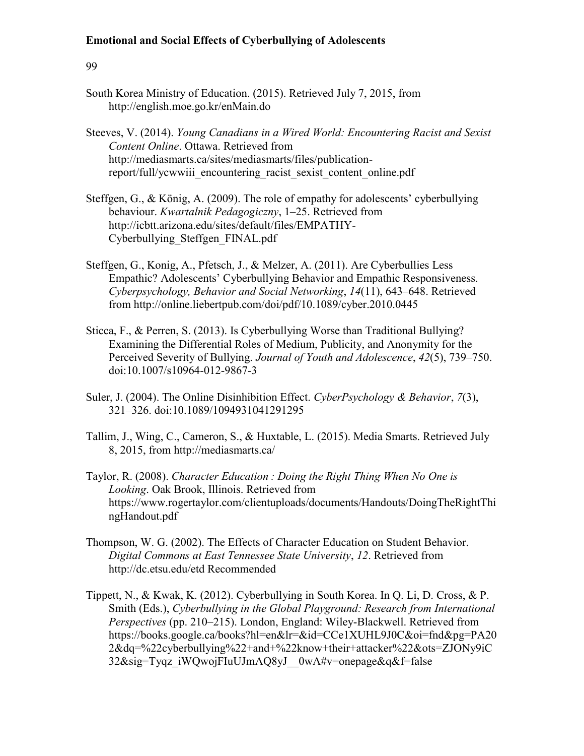- South Korea Ministry of Education. (2015). Retrieved July 7, 2015, from http://english.moe.go.kr/enMain.do
- Steeves, V. (2014). *Young Canadians in a Wired World: Encountering Racist and Sexist Content Online*. Ottawa. Retrieved from http://mediasmarts.ca/sites/mediasmarts/files/publicationreport/full/ycwwiii\_encountering\_racist\_sexist\_content\_online.pdf
- Steffgen, G., & König, A. (2009). The role of empathy for adolescents' cyberbullying behaviour. *Kwartalnik Pedagogiczny*, 1–25. Retrieved from http://icbtt.arizona.edu/sites/default/files/EMPATHY-Cyberbullying\_Steffgen\_FINAL.pdf
- Steffgen, G., Konig, A., Pfetsch, J., & Melzer, A. (2011). Are Cyberbullies Less Empathic? Adolescents' Cyberbullying Behavior and Empathic Responsiveness. *Cyberpsychology, Behavior and Social Networking*, *14*(11), 643–648. Retrieved from http://online.liebertpub.com/doi/pdf/10.1089/cyber.2010.0445
- Sticca, F., & Perren, S. (2013). Is Cyberbullying Worse than Traditional Bullying? Examining the Differential Roles of Medium, Publicity, and Anonymity for the Perceived Severity of Bullying. *Journal of Youth and Adolescence*, *42*(5), 739–750. doi:10.1007/s10964-012-9867-3
- Suler, J. (2004). The Online Disinhibition Effect. *CyberPsychology & Behavior*, *7*(3), 321–326. doi:10.1089/1094931041291295
- Tallim, J., Wing, C., Cameron, S., & Huxtable, L. (2015). Media Smarts. Retrieved July 8, 2015, from http://mediasmarts.ca/
- Taylor, R. (2008). *Character Education : Doing the Right Thing When No One is Looking*. Oak Brook, Illinois. Retrieved from https://www.rogertaylor.com/clientuploads/documents/Handouts/DoingTheRightThi ngHandout.pdf
- Thompson, W. G. (2002). The Effects of Character Education on Student Behavior. *Digital Commons at East Tennessee State University*, *12*. Retrieved from http://dc.etsu.edu/etd Recommended
- Tippett, N., & Kwak, K. (2012). Cyberbullying in South Korea. In Q. Li, D. Cross, & P. Smith (Eds.), *Cyberbullying in the Global Playground: Research from International Perspectives* (pp. 210–215). London, England: Wiley-Blackwell. Retrieved from https://books.google.ca/books?hl=en&lr=&id=CCe1XUHL9J0C&oi=fnd&pg=PA20 2&dq=%22cyberbullying%22+and+%22know+their+attacker%22&ots=ZJONy9iC 32&sig=Tyqz\_iWQwojFIuUJmAQ8yJ\_\_0wA#v=onepage&q&f=false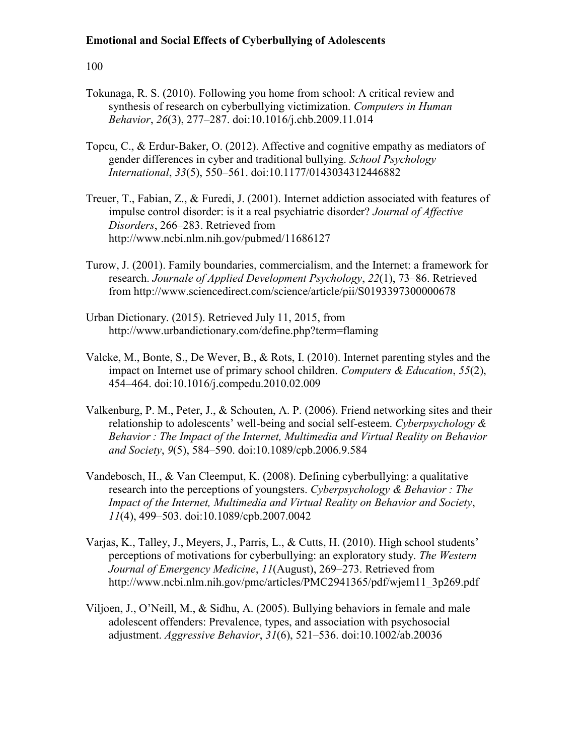- Tokunaga, R. S. (2010). Following you home from school: A critical review and synthesis of research on cyberbullying victimization. *Computers in Human Behavior*, *26*(3), 277–287. doi:10.1016/j.chb.2009.11.014
- Topcu, C., & Erdur-Baker, O. (2012). Affective and cognitive empathy as mediators of gender differences in cyber and traditional bullying. *School Psychology International*, *33*(5), 550–561. doi:10.1177/0143034312446882
- Treuer, T., Fabian, Z., & Furedi, J. (2001). Internet addiction associated with features of impulse control disorder: is it a real psychiatric disorder? *Journal of Affective Disorders*, 266–283. Retrieved from http://www.ncbi.nlm.nih.gov/pubmed/11686127
- Turow, J. (2001). Family boundaries, commercialism, and the Internet: a framework for research. *Journale of Applied Development Psychology*, *22*(1), 73–86. Retrieved from http://www.sciencedirect.com/science/article/pii/S0193397300000678
- Urban Dictionary. (2015). Retrieved July 11, 2015, from http://www.urbandictionary.com/define.php?term=flaming
- Valcke, M., Bonte, S., De Wever, B., & Rots, I. (2010). Internet parenting styles and the impact on Internet use of primary school children. *Computers & Education*, *55*(2), 454–464. doi:10.1016/j.compedu.2010.02.009
- Valkenburg, P. M., Peter, J., & Schouten, A. P. (2006). Friend networking sites and their relationship to adolescents' well-being and social self-esteem. *Cyberpsychology & Behavior : The Impact of the Internet, Multimedia and Virtual Reality on Behavior and Society*, *9*(5), 584–590. doi:10.1089/cpb.2006.9.584
- Vandebosch, H., & Van Cleemput, K. (2008). Defining cyberbullying: a qualitative research into the perceptions of youngsters. *Cyberpsychology & Behavior : The Impact of the Internet, Multimedia and Virtual Reality on Behavior and Society*, *11*(4), 499–503. doi:10.1089/cpb.2007.0042
- Varjas, K., Talley, J., Meyers, J., Parris, L., & Cutts, H. (2010). High school students' perceptions of motivations for cyberbullying: an exploratory study. *The Western Journal of Emergency Medicine*, *11*(August), 269–273. Retrieved from http://www.ncbi.nlm.nih.gov/pmc/articles/PMC2941365/pdf/wjem11\_3p269.pdf
- Viljoen, J., O'Neill, M., & Sidhu, A. (2005). Bullying behaviors in female and male adolescent offenders: Prevalence, types, and association with psychosocial adjustment. *Aggressive Behavior*, *31*(6), 521–536. doi:10.1002/ab.20036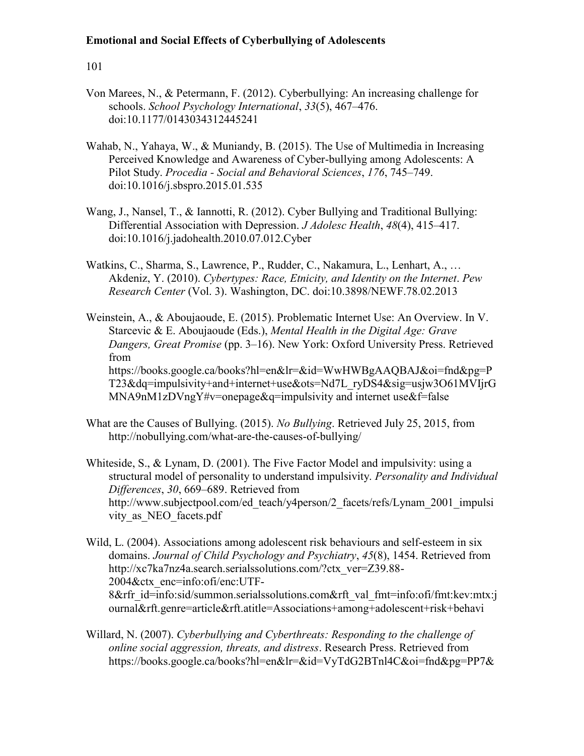- Von Marees, N., & Petermann, F. (2012). Cyberbullying: An increasing challenge for schools. *School Psychology International*, *33*(5), 467–476. doi:10.1177/0143034312445241
- Wahab, N., Yahaya, W., & Muniandy, B. (2015). The Use of Multimedia in Increasing Perceived Knowledge and Awareness of Cyber-bullying among Adolescents: A Pilot Study. *Procedia - Social and Behavioral Sciences*, *176*, 745–749. doi:10.1016/j.sbspro.2015.01.535
- Wang, J., Nansel, T., & Iannotti, R. (2012). Cyber Bullying and Traditional Bullying: Differential Association with Depression. *J Adolesc Health*, *48*(4), 415–417. doi:10.1016/j.jadohealth.2010.07.012.Cyber
- Watkins, C., Sharma, S., Lawrence, P., Rudder, C., Nakamura, L., Lenhart, A., … Akdeniz, Y. (2010). *Cybertypes: Race, Etnicity, and Identity on the Internet*. *Pew Research Center* (Vol. 3). Washington, DC. doi:10.3898/NEWF.78.02.2013
- Weinstein, A., & Aboujaoude, E. (2015). Problematic Internet Use: An Overview. In V. Starcevic & E. Aboujaoude (Eds.), *Mental Health in the Digital Age: Grave Dangers, Great Promise* (pp. 3–16). New York: Oxford University Press. Retrieved from https://books.google.ca/books?hl=en&lr=&id=WwHWBgAAQBAJ&oi=fnd&pg=P T23&dq=impulsivity+and+internet+use&ots=Nd7L\_ryDS4&sig=usjw3O61MVIjrG MNA9nM1zDVngY#v=onepage&q=impulsivity and internet use&f=false
- What are the Causes of Bullying. (2015). *No Bullying*. Retrieved July 25, 2015, from http://nobullying.com/what-are-the-causes-of-bullying/
- Whiteside, S., & Lynam, D. (2001). The Five Factor Model and impulsivity: using a structural model of personality to understand impulsivity. *Personality and Individual Differences*, *30*, 669–689. Retrieved from http://www.subjectpool.com/ed\_teach/y4person/2\_facets/refs/Lynam\_2001\_impulsi vity as NEO facets.pdf
- Wild, L. (2004). Associations among adolescent risk behaviours and self-esteem in six domains. *Journal of Child Psychology and Psychiatry*, *45*(8), 1454. Retrieved from http://xc7ka7nz4a.search.serialssolutions.com/?ctx\_ver=Z39.88- 2004&ctx\_enc=info:ofi/enc:UTF-8&rfr\_id=info:sid/summon.serialssolutions.com&rft\_val\_fmt=info:ofi/fmt:kev:mtx:j ournal&rft.genre=article&rft.atitle=Associations+among+adolescent+risk+behavi
- Willard, N. (2007). *Cyberbullying and Cyberthreats: Responding to the challenge of online social aggression, threats, and distress*. Research Press. Retrieved from https://books.google.ca/books?hl=en&lr=&id=VyTdG2BTnl4C&oi=fnd&pg=PP7&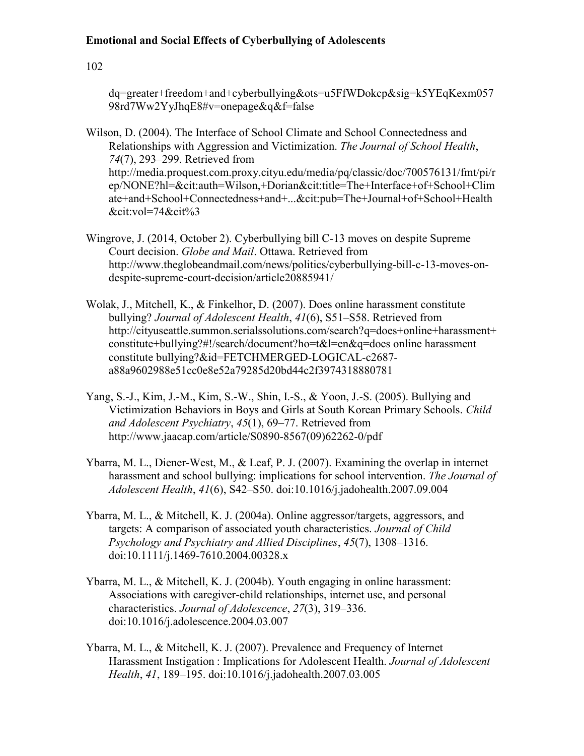## **Emotional and Social Effects of Cyberbullying of Adolescents**

102

dq=greater+freedom+and+cyberbullying&ots=u5FfWDokcp&sig=k5YEqKexm057 98rd7Ww2YyJhqE8#v=onepage&q&f=false

Wilson, D. (2004). The Interface of School Climate and School Connectedness and Relationships with Aggression and Victimization. *The Journal of School Health*, *74*(7), 293–299. Retrieved from http://media.proquest.com.proxy.cityu.edu/media/pq/classic/doc/700576131/fmt/pi/r ep/NONE?hl=&cit:auth=Wilson,+Dorian&cit:title=The+Interface+of+School+Clim ate+and+School+Connectedness+and+...&cit:pub=The+Journal+of+School+Health &cit:vol=74&cit%3

- Wingrove, J. (2014, October 2). Cyberbullying bill C-13 moves on despite Supreme Court decision. *Globe and Mail*. Ottawa. Retrieved from http://www.theglobeandmail.com/news/politics/cyberbullying-bill-c-13-moves-ondespite-supreme-court-decision/article20885941/
- Wolak, J., Mitchell, K., & Finkelhor, D. (2007). Does online harassment constitute bullying? *Journal of Adolescent Health*, *41*(6), S51–S58. Retrieved from http://cityuseattle.summon.serialssolutions.com/search?q=does+online+harassment+ constitute+bullying?#!/search/document?ho=t&l=en&q=does online harassment constitute bullying?&id=FETCHMERGED-LOGICAL-c2687 a88a9602988e51cc0e8e52a79285d20bd44c2f3974318880781
- Yang, S.-J., Kim, J.-M., Kim, S.-W., Shin, I.-S., & Yoon, J.-S. (2005). Bullying and Victimization Behaviors in Boys and Girls at South Korean Primary Schools. *Child and Adolescent Psychiatry*, *45*(1), 69–77. Retrieved from http://www.jaacap.com/article/S0890-8567(09)62262-0/pdf
- Ybarra, M. L., Diener-West, M., & Leaf, P. J. (2007). Examining the overlap in internet harassment and school bullying: implications for school intervention. *The Journal of Adolescent Health*, *41*(6), S42–S50. doi:10.1016/j.jadohealth.2007.09.004
- Ybarra, M. L., & Mitchell, K. J. (2004a). Online aggressor/targets, aggressors, and targets: A comparison of associated youth characteristics. *Journal of Child Psychology and Psychiatry and Allied Disciplines*, *45*(7), 1308–1316. doi:10.1111/j.1469-7610.2004.00328.x
- Ybarra, M. L., & Mitchell, K. J. (2004b). Youth engaging in online harassment: Associations with caregiver-child relationships, internet use, and personal characteristics. *Journal of Adolescence*, *27*(3), 319–336. doi:10.1016/j.adolescence.2004.03.007
- Ybarra, M. L., & Mitchell, K. J. (2007). Prevalence and Frequency of Internet Harassment Instigation : Implications for Adolescent Health. *Journal of Adolescent Health*, *41*, 189–195. doi:10.1016/j.jadohealth.2007.03.005